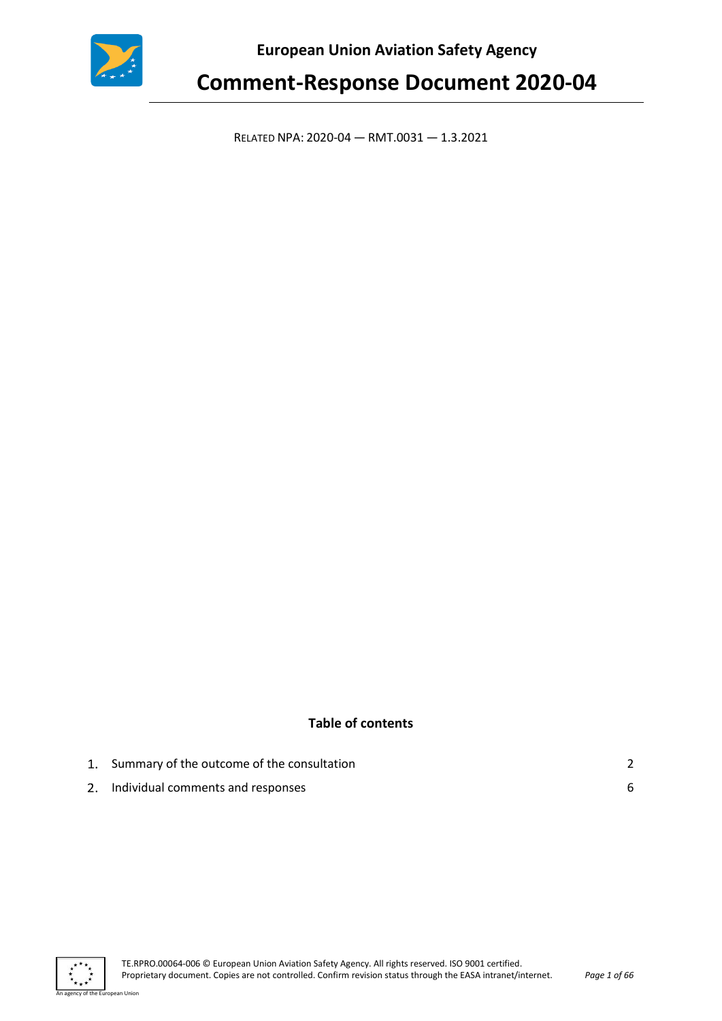

**European Union Aviation Safety Agency** 

# **Comment-Response Document 2020-04**

RELATED NPA: 2020-04 — RMT.0031 — 1.3.2021

## **Table of contents**

| 1. Summary of the outcome of the consultation |  |
|-----------------------------------------------|--|
| 2. Individual comments and responses          |  |



an Union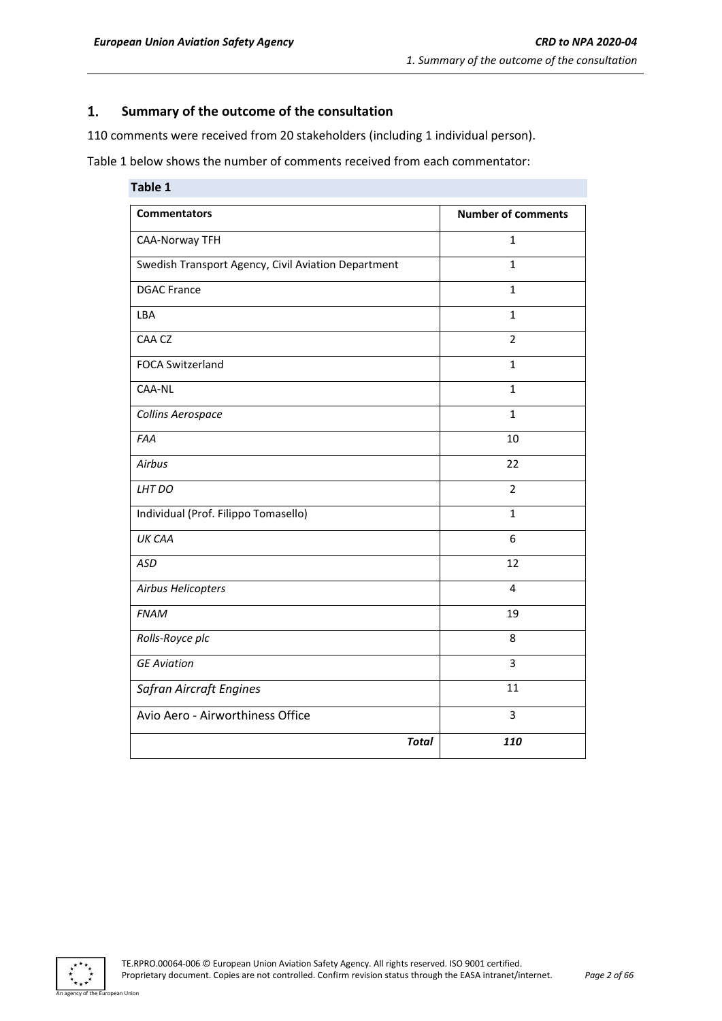#### <span id="page-1-0"></span> $\mathbf{1}$ . **Summary of the outcome of the consultation**

110 comments were received from 20 stakeholders (including 1 individual person).

Table 1 below shows the number of comments received from each commentator:

| Table 1                                             |                           |
|-----------------------------------------------------|---------------------------|
| <b>Commentators</b>                                 | <b>Number of comments</b> |
| <b>CAA-Norway TFH</b>                               | 1                         |
| Swedish Transport Agency, Civil Aviation Department | $\mathbf{1}$              |
| <b>DGAC France</b>                                  | $\mathbf{1}$              |
| LBA                                                 | $\mathbf{1}$              |
| CAA CZ                                              | $\overline{2}$            |
| <b>FOCA Switzerland</b>                             | $\mathbf{1}$              |
| CAA-NL                                              | $\mathbf{1}$              |
| Collins Aerospace                                   | $\mathbf{1}$              |
| FAA                                                 | 10                        |
| Airbus                                              | 22                        |
| LHT DO                                              | $\overline{2}$            |
| Individual (Prof. Filippo Tomasello)                | $\mathbf{1}$              |
| UK CAA                                              | 6                         |
| <b>ASD</b>                                          | 12                        |
| Airbus Helicopters                                  | $\overline{4}$            |
| <b>FNAM</b>                                         | 19                        |
| Rolls-Royce plc                                     | 8                         |
| <b>GE Aviation</b>                                  | $\overline{3}$            |
| <b>Safran Aircraft Engines</b>                      | 11                        |
| Avio Aero - Airworthiness Office                    | $\overline{3}$            |
| <b>Total</b>                                        | 110                       |



an Hinion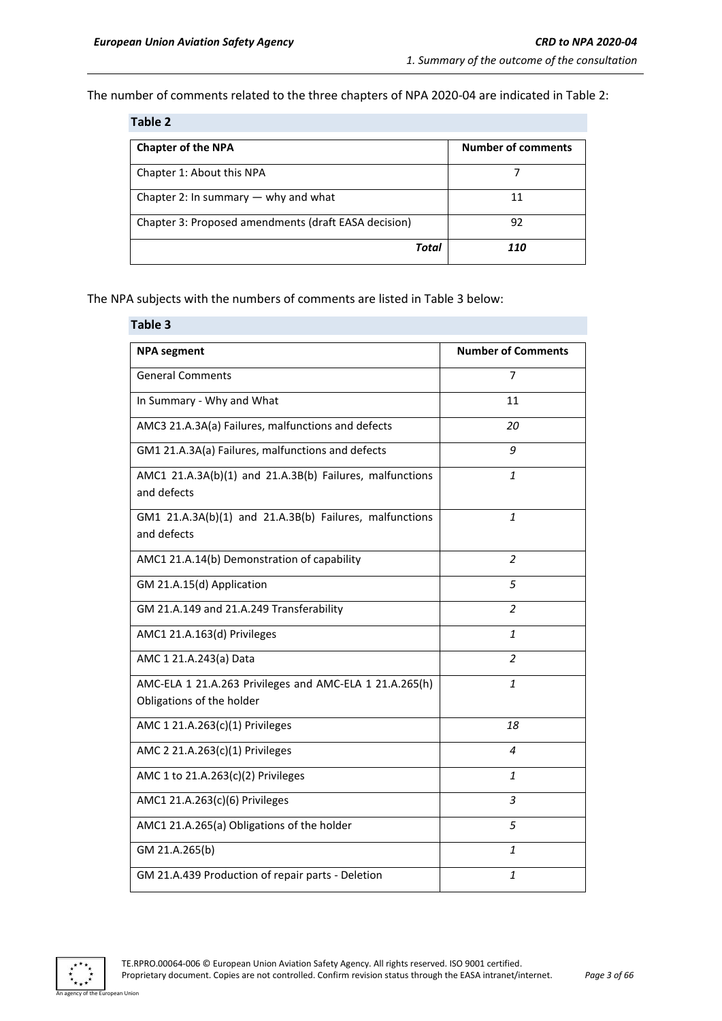The number of comments related to the three chapters of NPA 2020-04 are indicated in Table 2:

| Table 2                                              |                           |  |
|------------------------------------------------------|---------------------------|--|
| <b>Chapter of the NPA</b>                            | <b>Number of comments</b> |  |
| Chapter 1: About this NPA                            |                           |  |
| Chapter 2: In summary $-$ why and what               | 11                        |  |
| Chapter 3: Proposed amendments (draft EASA decision) | 92                        |  |
| Total                                                | 110                       |  |

The NPA subjects with the numbers of comments are listed in Table 3 below:

| Table 3                                                                              |                           |  |
|--------------------------------------------------------------------------------------|---------------------------|--|
| <b>NPA</b> segment                                                                   | <b>Number of Comments</b> |  |
| <b>General Comments</b>                                                              | 7                         |  |
| In Summary - Why and What                                                            | 11                        |  |
| AMC3 21.A.3A(a) Failures, malfunctions and defects                                   | 20                        |  |
| GM1 21.A.3A(a) Failures, malfunctions and defects                                    | 9                         |  |
| AMC1 21.A.3A(b)(1) and 21.A.3B(b) Failures, malfunctions<br>and defects              | 1                         |  |
| GM1 21.A.3A(b)(1) and 21.A.3B(b) Failures, malfunctions<br>and defects               | 1                         |  |
| AMC1 21.A.14(b) Demonstration of capability                                          | $\overline{2}$            |  |
| GM 21.A.15(d) Application                                                            | 5                         |  |
| GM 21.A.149 and 21.A.249 Transferability                                             | $\overline{2}$            |  |
| AMC1 21.A.163(d) Privileges                                                          | $\mathbf{1}$              |  |
| AMC 1 21.A.243(a) Data                                                               | $\overline{\phantom{a}}$  |  |
| AMC-ELA 1 21.A.263 Privileges and AMC-ELA 1 21.A.265(h)<br>Obligations of the holder | $\mathbf{1}$              |  |
| AMC 1 21.A.263(c)(1) Privileges                                                      | 18                        |  |
| AMC 2 21.A.263(c)(1) Privileges                                                      | 4                         |  |
| AMC 1 to 21.A.263(c)(2) Privileges                                                   | $\mathbf{1}$              |  |
| AMC1 21.A.263(c)(6) Privileges                                                       | 3                         |  |
| AMC1 21.A.265(a) Obligations of the holder                                           | 5                         |  |
| GM 21.A.265(b)                                                                       | 1                         |  |
| GM 21.A.439 Production of repair parts - Deletion                                    | 1                         |  |



.<br>Pan Union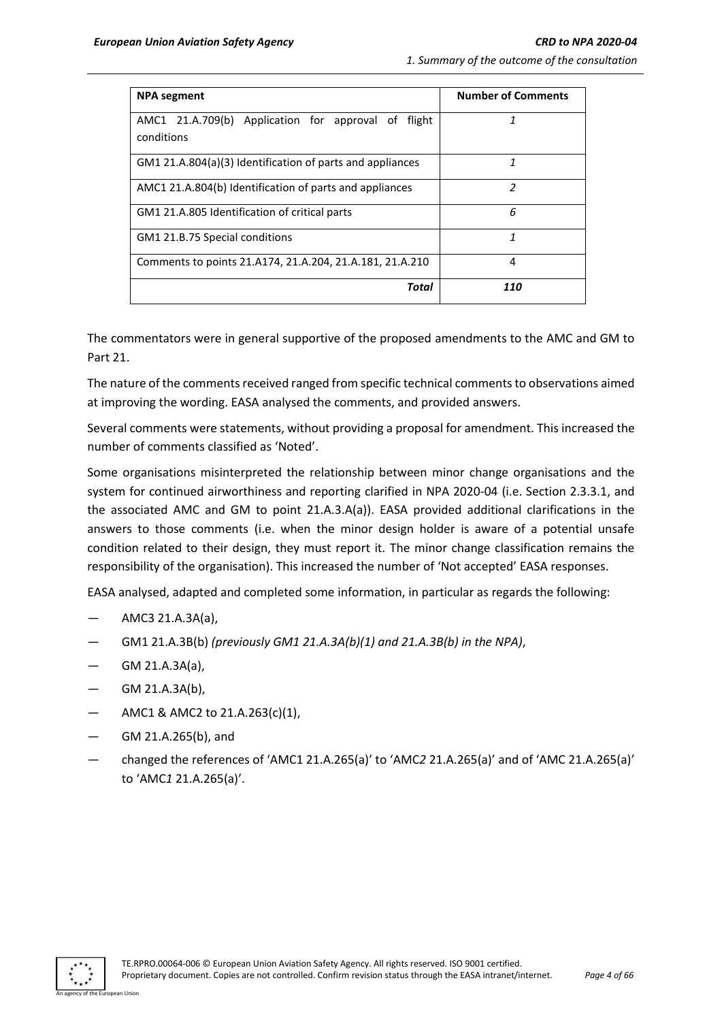| <b>NPA</b> segment                                        | <b>Number of Comments</b> |
|-----------------------------------------------------------|---------------------------|
| AMC1 21.A.709(b) Application for approval of<br>flight    | 1                         |
| conditions                                                |                           |
| GM1 21.A.804(a)(3) Identification of parts and appliances | 1                         |
| AMC1 21.A.804(b) Identification of parts and appliances   | $\mathfrak z$             |
| GM1 21.A.805 Identification of critical parts             | 6                         |
| GM1 21.B.75 Special conditions                            | 1                         |
| Comments to points 21.4174, 21.4.204, 21.4.181, 21.4.210  | 4                         |
| Total                                                     | 110                       |

The commentators were in general supportive of the proposed amendments to the AMC and GM to Part 21.

The nature of the comments received ranged from specific technical comments to observations aimed at improving the wording. EASA analysed the comments, and provided answers.

Several comments were statements, without providing a proposal for amendment. This increased the number of comments classified as 'Noted'.

Some organisations misinterpreted the relationship between minor change organisations and the system for continued airworthiness and reporting clarified in NPA 2020-04 (i.e. Section 2.3.3.1, and the associated AMC and GM to point 21.A.3.A(a)). EASA provided additional clarifications in the answers to those comments (i.e. when the minor design holder is aware of a potential unsafe condition related to their design, they must report it. The minor change classification remains the responsibility of the organisation). This increased the number of 'Not accepted' EASA responses.

EASA analysed, adapted and completed some information, in particular as regards the following:

- AMC3 21.A.3A(a),
- GM1 21.A.3B(b) *(previously GM1 21.A.3A(b)(1) and 21.A.3B(b) in the NPA)*,
- GM 21.A.3A(a),
- GM 21.A.3A(b),
- AMC1 & AMC2 to 21.A.263(c)(1),
- GM 21.A.265(b), and
- changed the references of 'AMC1 21.A.265(a)' to 'AMC*2* 21.A.265(a)' and of 'AMC 21.A.265(a)' to 'AMC*1* 21.A.265(a)'.

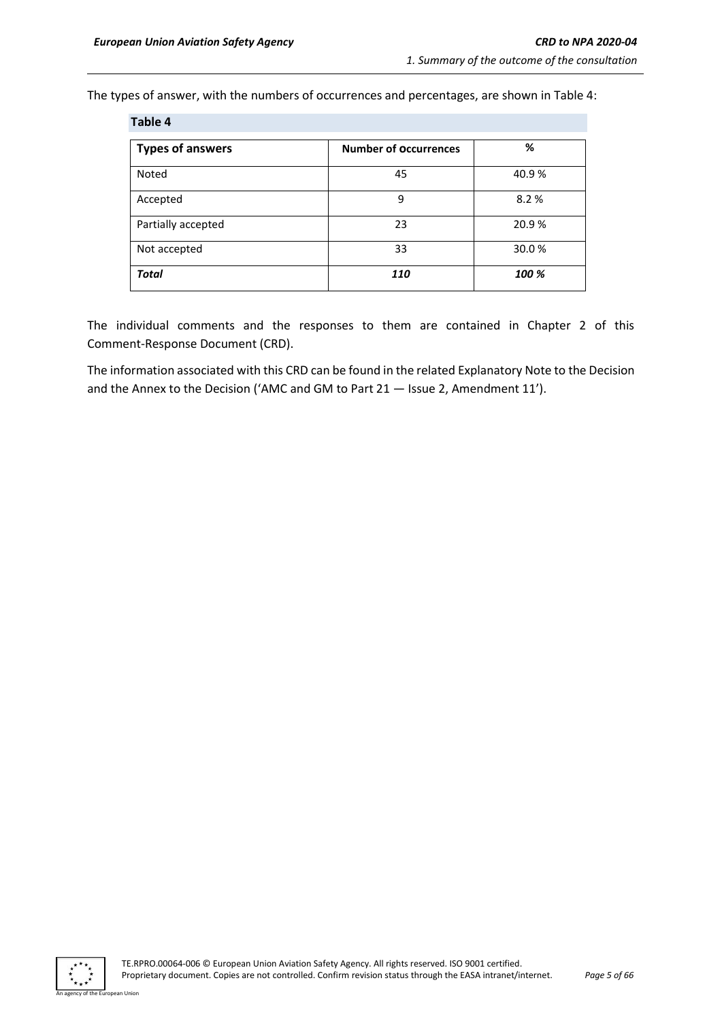The types of answer, with the numbers of occurrences and percentages, are shown in Table 4:

| Table 4                 |                              |       |
|-------------------------|------------------------------|-------|
| <b>Types of answers</b> | <b>Number of Occurrences</b> | %     |
| Noted                   | 45                           | 40.9% |
| Accepted                | 9                            | 8.2%  |
| Partially accepted      | 23                           | 20.9% |
| Not accepted            | 33                           | 30.0% |
| <b>Total</b>            | 110                          | 100 % |

The individual comments and the responses to them are contained in Chapter 2 of this Comment-Response Document (CRD).

The information associated with this CRD can be found in the related Explanatory Note to the Decision and the Annex to the Decision ('AMC and GM to Part 21 — Issue 2, Amendment 11').



n Hoio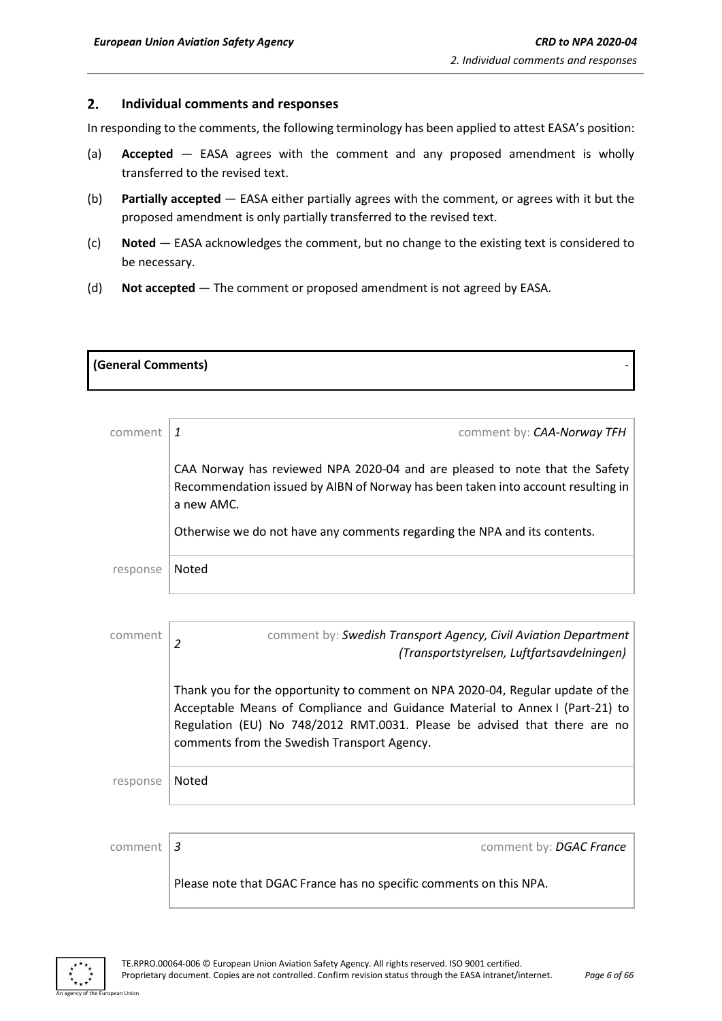#### <span id="page-5-0"></span> $2.$ **Individual comments and responses**

In responding to the comments, the following terminology has been applied to attest EASA's position:

- (a) **Accepted** EASA agrees with the comment and any proposed amendment is wholly transferred to the revised text.
- (b) **Partially accepted** EASA either partially agrees with the comment, or agrees with it but the proposed amendment is only partially transferred to the revised text.
- (c) **Noted** EASA acknowledges the comment, but no change to the existing text is considered to be necessary.
- (d) **Not accepted** The comment or proposed amendment is not agreed by EASA.

| (General Comments) |  |
|--------------------|--|
|                    |  |

| comment  | comment by: CAA-Norway TFH                                                                                                                                                    |
|----------|-------------------------------------------------------------------------------------------------------------------------------------------------------------------------------|
|          | CAA Norway has reviewed NPA 2020-04 and are pleased to note that the Safety<br>Recommendation issued by AIBN of Norway has been taken into account resulting in<br>a new AMC. |
|          | Otherwise we do not have any comments regarding the NPA and its contents.                                                                                                     |
| response | Noted                                                                                                                                                                         |

| comment  | comment by: Swedish Transport Agency, Civil Aviation Department<br>$\overline{2}$<br>(Transportstyrelsen, Luftfartsavdelningen)                                                                                                                                                            |
|----------|--------------------------------------------------------------------------------------------------------------------------------------------------------------------------------------------------------------------------------------------------------------------------------------------|
|          | Thank you for the opportunity to comment on NPA 2020-04, Regular update of the<br>Acceptable Means of Compliance and Guidance Material to Annex I (Part-21) to<br>Regulation (EU) No 748/2012 RMT.0031. Please be advised that there are no<br>comments from the Swedish Transport Agency. |
| response | Noted                                                                                                                                                                                                                                                                                      |
|          |                                                                                                                                                                                                                                                                                            |
| comment  | 3<br>comment by: DGAC France                                                                                                                                                                                                                                                               |
|          | Please note that DGAC France has no specific comments on this NPA.                                                                                                                                                                                                                         |

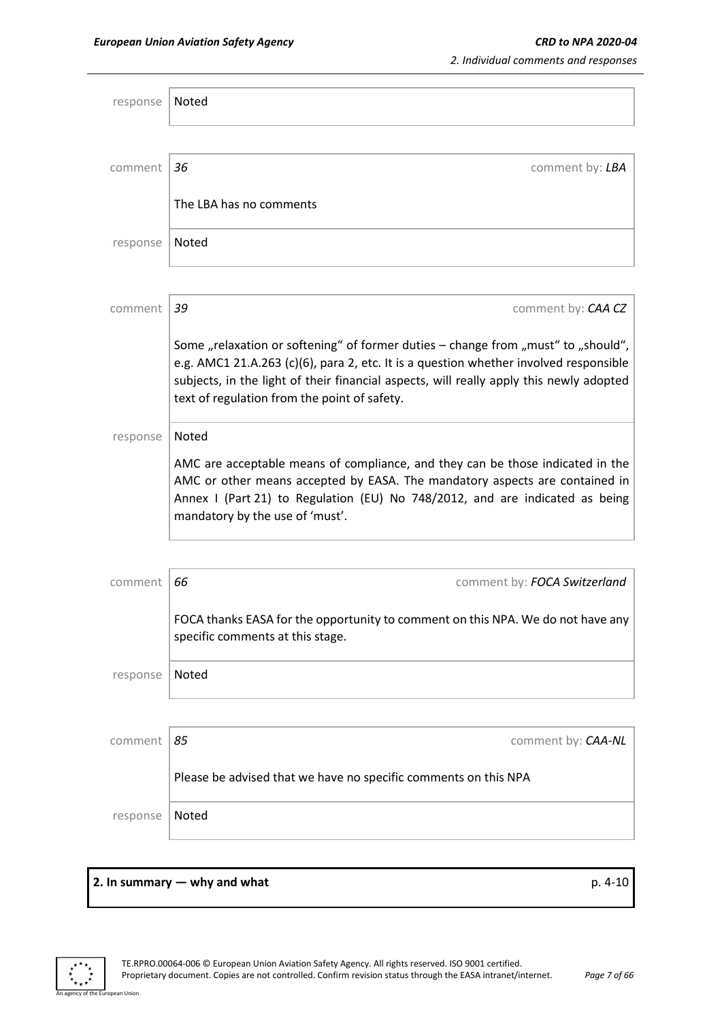| response | Noted                                                                                                                                                                                                                                                                                                                 |
|----------|-----------------------------------------------------------------------------------------------------------------------------------------------------------------------------------------------------------------------------------------------------------------------------------------------------------------------|
|          |                                                                                                                                                                                                                                                                                                                       |
| comment  | 36<br>comment by: LBA                                                                                                                                                                                                                                                                                                 |
|          | The LBA has no comments                                                                                                                                                                                                                                                                                               |
| response | Noted                                                                                                                                                                                                                                                                                                                 |
|          |                                                                                                                                                                                                                                                                                                                       |
| comment  | 39<br>comment by: CAA CZ                                                                                                                                                                                                                                                                                              |
|          | Some "relaxation or softening" of former duties - change from "must" to "should",<br>e.g. AMC1 21.A.263 (c)(6), para 2, etc. It is a question whether involved responsible<br>subjects, in the light of their financial aspects, will really apply this newly adopted<br>text of regulation from the point of safety. |
| response | Noted                                                                                                                                                                                                                                                                                                                 |
|          | AMC are acceptable means of compliance, and they can be those indicated in the<br>AMC or other means accepted by EASA. The mandatory aspects are contained in<br>Annex I (Part 21) to Regulation (EU) No 748/2012, and are indicated as being<br>mandatory by the use of 'must'.                                      |
|          |                                                                                                                                                                                                                                                                                                                       |
| comment  | 66<br>comment by: FOCA Switzerland                                                                                                                                                                                                                                                                                    |
|          | FOCA thanks EASA for the opportunity to comment on this NPA. We do not have any<br>specific comments at this stage.                                                                                                                                                                                                   |
| response | Noted                                                                                                                                                                                                                                                                                                                 |
|          |                                                                                                                                                                                                                                                                                                                       |
| comment  | 85<br>comment by: CAA-NL                                                                                                                                                                                                                                                                                              |
|          | Please be advised that we have no specific comments on this NPA                                                                                                                                                                                                                                                       |
| response | Noted                                                                                                                                                                                                                                                                                                                 |

### **2. In summary — why and what**  $p. 4-10$

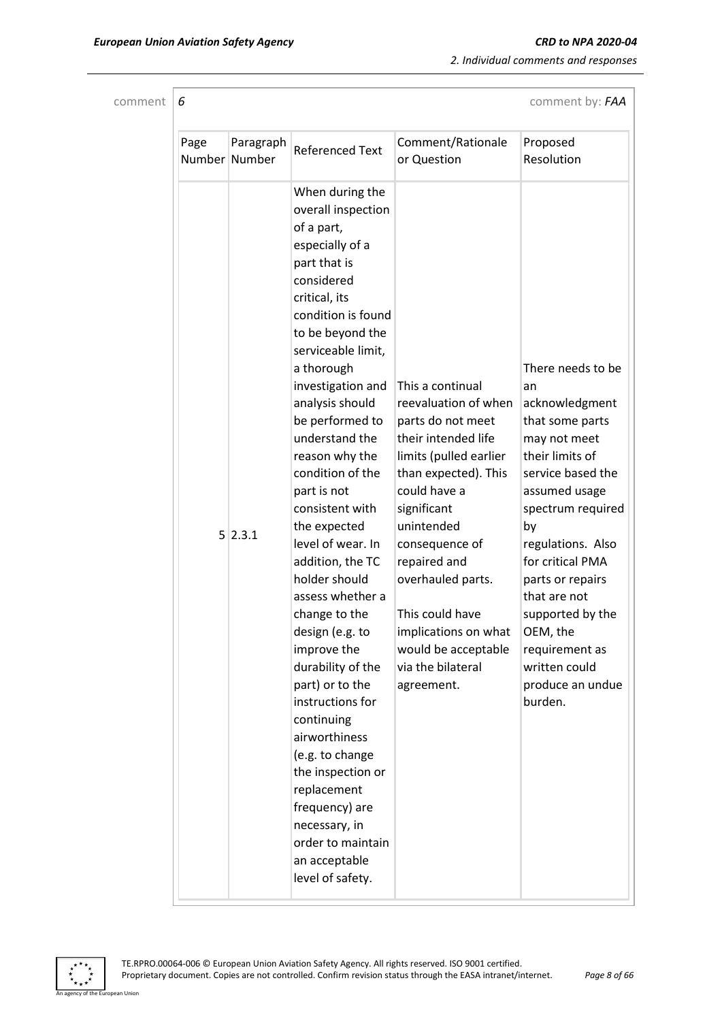*2. Individual comments and responses*

| comment |  |  |
|---------|--|--|
|         |  |  |

| comment $\mathsf{6}$ | comment by: FAA |
|----------------------|-----------------|
|                      |                 |

| Page | Paragraph<br>Number Number | <b>Referenced Text</b>                                                                                                                                                                                                                                                                                                                                                                                                                                                                                                                                                                                                                                                                                                                                   | Comment/Rationale<br>or Question                                                                                                                                                                                                                                                                                                                | Proposed<br>Resolution                                                                                                                                                                                                                                                                                                                          |
|------|----------------------------|----------------------------------------------------------------------------------------------------------------------------------------------------------------------------------------------------------------------------------------------------------------------------------------------------------------------------------------------------------------------------------------------------------------------------------------------------------------------------------------------------------------------------------------------------------------------------------------------------------------------------------------------------------------------------------------------------------------------------------------------------------|-------------------------------------------------------------------------------------------------------------------------------------------------------------------------------------------------------------------------------------------------------------------------------------------------------------------------------------------------|-------------------------------------------------------------------------------------------------------------------------------------------------------------------------------------------------------------------------------------------------------------------------------------------------------------------------------------------------|
|      | 5 2.3.1                    | When during the<br>overall inspection<br>of a part,<br>especially of a<br>part that is<br>considered<br>critical, its<br>condition is found<br>to be beyond the<br>serviceable limit,<br>a thorough<br>investigation and<br>analysis should<br>be performed to<br>understand the<br>reason why the<br>condition of the<br>part is not<br>consistent with<br>the expected<br>level of wear. In<br>addition, the TC<br>holder should<br>assess whether a<br>change to the<br>design (e.g. to<br>improve the<br>durability of the<br>part) or to the<br>instructions for<br>continuing<br>airworthiness<br>(e.g. to change<br>the inspection or<br>replacement<br>frequency) are<br>necessary, in<br>order to maintain<br>an acceptable<br>level of safety. | This a continual<br>reevaluation of when<br>parts do not meet<br>their intended life<br>limits (pulled earlier<br>than expected). This<br>could have a<br>significant<br>unintended<br>consequence of<br>repaired and<br>overhauled parts.<br>This could have<br>implications on what<br>would be acceptable<br>via the bilateral<br>agreement. | There needs to be<br>an<br>acknowledgment<br>that some parts<br>may not meet<br>their limits of<br>service based the<br>assumed usage<br>spectrum required<br>by<br>regulations. Also<br>for critical PMA<br>parts or repairs<br>that are not<br>supported by the<br>OEM, the<br>requirement as<br>written could<br>produce an undue<br>burden. |

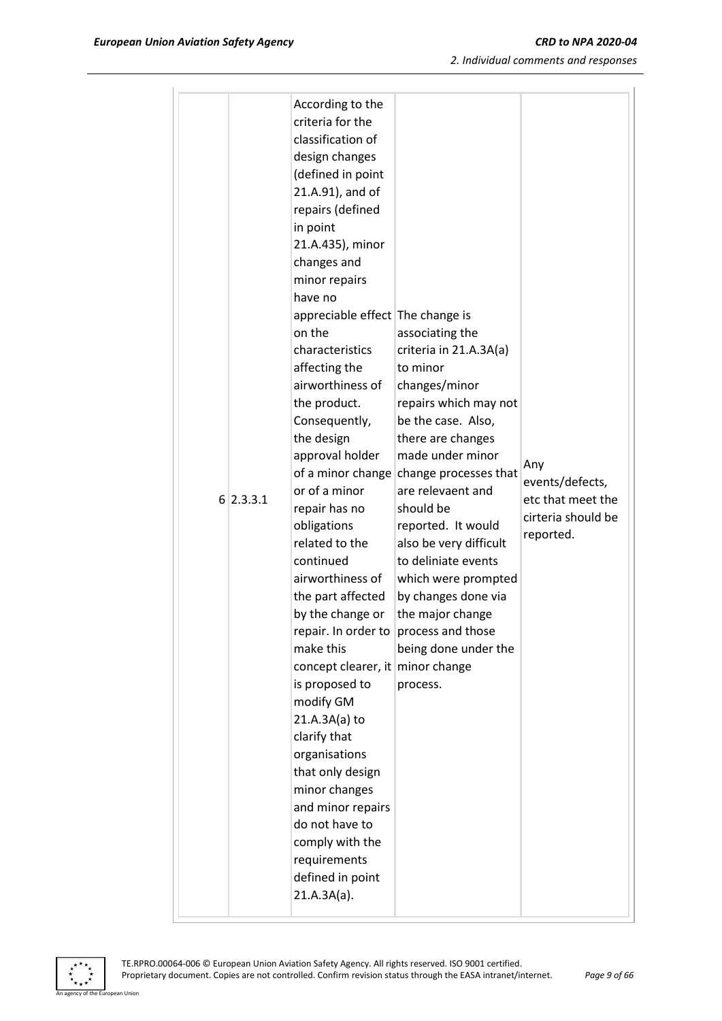|             | According to the<br>criteria for the  |                                         |                        |
|-------------|---------------------------------------|-----------------------------------------|------------------------|
|             | classification of                     |                                         |                        |
|             |                                       |                                         |                        |
|             | design changes<br>(defined in point   |                                         |                        |
|             | 21.A.91), and of                      |                                         |                        |
|             | repairs (defined                      |                                         |                        |
|             | in point                              |                                         |                        |
|             | 21.A.435), minor                      |                                         |                        |
|             | changes and                           |                                         |                        |
|             | minor repairs                         |                                         |                        |
|             | have no                               |                                         |                        |
|             | appreciable effect The change is      |                                         |                        |
|             | on the                                | associating the                         |                        |
|             | characteristics                       | criteria in 21.A.3A(a)                  |                        |
|             | affecting the                         | to minor                                |                        |
|             | airworthiness of                      | changes/minor                           |                        |
|             | the product.                          | repairs which may not                   |                        |
|             | Consequently,                         | be the case. Also,                      |                        |
|             | the design                            | there are changes                       |                        |
|             | approval holder                       | made under minor                        |                        |
|             |                                       | of a minor change change processes that | Any<br>events/defects, |
| $6$ 2.3.3.1 | or of a minor                         | are relevaent and                       | etc that meet the      |
|             | repair has no                         | should be                               | cirteria should be     |
|             | obligations                           | reported. It would                      | reported.              |
|             | related to the                        | also be very difficult                  |                        |
|             | continued                             | to deliniate events                     |                        |
|             | airworthiness of                      | which were prompted                     |                        |
|             | the part affected                     | by changes done via                     |                        |
|             | by the change or                      | the major change                        |                        |
|             | repair. In order to process and those |                                         |                        |
|             | make this                             | being done under the                    |                        |
|             | concept clearer, it minor change      |                                         |                        |
|             | is proposed to                        | process.                                |                        |
|             | modify GM                             |                                         |                        |
|             | 21.A.3A(a) to                         |                                         |                        |
|             | clarify that                          |                                         |                        |
|             | organisations                         |                                         |                        |
|             | that only design<br>minor changes     |                                         |                        |
|             | and minor repairs                     |                                         |                        |
|             | do not have to                        |                                         |                        |
|             | comply with the                       |                                         |                        |
|             |                                       |                                         |                        |
|             |                                       |                                         |                        |
|             | requirements                          |                                         |                        |
|             | defined in point<br>21.A.3A(a).       |                                         |                        |

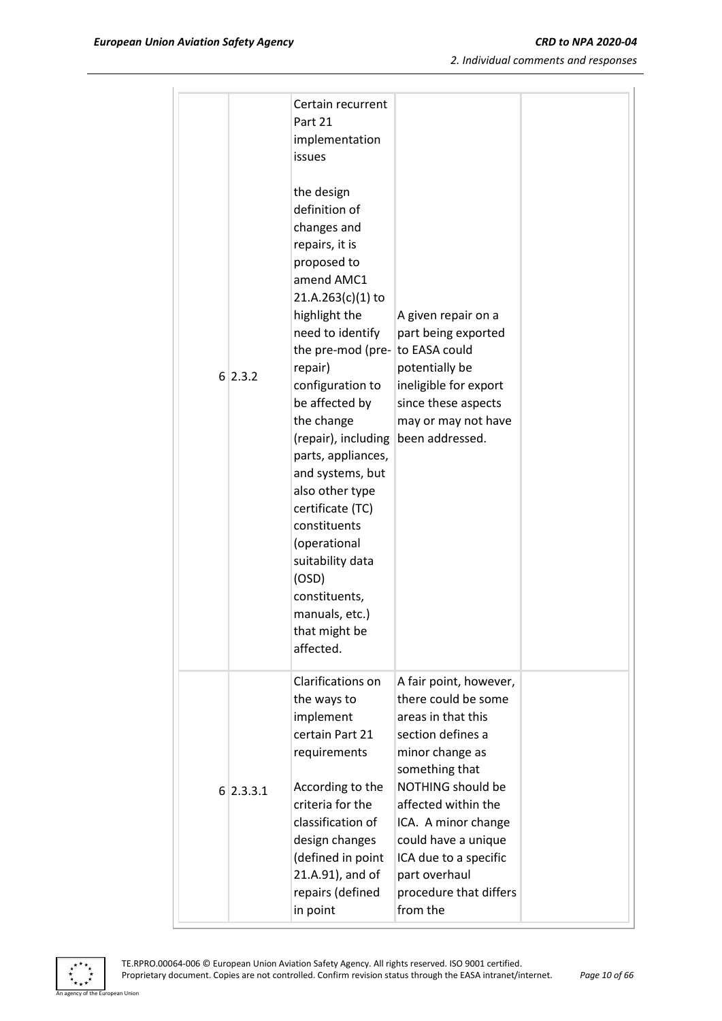| 6 2.3.2     | Certain recurrent<br>Part 21<br>implementation<br>issues<br>the design<br>definition of<br>changes and<br>repairs, it is<br>proposed to<br>amend AMC1<br>$21.A.263(c)(1)$ to<br>highlight the<br>need to identify<br>the pre-mod (pre- to EASA could<br>repair)<br>configuration to<br>be affected by<br>the change<br>(repair), including<br>parts, appliances,<br>and systems, but<br>also other type<br>certificate (TC)<br>constituents<br>(operational<br>suitability data<br>(OSD)<br>constituents,<br>manuals, etc.)<br>that might be<br>affected. | A given repair on a<br>part being exported<br>potentially be<br>ineligible for export<br>since these aspects<br>may or may not have<br>been addressed.                                                                                                                                                  |  |
|-------------|-----------------------------------------------------------------------------------------------------------------------------------------------------------------------------------------------------------------------------------------------------------------------------------------------------------------------------------------------------------------------------------------------------------------------------------------------------------------------------------------------------------------------------------------------------------|---------------------------------------------------------------------------------------------------------------------------------------------------------------------------------------------------------------------------------------------------------------------------------------------------------|--|
| $6$ 2.3.3.1 | Clarifications on<br>the ways to<br>implement<br>certain Part 21<br>requirements<br>According to the<br>criteria for the<br>classification of<br>design changes<br>(defined in point<br>21.A.91), and of<br>repairs (defined<br>in point                                                                                                                                                                                                                                                                                                                  | A fair point, however,<br>there could be some<br>areas in that this<br>section defines a<br>minor change as<br>something that<br>NOTHING should be<br>affected within the<br>ICA. A minor change<br>could have a unique<br>ICA due to a specific<br>part overhaul<br>procedure that differs<br>from the |  |

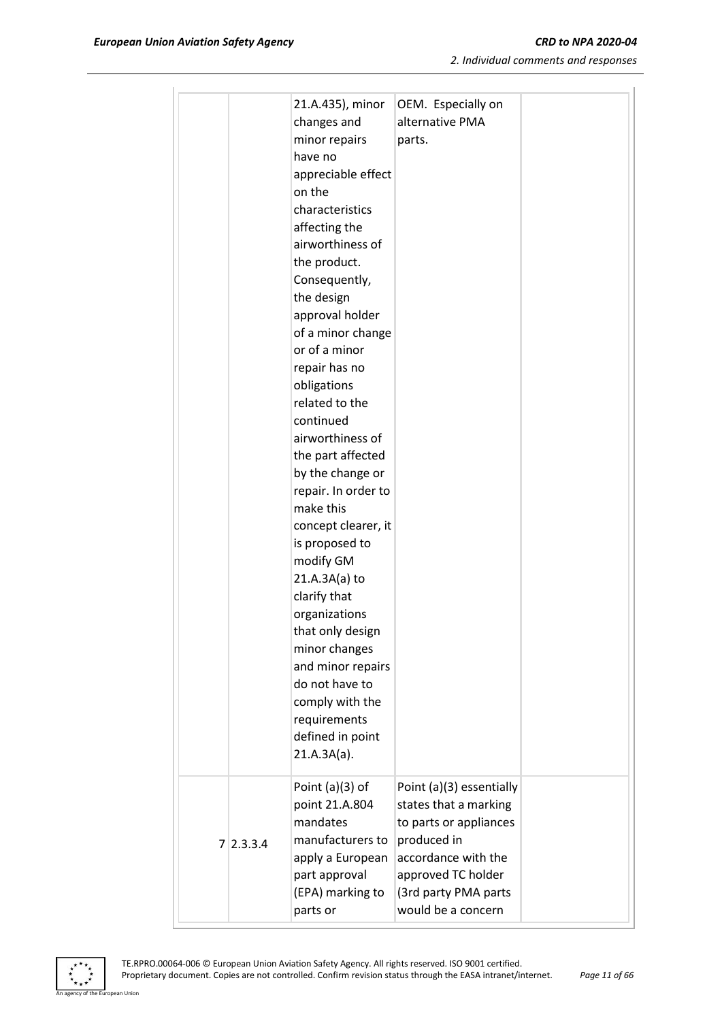|           | 21.A.435), minor<br>changes and<br>minor repairs<br>have no<br>appreciable effect<br>on the<br>characteristics<br>affecting the<br>airworthiness of                                                | OEM. Especially on<br>alternative PMA<br>parts.                                                                                                                                       |  |
|-----------|----------------------------------------------------------------------------------------------------------------------------------------------------------------------------------------------------|---------------------------------------------------------------------------------------------------------------------------------------------------------------------------------------|--|
|           | the product.<br>Consequently,<br>the design<br>approval holder<br>of a minor change<br>or of a minor<br>repair has no<br>obligations<br>related to the<br>continued                                |                                                                                                                                                                                       |  |
|           | airworthiness of<br>the part affected<br>by the change or<br>repair. In order to<br>make this<br>concept clearer, it<br>is proposed to<br>modify GM                                                |                                                                                                                                                                                       |  |
|           | $21.A.3A(a)$ to<br>clarify that<br>organizations<br>that only design<br>minor changes<br>and minor repairs<br>do not have to<br>comply with the<br>requirements<br>defined in point<br>21.A.3A(a). |                                                                                                                                                                                       |  |
| 7 2.3.3.4 | Point $(a)(3)$ of<br>point 21.A.804<br>mandates<br>manufacturers to<br>apply a European<br>part approval<br>(EPA) marking to<br>parts or                                                           | Point (a)(3) essentially<br>states that a marking<br>to parts or appliances<br>produced in<br>accordance with the<br>approved TC holder<br>(3rd party PMA parts<br>would be a concern |  |

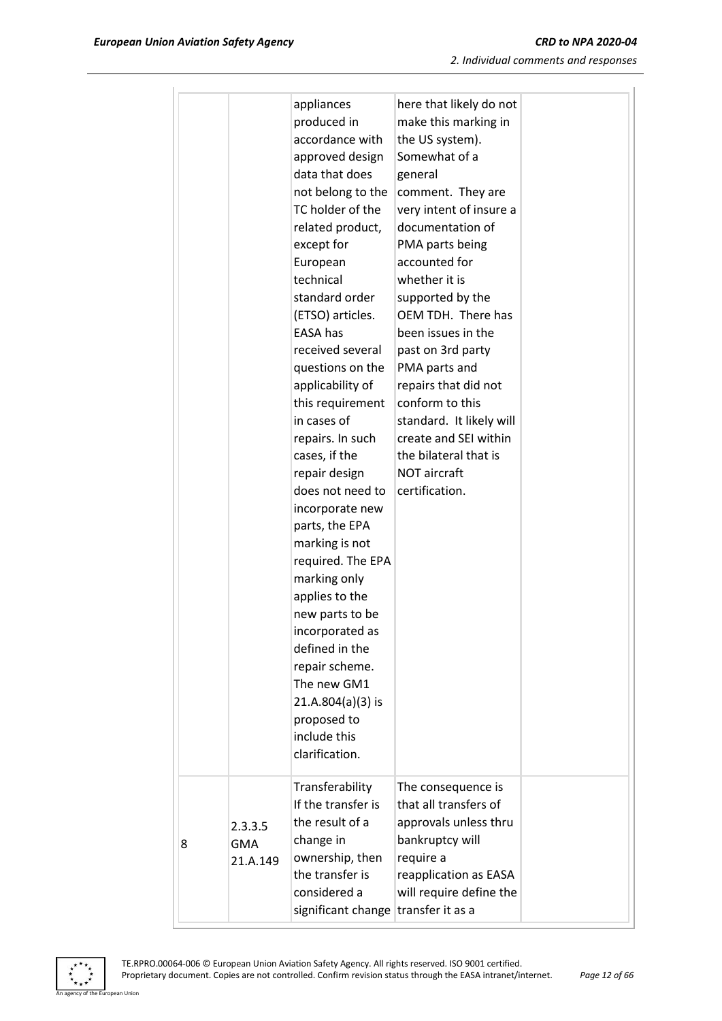|                                   | appliances<br>produced in<br>accordance with<br>approved design<br>data that does<br>not belong to the<br>TC holder of the<br>related product,<br>except for<br>European<br>technical<br>standard order<br>(ETSO) articles.<br>EASA has<br>received several<br>questions on the<br>applicability of<br>this requirement<br>in cases of<br>repairs. In such<br>cases, if the<br>repair design<br>does not need to<br>incorporate new<br>parts, the EPA<br>marking is not<br>required. The EPA<br>marking only<br>applies to the<br>new parts to be<br>incorporated as<br>defined in the<br>repair scheme.<br>The new GM1<br>$21.A.804(a)(3)$ is<br>proposed to<br>include this<br>clarification. | here that likely do not<br>make this marking in<br>the US system).<br>Somewhat of a<br>general<br>comment. They are<br>very intent of insure a<br>documentation of<br>PMA parts being<br>accounted for<br>whether it is<br>supported by the<br>OEM TDH. There has<br>been issues in the<br>past on 3rd party<br>PMA parts and<br>repairs that did not<br>conform to this<br>standard. It likely will<br>create and SEI within<br>the bilateral that is<br><b>NOT aircraft</b><br>certification. |  |
|-----------------------------------|-------------------------------------------------------------------------------------------------------------------------------------------------------------------------------------------------------------------------------------------------------------------------------------------------------------------------------------------------------------------------------------------------------------------------------------------------------------------------------------------------------------------------------------------------------------------------------------------------------------------------------------------------------------------------------------------------|-------------------------------------------------------------------------------------------------------------------------------------------------------------------------------------------------------------------------------------------------------------------------------------------------------------------------------------------------------------------------------------------------------------------------------------------------------------------------------------------------|--|
| 2.3.3.5<br><b>GMA</b><br>21.A.149 | Transferability<br>If the transfer is<br>the result of a<br>change in<br>ownership, then<br>the transfer is<br>considered a<br>significant change transfer it as a                                                                                                                                                                                                                                                                                                                                                                                                                                                                                                                              | The consequence is<br>that all transfers of<br>approvals unless thru<br>bankruptcy will<br>require a<br>reapplication as EASA<br>will require define the                                                                                                                                                                                                                                                                                                                                        |  |



8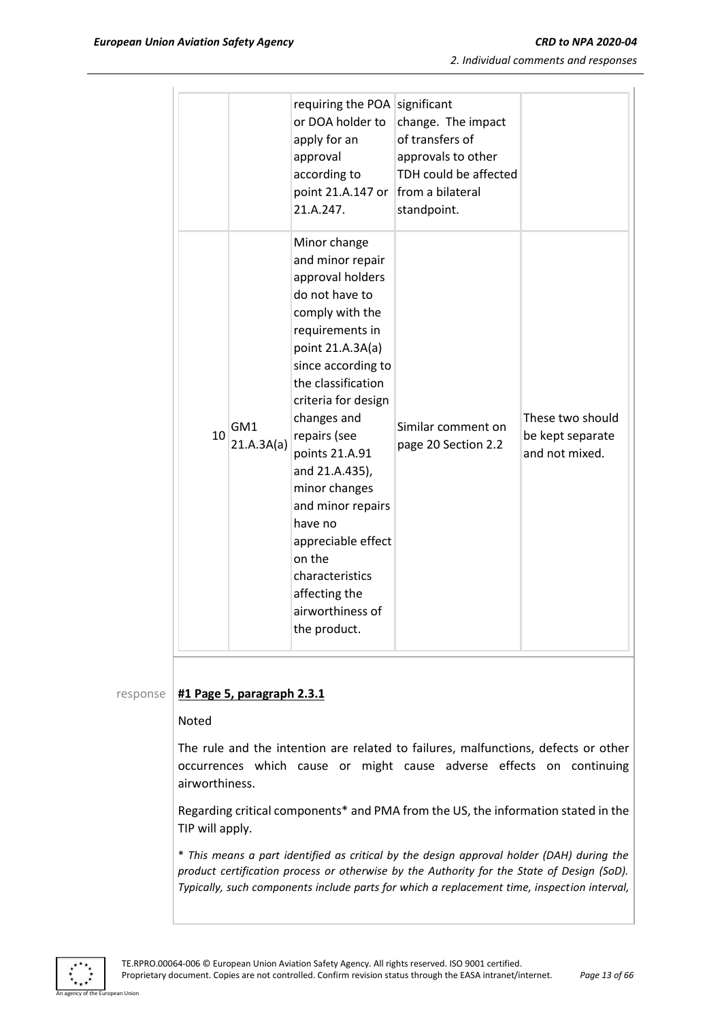| 2. Individual comments and responses |  |  |  |
|--------------------------------------|--|--|--|
|--------------------------------------|--|--|--|

|    |                   | requiring the POA<br>or DOA holder to<br>apply for an<br>approval<br>according to<br>point 21.A.147 or<br>21.A.247.                                                                                                                                                                                                                                                                                                             | significant<br>change. The impact<br>of transfers of<br>approvals to other<br>TDH could be affected<br>from a bilateral<br>standpoint. |                                                        |
|----|-------------------|---------------------------------------------------------------------------------------------------------------------------------------------------------------------------------------------------------------------------------------------------------------------------------------------------------------------------------------------------------------------------------------------------------------------------------|----------------------------------------------------------------------------------------------------------------------------------------|--------------------------------------------------------|
| 10 | GM1<br>21.A.3A(a) | Minor change<br>and minor repair<br>approval holders<br>do not have to<br>comply with the<br>requirements in<br>point 21.A.3A(a)<br>since according to<br>the classification<br>criteria for design<br>changes and<br>repairs (see<br>points 21.A.91<br>and 21.A.435),<br>minor changes<br>and minor repairs<br>have no<br>appreciable effect<br>on the<br>characteristics<br>affecting the<br>airworthiness of<br>the product. | Similar comment on<br>page 20 Section 2.2                                                                                              | These two should<br>be kept separate<br>and not mixed. |

#### response **#1 Page 5, paragraph 2.3.1**

#### Noted

The rule and the intention are related to failures, malfunctions, defects or other occurrences which cause or might cause adverse effects on continuing airworthiness.

Regarding critical components\* and PMA from the US, the information stated in the TIP will apply.

\* *This means a part identified as critical by the design approval holder (DAH) during the product certification process or otherwise by the Authority for the State of Design (SoD). Typically, such components include parts for which a replacement time, inspection interval,* 

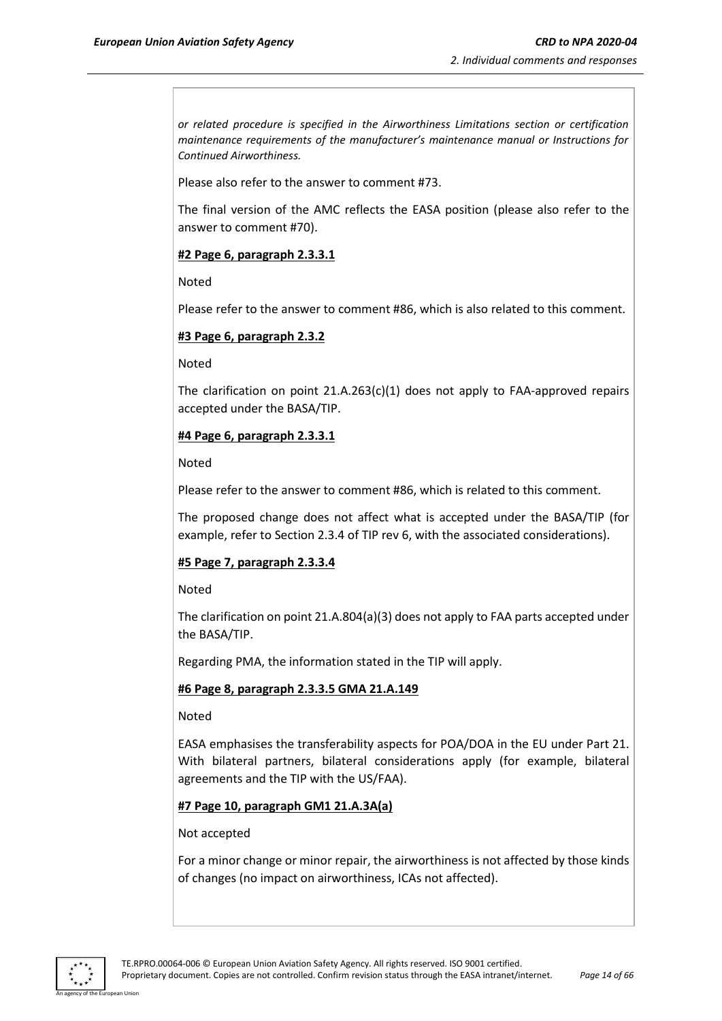*or related procedure is specified in the Airworthiness Limitations section or certification maintenance requirements of the manufacturer's maintenance manual or Instructions for Continued Airworthiness.*

Please also refer to the answer to comment #73.

The final version of the AMC reflects the EASA position (please also refer to the answer to comment #70).

#### **#2 Page 6, paragraph 2.3.3.1**

Noted

Please refer to the answer to comment #86, which is also related to this comment.

#### **#3 Page 6, paragraph 2.3.2**

Noted

The clarification on point 21.A.263(c)(1) does not apply to FAA-approved repairs accepted under the BASA/TIP.

#### **#4 Page 6, paragraph 2.3.3.1**

Noted

Please refer to the answer to comment #86, which is related to this comment.

The proposed change does not affect what is accepted under the BASA/TIP (for example, refer to Section 2.3.4 of TIP rev 6, with the associated considerations).

#### **#5 Page 7, paragraph 2.3.3.4**

Noted

The clarification on point 21.A.804(a)(3) does not apply to FAA parts accepted under the BASA/TIP.

Regarding PMA, the information stated in the TIP will apply.

#### **#6 Page 8, paragraph 2.3.3.5 GMA 21.A.149**

Noted

EASA emphasises the transferability aspects for POA/DOA in the EU under Part 21. With bilateral partners, bilateral considerations apply (for example, bilateral agreements and the TIP with the US/FAA).

#### **#7 Page 10, paragraph GM1 21.A.3A(a)**

Not accepted

For a minor change or minor repair, the airworthiness is not affected by those kinds of changes (no impact on airworthiness, ICAs not affected).

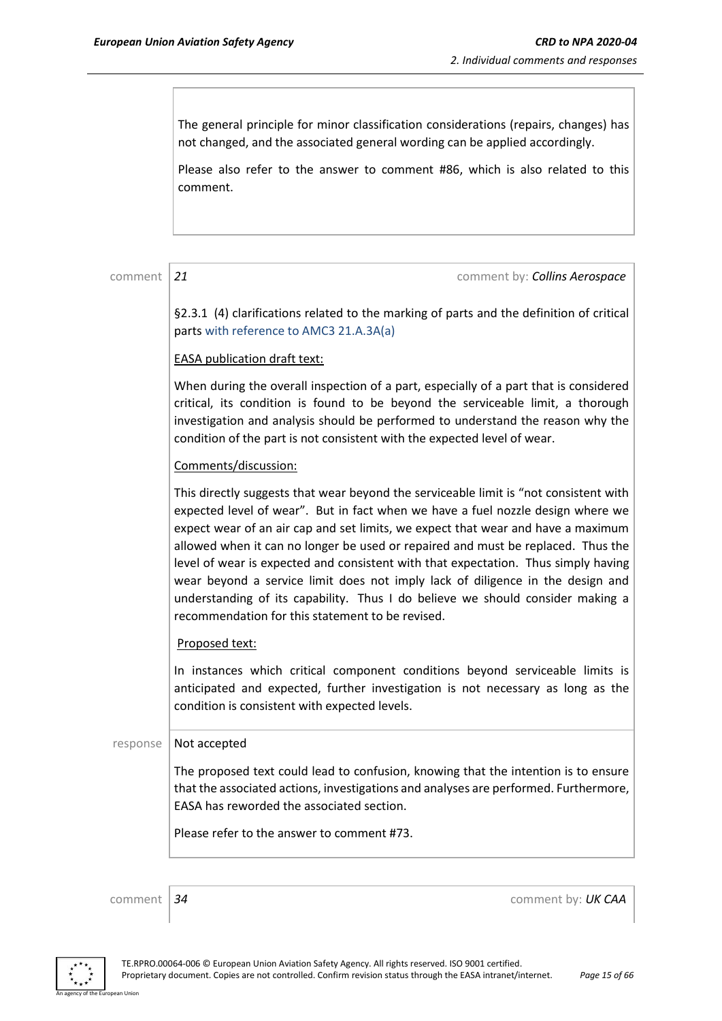The general principle for minor classification considerations (repairs, changes) has not changed, and the associated general wording can be applied accordingly.

Please also refer to the answer to comment #86, which is also related to this comment.

comment 21 comment 21

§2.3.1 (4) clarifications related to the marking of parts and the definition of critical parts with reference to AMC3 21.A.3A(a)

#### EASA publication draft text:

When during the overall inspection of a part, especially of a part that is considered critical, its condition is found to be beyond the serviceable limit, a thorough investigation and analysis should be performed to understand the reason why the condition of the part is not consistent with the expected level of wear.

#### Comments/discussion:

This directly suggests that wear beyond the serviceable limit is "not consistent with expected level of wear". But in fact when we have a fuel nozzle design where we expect wear of an air cap and set limits, we expect that wear and have a maximum allowed when it can no longer be used or repaired and must be replaced. Thus the level of wear is expected and consistent with that expectation. Thus simply having wear beyond a service limit does not imply lack of diligence in the design and understanding of its capability. Thus I do believe we should consider making a recommendation for this statement to be revised.

#### Proposed text:

In instances which critical component conditions beyond serviceable limits is anticipated and expected, further investigation is not necessary as long as the condition is consistent with expected levels.

#### response  $\vert$  Not accepted

The proposed text could lead to confusion, knowing that the intention is to ensure that the associated actions, investigations and analyses are performed. Furthermore, EASA has reworded the associated section.

Please refer to the answer to comment #73.

comment *34* comment by: *UK CAA*

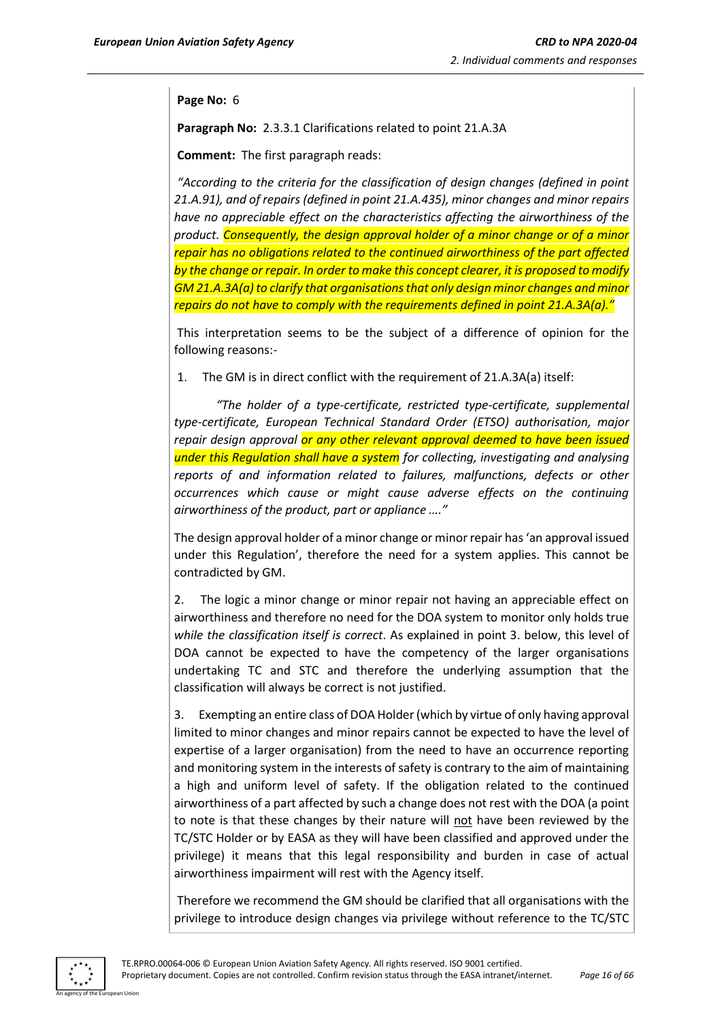#### **Page No:** 6

**Paragraph No:** 2.3.3.1 Clarifications related to point 21.A.3A

**Comment:** The first paragraph reads:

*"According to the criteria for the classification of design changes (defined in point 21.A.91), and of repairs (defined in point 21.A.435), minor changes and minor repairs have no appreciable effect on the characteristics affecting the airworthiness of the product. Consequently, the design approval holder of a minor change or of a minor repair has no obligations related to the continued airworthiness of the part affected by the change or repair. In order to make this concept clearer, it is proposed to modify GM 21.A.3A(a) to clarify that organisations that only design minor changes and minor repairs do not have to comply with the requirements defined in point 21.A.3A(a)."*

This interpretation seems to be the subject of a difference of opinion for the following reasons:-

1. The GM is in direct conflict with the requirement of 21.A.3A(a) itself:

 *"The holder of a type-certificate, restricted type-certificate, supplemental type-certificate, European Technical Standard Order (ETSO) authorisation, major repair design approval or any other relevant approval deemed to have been issued under this Regulation shall have a system for collecting, investigating and analysing reports of and information related to failures, malfunctions, defects or other occurrences which cause or might cause adverse effects on the continuing airworthiness of the product, part or appliance …."*

The design approval holder of a minor change or minor repair has 'an approval issued under this Regulation', therefore the need for a system applies. This cannot be contradicted by GM.

2. The logic a minor change or minor repair not having an appreciable effect on airworthiness and therefore no need for the DOA system to monitor only holds true *while the classification itself is correct*. As explained in point 3. below, this level of DOA cannot be expected to have the competency of the larger organisations undertaking TC and STC and therefore the underlying assumption that the classification will always be correct is not justified.

3. Exempting an entire class of DOA Holder (which by virtue of only having approval limited to minor changes and minor repairs cannot be expected to have the level of expertise of a larger organisation) from the need to have an occurrence reporting and monitoring system in the interests of safety is contrary to the aim of maintaining a high and uniform level of safety. If the obligation related to the continued airworthiness of a part affected by such a change does not rest with the DOA (a point to note is that these changes by their nature will not have been reviewed by the TC/STC Holder or by EASA as they will have been classified and approved under the privilege) it means that this legal responsibility and burden in case of actual airworthiness impairment will rest with the Agency itself.

Therefore we recommend the GM should be clarified that all organisations with the privilege to introduce design changes via privilege without reference to the TC/STC

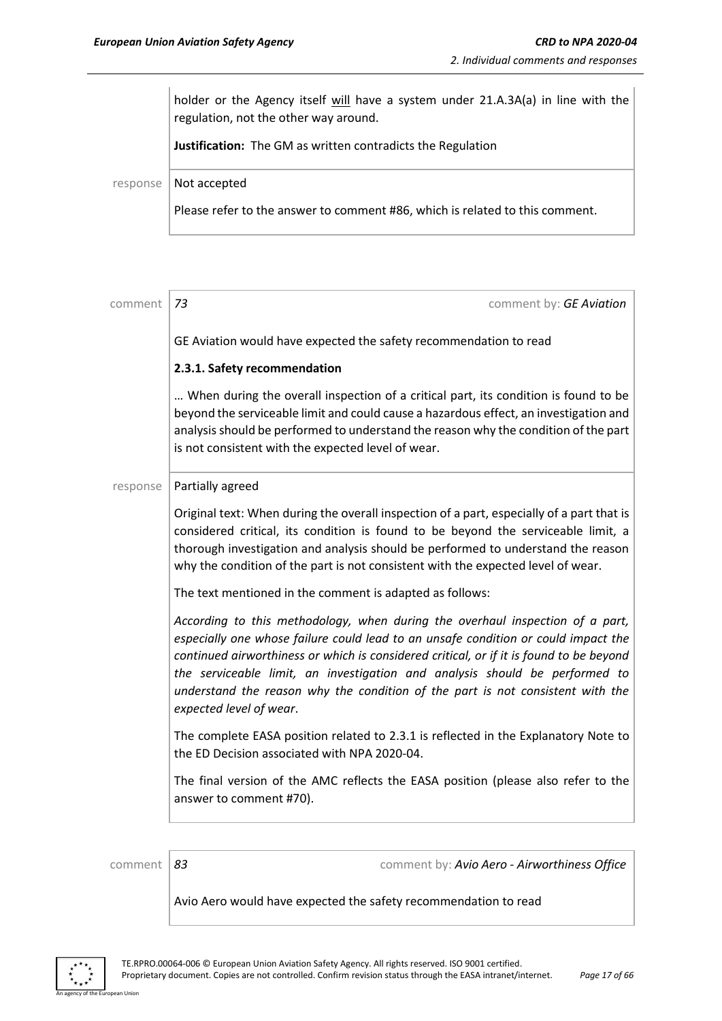holder or the Agency itself will have a system under 21.A.3A(a) in line with the regulation, not the other way around.

**Justification:** The GM as written contradicts the Regulation

response | Not accepted

Please refer to the answer to comment #86, which is related to this comment.

| comment  | 73<br>comment by: GE Aviation                                                                                                                                                                                                                                                                                                                                                                                                                              |
|----------|------------------------------------------------------------------------------------------------------------------------------------------------------------------------------------------------------------------------------------------------------------------------------------------------------------------------------------------------------------------------------------------------------------------------------------------------------------|
|          | GE Aviation would have expected the safety recommendation to read                                                                                                                                                                                                                                                                                                                                                                                          |
|          | 2.3.1. Safety recommendation                                                                                                                                                                                                                                                                                                                                                                                                                               |
|          | When during the overall inspection of a critical part, its condition is found to be<br>beyond the serviceable limit and could cause a hazardous effect, an investigation and<br>analysis should be performed to understand the reason why the condition of the part<br>is not consistent with the expected level of wear.                                                                                                                                  |
| response | Partially agreed                                                                                                                                                                                                                                                                                                                                                                                                                                           |
|          | Original text: When during the overall inspection of a part, especially of a part that is<br>considered critical, its condition is found to be beyond the serviceable limit, a<br>thorough investigation and analysis should be performed to understand the reason<br>why the condition of the part is not consistent with the expected level of wear.                                                                                                     |
|          | The text mentioned in the comment is adapted as follows:                                                                                                                                                                                                                                                                                                                                                                                                   |
|          | According to this methodology, when during the overhaul inspection of a part,<br>especially one whose failure could lead to an unsafe condition or could impact the<br>continued airworthiness or which is considered critical, or if it is found to be beyond<br>the serviceable limit, an investigation and analysis should be performed to<br>understand the reason why the condition of the part is not consistent with the<br>expected level of wear. |
|          | The complete EASA position related to 2.3.1 is reflected in the Explanatory Note to<br>the ED Decision associated with NPA 2020-04.                                                                                                                                                                                                                                                                                                                        |
|          | The final version of the AMC reflects the EASA position (please also refer to the<br>answer to comment #70).                                                                                                                                                                                                                                                                                                                                               |
|          |                                                                                                                                                                                                                                                                                                                                                                                                                                                            |
| comment  | comment by: Avio Aero - Airworthiness Office<br>83                                                                                                                                                                                                                                                                                                                                                                                                         |

Avio Aero would have expected the safety recommendation to read



n Hoio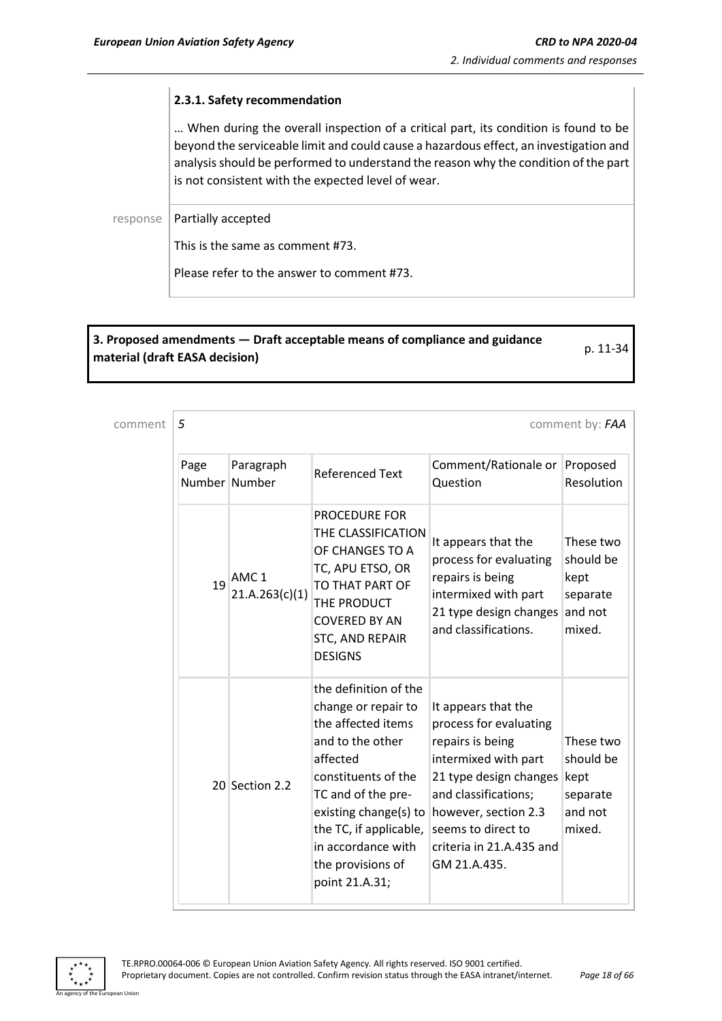#### **2.3.1. Safety recommendation**

… When during the overall inspection of a critical part, its condition is found to be beyond the serviceable limit and could cause a hazardous effect, an investigation and analysis should be performed to understand the reason why the condition of the part is not consistent with the expected level of wear.

response | Partially accepted

This is the same as comment #73.

Please refer to the answer to comment #73.

## **3. Proposed amendments — Draft acceptable means of compliance and guidance material (draft EASA decision)** p. 11-34

comment **5** comment **5** 

| Page<br>Number Number | Paragraph                          | Referenced Text                                                                                                                                                                                                                                                 | Comment/Rationale or<br>Question                                                                                                                                                                                                      | Proposed<br>Resolution                                          |
|-----------------------|------------------------------------|-----------------------------------------------------------------------------------------------------------------------------------------------------------------------------------------------------------------------------------------------------------------|---------------------------------------------------------------------------------------------------------------------------------------------------------------------------------------------------------------------------------------|-----------------------------------------------------------------|
| 19                    | AMC <sub>1</sub><br>21.A.263(c)(1) | <b>PROCEDURE FOR</b><br>THE CLASSIFICATION<br>OF CHANGES TO A<br>TC, APU ETSO, OR<br>TO THAT PART OF<br>THE PRODUCT<br><b>COVERED BY AN</b><br>STC, AND REPAIR<br><b>DESIGNS</b>                                                                                | It appears that the<br>process for evaluating<br>repairs is being<br>intermixed with part<br>21 type design changes<br>and classifications.                                                                                           | These two<br>should be<br>kept<br>separate<br>and not<br>mixed. |
|                       | 20 Section 2.2                     | the definition of the<br>change or repair to<br>the affected items<br>and to the other<br>affected<br>constituents of the<br>TC and of the pre-<br>existing change(s) to<br>the TC, if applicable,<br>in accordance with<br>the provisions of<br>point 21.A.31; | It appears that the<br>process for evaluating<br>repairs is being<br>intermixed with part<br>21 type design changes<br>and classifications;<br>however, section 2.3<br>seems to direct to<br>criteria in 21.A.435 and<br>GM 21.A.435. | These two<br>should be<br>kept<br>separate<br>and not<br>mixed. |

n Hoic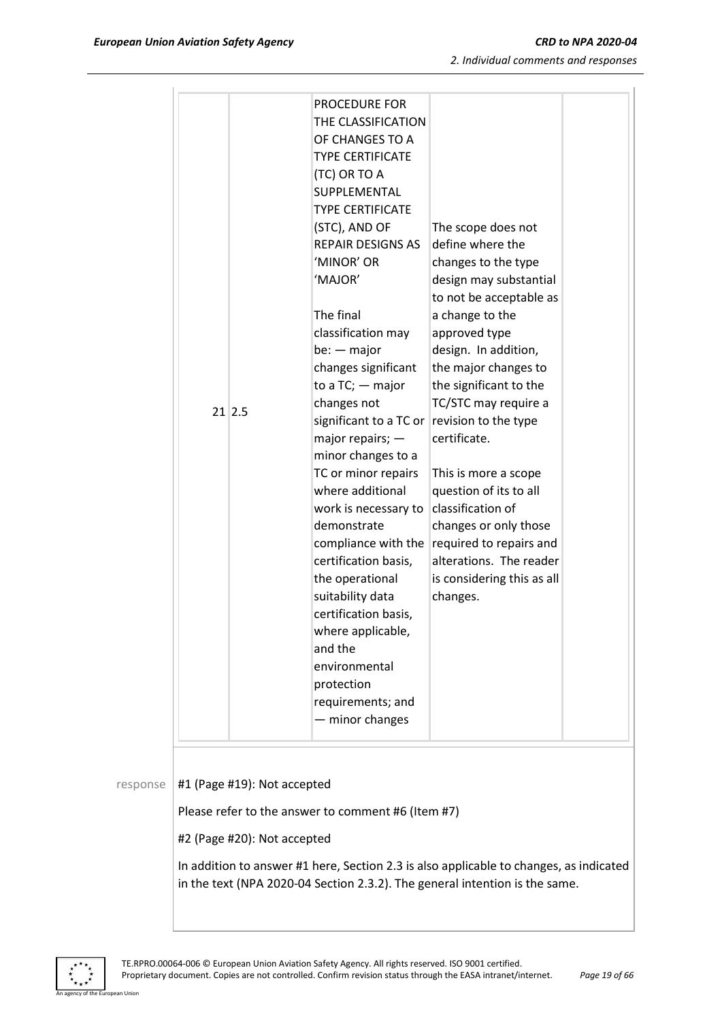|          | PROCEDURE FOR<br>THE CLASSIFICATION<br>OF CHANGES TO A                                                                                                                                                                                                                                                                                                                                                        |                                                                                                                                                                                                                                      |  |
|----------|---------------------------------------------------------------------------------------------------------------------------------------------------------------------------------------------------------------------------------------------------------------------------------------------------------------------------------------------------------------------------------------------------------------|--------------------------------------------------------------------------------------------------------------------------------------------------------------------------------------------------------------------------------------|--|
|          | <b>TYPE CERTIFICATE</b><br>(TC) OR TO A<br>SUPPLEMENTAL<br><b>TYPE CERTIFICATE</b><br>(STC), AND OF<br><b>REPAIR DESIGNS AS</b><br>'MINOR' OR<br>'MAJOR'<br>The final<br>classification may<br>$be: - major$<br>changes significant<br>to a $TC$ ; $-$ major                                                                                                                                                  | The scope does not<br>define where the<br>changes to the type<br>design may substantial<br>to not be acceptable as<br>a change to the<br>approved type<br>design. In addition,<br>the major changes to<br>the significant to the     |  |
| $21$ 2.5 | changes not<br>significant to a TC or revision to the type<br>major repairs; $-$<br>minor changes to a<br>TC or minor repairs<br>where additional<br>work is necessary to<br>demonstrate<br>compliance with the<br>certification basis,<br>the operational<br>suitability data<br>certification basis,<br>where applicable,<br>and the<br>environmental<br>protection<br>requirements; and<br>- minor changes | TC/STC may require a<br>certificate.<br>This is more a scope<br>question of its to all<br>classification of<br>changes or only those<br>required to repairs and<br>alterations. The reader<br>is considering this as all<br>changes. |  |

#### response |  $#1$  (Page #19): Not accepted

Please refer to the answer to comment #6 (Item #7)

#2 (Page #20): Not accepted

In addition to answer #1 here, Section 2.3 is also applicable to changes, as indicated in the text (NPA 2020-04 Section 2.3.2). The general intention is the same.



n Hoio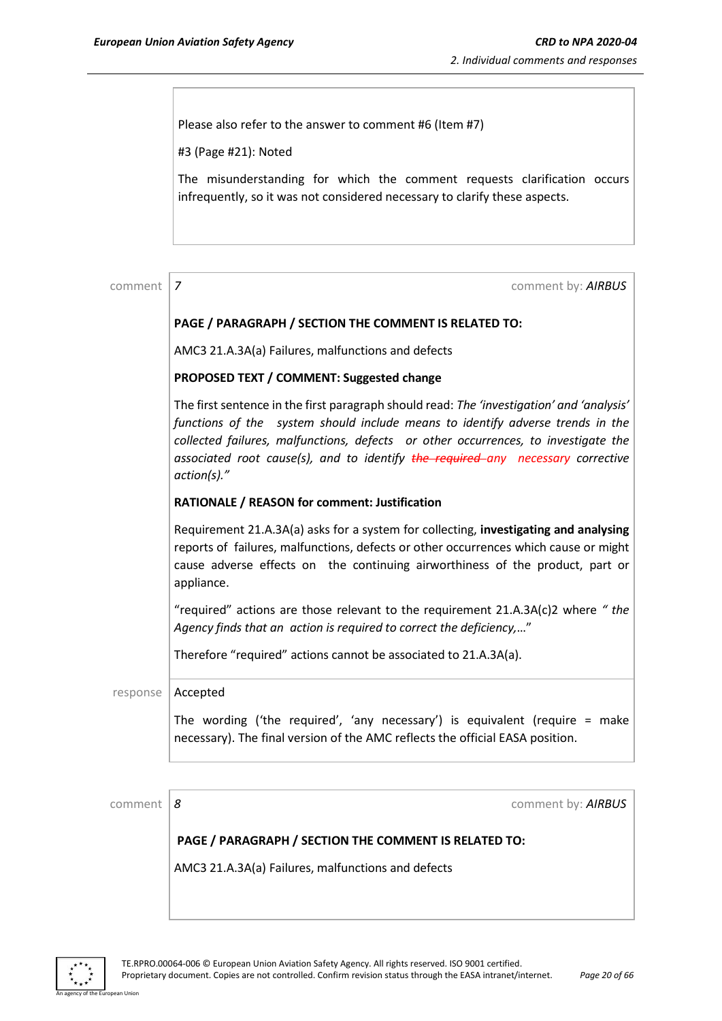Please also refer to the answer to comment #6 (Item #7)

#3 (Page #21): Noted

The misunderstanding for which the comment requests clarification occurs infrequently, so it was not considered necessary to clarify these aspects.

| comment  | comment by: AIRBUS<br>7                                                                                                                                                                                                                                                                                                                                                |  |  |  |  |
|----------|------------------------------------------------------------------------------------------------------------------------------------------------------------------------------------------------------------------------------------------------------------------------------------------------------------------------------------------------------------------------|--|--|--|--|
|          | PAGE / PARAGRAPH / SECTION THE COMMENT IS RELATED TO:                                                                                                                                                                                                                                                                                                                  |  |  |  |  |
|          | AMC3 21.A.3A(a) Failures, malfunctions and defects                                                                                                                                                                                                                                                                                                                     |  |  |  |  |
|          | PROPOSED TEXT / COMMENT: Suggested change                                                                                                                                                                                                                                                                                                                              |  |  |  |  |
|          | The first sentence in the first paragraph should read: The 'investigation' and 'analysis'<br>functions of the system should include means to identify adverse trends in the<br>collected failures, malfunctions, defects or other occurrences, to investigate the<br>associated root cause(s), and to identify the required any necessary corrective<br>$action(s).$ " |  |  |  |  |
|          | RATIONALE / REASON for comment: Justification                                                                                                                                                                                                                                                                                                                          |  |  |  |  |
|          | Requirement 21.A.3A(a) asks for a system for collecting, investigating and analysing<br>reports of failures, malfunctions, defects or other occurrences which cause or might<br>cause adverse effects on the continuing airworthiness of the product, part or<br>appliance.                                                                                            |  |  |  |  |
|          | "required" actions are those relevant to the requirement 21.A.3A(c)2 where "the<br>Agency finds that an action is required to correct the deficiency,"                                                                                                                                                                                                                 |  |  |  |  |
|          | Therefore "required" actions cannot be associated to 21.A.3A(a).                                                                                                                                                                                                                                                                                                       |  |  |  |  |
| response | Accepted                                                                                                                                                                                                                                                                                                                                                               |  |  |  |  |
|          | The wording ('the required', 'any necessary') is equivalent (require = make<br>necessary). The final version of the AMC reflects the official EASA position.                                                                                                                                                                                                           |  |  |  |  |
|          |                                                                                                                                                                                                                                                                                                                                                                        |  |  |  |  |
| comment  | comment by: AIRBUS<br>8                                                                                                                                                                                                                                                                                                                                                |  |  |  |  |

**PAGE / PARAGRAPH / SECTION THE COMMENT IS RELATED TO:**

AMC3 21.A.3A(a) Failures, malfunctions and defects



an Hinio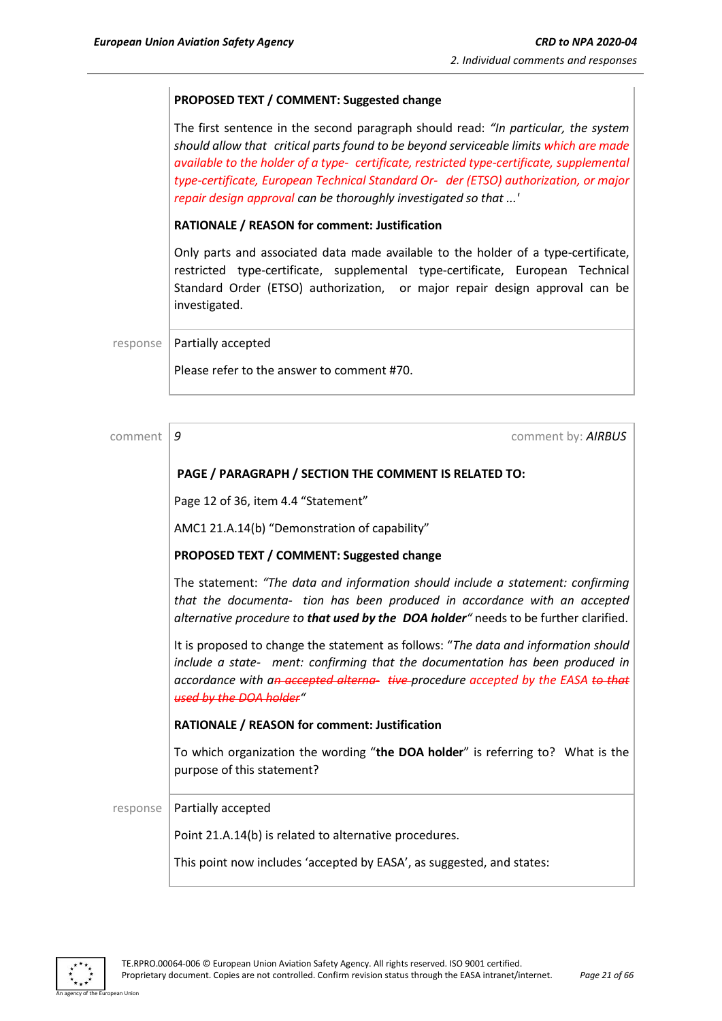#### **PROPOSED TEXT / COMMENT: Suggested change**

The first sentence in the second paragraph should read: *"In particular, the system should allow that critical parts found to be beyond serviceable limits which are made available to the holder of a type- certificate, restricted type-certificate, supplemental type-certificate, European Technical Standard Or- der (ETSO) authorization, or major repair design approval can be thoroughly investigated so that ...'*

#### **RATIONALE / REASON for comment: Justification**

Only parts and associated data made available to the holder of a type-certificate, restricted type-certificate, supplemental type-certificate, European Technical Standard Order (ETSO) authorization, or major repair design approval can be investigated.

response | Partially accepted

Please refer to the answer to comment #70.

comment **9** comment **9** comment **9** comment **9** comment **9** comment **9** comment **9** comment **9** comment **9** comment **9** comment **9** comment **9** comment **9** comment **9** comment **9** comment **9** comment **9** comment **9** commen **PAGE / PARAGRAPH / SECTION THE COMMENT IS RELATED TO:** Page 12 of 36, item 4.4 "Statement" AMC1 21.A.14(b) "Demonstration of capability" **PROPOSED TEXT / COMMENT: Suggested change** The statement: *"The data and information should include a statement: confirming that the documenta- tion has been produced in accordance with an accepted alternative procedure to that used by the DOA holder"* needs to be further clarified. It is proposed to change the statement as follows: "*The data and information should include a state- ment: confirming that the documentation has been produced in accordance with an accepted alterna- tive procedure accepted by the EASA to that used by the DOA holder"* **RATIONALE / REASON for comment: Justification** To which organization the wording "**the DOA holder**" is referring to? What is the purpose of this statement?  $response$  Partially accepted Point 21.A.14(b) is related to alternative procedures. This point now includes 'accepted by EASA', as suggested, and states:

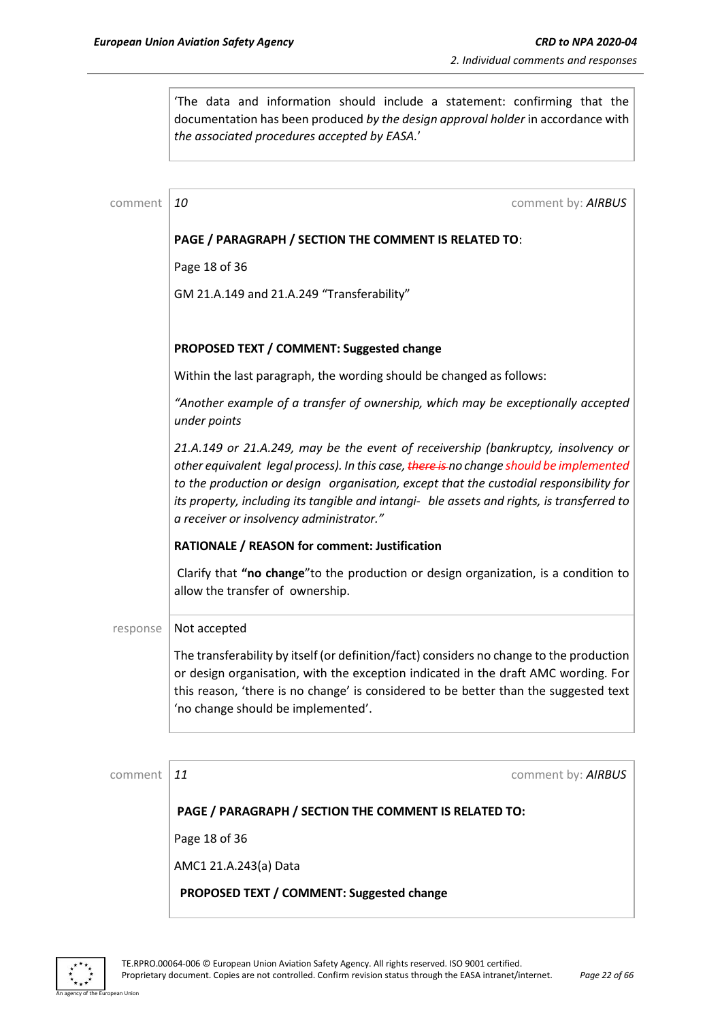'The data and information should include a statement: confirming that the documentation has been produced *by the design approval holder* in accordance with *the associated procedures accepted by EASA.*'

| comment  | 10<br>comment by: AIRBUS                                                                                                                                                                                                                                                                                                                                                                                         |  |  |  |  |
|----------|------------------------------------------------------------------------------------------------------------------------------------------------------------------------------------------------------------------------------------------------------------------------------------------------------------------------------------------------------------------------------------------------------------------|--|--|--|--|
|          | PAGE / PARAGRAPH / SECTION THE COMMENT IS RELATED TO:                                                                                                                                                                                                                                                                                                                                                            |  |  |  |  |
|          | Page 18 of 36                                                                                                                                                                                                                                                                                                                                                                                                    |  |  |  |  |
|          | GM 21.A.149 and 21.A.249 "Transferability"                                                                                                                                                                                                                                                                                                                                                                       |  |  |  |  |
|          |                                                                                                                                                                                                                                                                                                                                                                                                                  |  |  |  |  |
|          | PROPOSED TEXT / COMMENT: Suggested change                                                                                                                                                                                                                                                                                                                                                                        |  |  |  |  |
|          | Within the last paragraph, the wording should be changed as follows:                                                                                                                                                                                                                                                                                                                                             |  |  |  |  |
|          | "Another example of a transfer of ownership, which may be exceptionally accepted<br>under points                                                                                                                                                                                                                                                                                                                 |  |  |  |  |
|          | 21.A.149 or 21.A.249, may be the event of receivership (bankruptcy, insolvency or<br>other equivalent legal process). In this case, there is no change should be implemented<br>to the production or design organisation, except that the custodial responsibility for<br>its property, including its tangible and intangi- ble assets and rights, is transferred to<br>a receiver or insolvency administrator." |  |  |  |  |
|          | RATIONALE / REASON for comment: Justification                                                                                                                                                                                                                                                                                                                                                                    |  |  |  |  |
|          | Clarify that "no change" to the production or design organization, is a condition to<br>allow the transfer of ownership.                                                                                                                                                                                                                                                                                         |  |  |  |  |
| response | Not accepted                                                                                                                                                                                                                                                                                                                                                                                                     |  |  |  |  |
|          | The transferability by itself (or definition/fact) considers no change to the production<br>or design organisation, with the exception indicated in the draft AMC wording. For<br>this reason, 'there is no change' is considered to be better than the suggested text<br>'no change should be implemented'.                                                                                                     |  |  |  |  |

comment  $11$  comment by: **AIRBUS** 

**PAGE / PARAGRAPH / SECTION THE COMMENT IS RELATED TO:**

Page 18 of 36

AMC1 21.A.243(a) Data

**PROPOSED TEXT / COMMENT: Suggested change**



n Hoio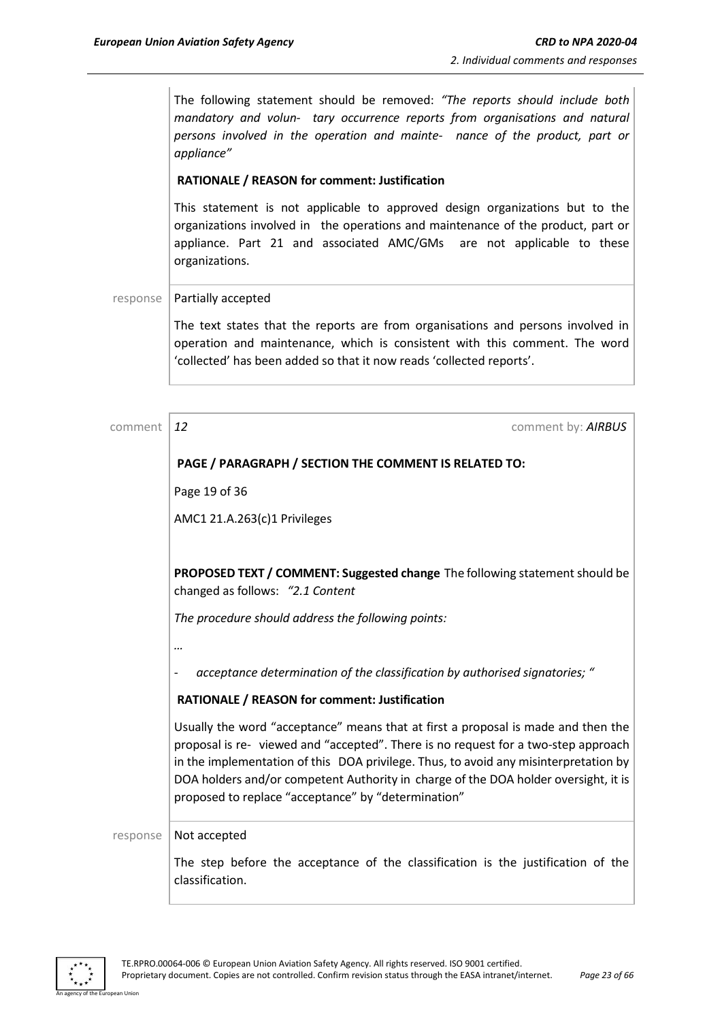The following statement should be removed: *"The reports should include both mandatory and volun- tary occurrence reports from organisations and natural persons involved in the operation and mainte- nance of the product, part or appliance"*

#### **RATIONALE / REASON for comment: Justification**

This statement is not applicable to approved design organizations but to the organizations involved in the operations and maintenance of the product, part or appliance. Part 21 and associated AMC/GMs are not applicable to these organizations.

response | Partially accepted

The text states that the reports are from organisations and persons involved in operation and maintenance, which is consistent with this comment. The word 'collected' has been added so that it now reads 'collected reports'.

comment **12** comment **12** comment **12** comment **12** comment **12** comment **12** comment **12** 

#### **PAGE / PARAGRAPH / SECTION THE COMMENT IS RELATED TO:**

Page 19 of 36

AMC1 21.A.263(c)1 Privileges

**PROPOSED TEXT / COMMENT: Suggested change** The following statement should be changed as follows: *"2.1 Content*

*The procedure should address the following points:*

*…*

- *acceptance determination of the classification by authorised signatories; "*

#### **RATIONALE / REASON for comment: Justification**

Usually the word "acceptance" means that at first a proposal is made and then the proposal is re- viewed and "accepted". There is no request for a two-step approach in the implementation of this DOA privilege. Thus, to avoid any misinterpretation by DOA holders and/or competent Authority in charge of the DOA holder oversight, it is proposed to replace "acceptance" by "determination"

response | Not accepted

The step before the acceptance of the classification is the justification of the classification.

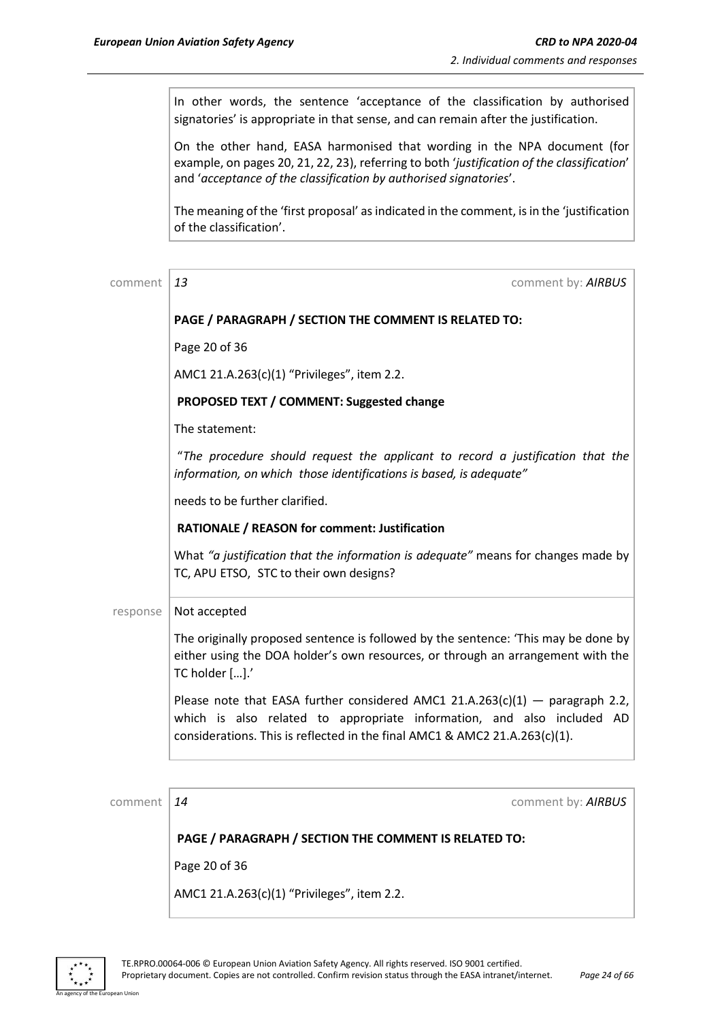In other words, the sentence 'acceptance of the classification by authorised signatories' is appropriate in that sense, and can remain after the justification.

On the other hand, EASA harmonised that wording in the NPA document (for example, on pages 20, 21, 22, 23), referring to both '*justification of the classification*' and '*acceptance of the classification by authorised signatories*'.

The meaning of the 'first proposal' as indicated in the comment, is in the 'justification of the classification'.

| comment  | 13<br>comment by: AIRBUS                                                                                                                                                                                                              |
|----------|---------------------------------------------------------------------------------------------------------------------------------------------------------------------------------------------------------------------------------------|
|          | PAGE / PARAGRAPH / SECTION THE COMMENT IS RELATED TO:                                                                                                                                                                                 |
|          | Page 20 of 36                                                                                                                                                                                                                         |
|          | AMC1 21.A.263(c)(1) "Privileges", item 2.2.                                                                                                                                                                                           |
|          | PROPOSED TEXT / COMMENT: Suggested change                                                                                                                                                                                             |
|          | The statement:                                                                                                                                                                                                                        |
|          | "The procedure should request the applicant to record a justification that the<br>information, on which those identifications is based, is adequate"                                                                                  |
|          | needs to be further clarified.                                                                                                                                                                                                        |
|          | <b>RATIONALE / REASON for comment: Justification</b>                                                                                                                                                                                  |
|          | What "a justification that the information is adequate" means for changes made by<br>TC, APU ETSO, STC to their own designs?                                                                                                          |
| response | Not accepted                                                                                                                                                                                                                          |
|          | The originally proposed sentence is followed by the sentence: 'This may be done by<br>either using the DOA holder's own resources, or through an arrangement with the<br>TC holder [].'                                               |
|          | Please note that EASA further considered AMC1 21.A.263(c)(1) - paragraph 2.2,<br>which is also related to appropriate information, and also included AD<br>considerations. This is reflected in the final AMC1 & AMC2 21.A.263(c)(1). |
|          |                                                                                                                                                                                                                                       |
| comment  | 14<br>comment by: AIRBUS                                                                                                                                                                                                              |
|          | PAGE / PARAGRAPH / SECTION THE COMMENT IS RELATED TO:                                                                                                                                                                                 |

Page 20 of 36

AMC1 21.A.263(c)(1) "Privileges", item 2.2.

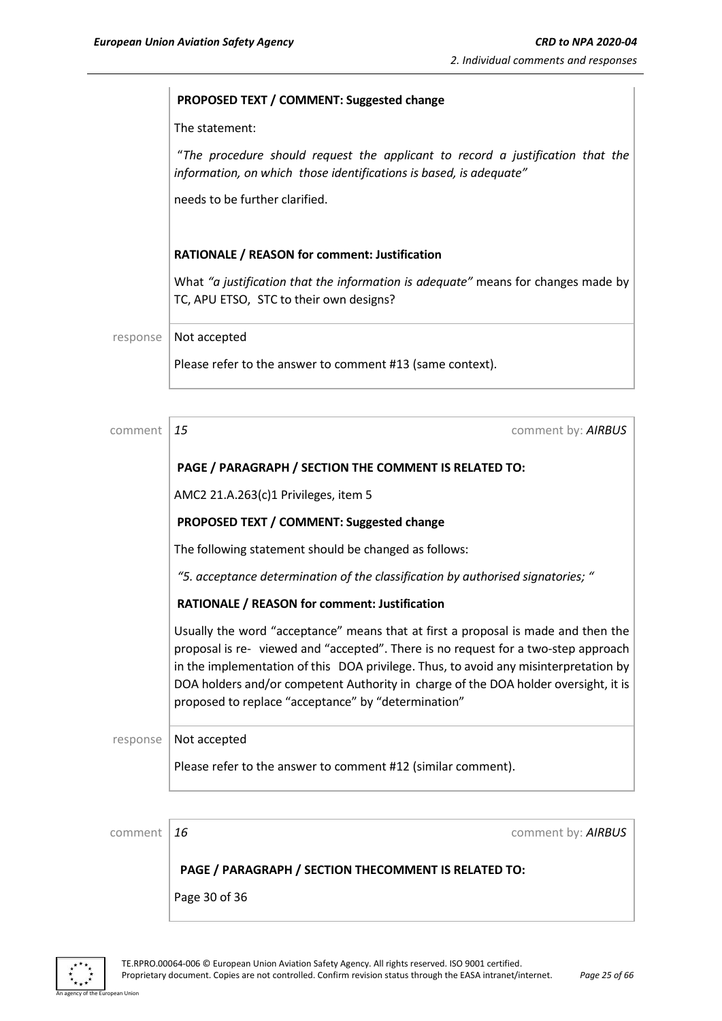#### **PROPOSED TEXT / COMMENT: Suggested change**

The statement:

"*The procedure should request the applicant to record a justification that the information, on which those identifications is based, is adequate"*

needs to be further clarified.

#### **RATIONALE / REASON for comment: Justification**

What *"a justification that the information is adequate"* means for changes made by TC, APU ETSO, STC to their own designs?

response | Not accepted

Please refer to the answer to comment #13 (same context).

| comment  | 15<br>comment by: AIRBUS                                                                                                                                                                                                                                                                                                                                                                                      |
|----------|---------------------------------------------------------------------------------------------------------------------------------------------------------------------------------------------------------------------------------------------------------------------------------------------------------------------------------------------------------------------------------------------------------------|
|          | PAGE / PARAGRAPH / SECTION THE COMMENT IS RELATED TO:                                                                                                                                                                                                                                                                                                                                                         |
|          | AMC2 21.A.263(c)1 Privileges, item 5                                                                                                                                                                                                                                                                                                                                                                          |
|          | PROPOSED TEXT / COMMENT: Suggested change                                                                                                                                                                                                                                                                                                                                                                     |
|          | The following statement should be changed as follows:                                                                                                                                                                                                                                                                                                                                                         |
|          | "5. acceptance determination of the classification by authorised signatories; "                                                                                                                                                                                                                                                                                                                               |
|          | RATIONALE / REASON for comment: Justification                                                                                                                                                                                                                                                                                                                                                                 |
|          | Usually the word "acceptance" means that at first a proposal is made and then the<br>proposal is re- viewed and "accepted". There is no request for a two-step approach<br>in the implementation of this DOA privilege. Thus, to avoid any misinterpretation by<br>DOA holders and/or competent Authority in charge of the DOA holder oversight, it is<br>proposed to replace "acceptance" by "determination" |
| response | Not accepted                                                                                                                                                                                                                                                                                                                                                                                                  |
|          | Please refer to the answer to comment #12 (similar comment).                                                                                                                                                                                                                                                                                                                                                  |
|          |                                                                                                                                                                                                                                                                                                                                                                                                               |
| comment  | 16<br>comment by: AIRBUS                                                                                                                                                                                                                                                                                                                                                                                      |
|          |                                                                                                                                                                                                                                                                                                                                                                                                               |

#### **PAGE / PARAGRAPH / SECTION THECOMMENT IS RELATED TO:**

Page 30 of 36



n Linic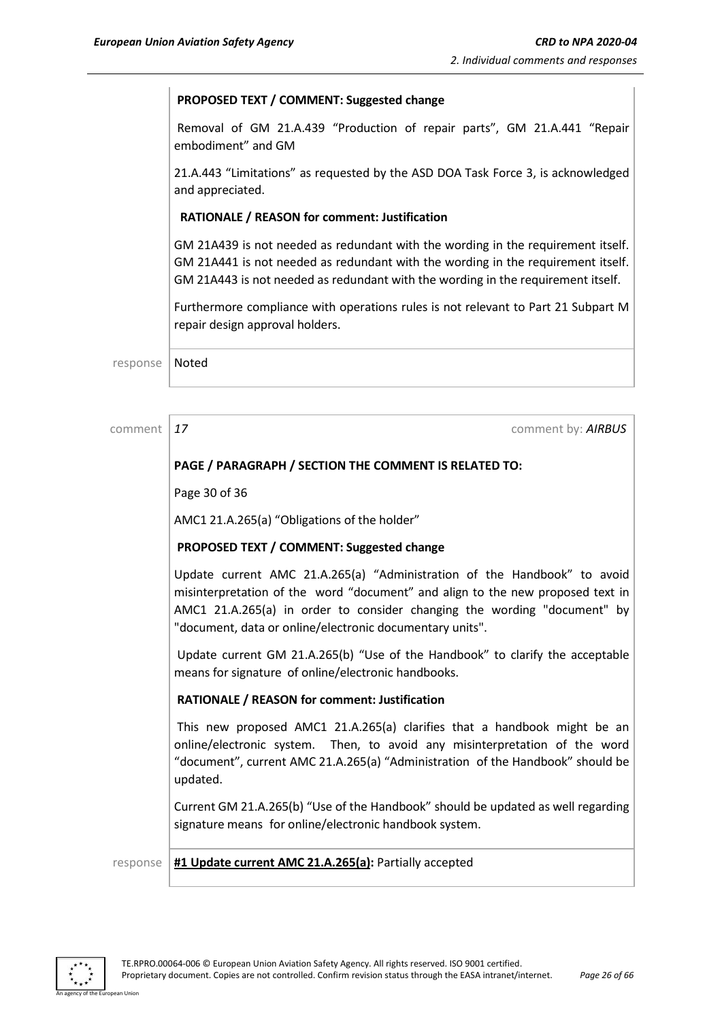#### **PROPOSED TEXT / COMMENT: Suggested change**

Removal of GM 21.A.439 "Production of repair parts", GM 21.A.441 "Repair embodiment" and GM

21.A.443 "Limitations" as requested by the ASD DOA Task Force 3, is acknowledged and appreciated.

#### **RATIONALE / REASON for comment: Justification**

GM 21A439 is not needed as redundant with the wording in the requirement itself. GM 21A441 is not needed as redundant with the wording in the requirement itself. GM 21A443 is not needed as redundant with the wording in the requirement itself.

Furthermore compliance with operations rules is not relevant to Part 21 Subpart M repair design approval holders.

response | Noted

comment *17* comment by: *AIRBUS*

### **PAGE / PARAGRAPH / SECTION THE COMMENT IS RELATED TO:**

Page 30 of 36

AMC1 21.A.265(a) "Obligations of the holder"

#### **PROPOSED TEXT / COMMENT: Suggested change**

Update current AMC 21.A.265(a) "Administration of the Handbook" to avoid misinterpretation of the word "document" and align to the new proposed text in AMC1 21.A.265(a) in order to consider changing the wording "document" by "document, data or online/electronic documentary units".

Update current GM 21.A.265(b) "Use of the Handbook" to clarify the acceptable means for signature of online/electronic handbooks.

#### **RATIONALE / REASON for comment: Justification**

This new proposed AMC1 21.A.265(a) clarifies that a handbook might be an online/electronic system. Then, to avoid any misinterpretation of the word "document", current AMC 21.A.265(a) "Administration of the Handbook" should be updated.

Current GM 21.A.265(b) "Use of the Handbook" should be updated as well regarding signature means for online/electronic handbook system.

response **#1 Update current AMC 21.A.265(a):** Partially accepted

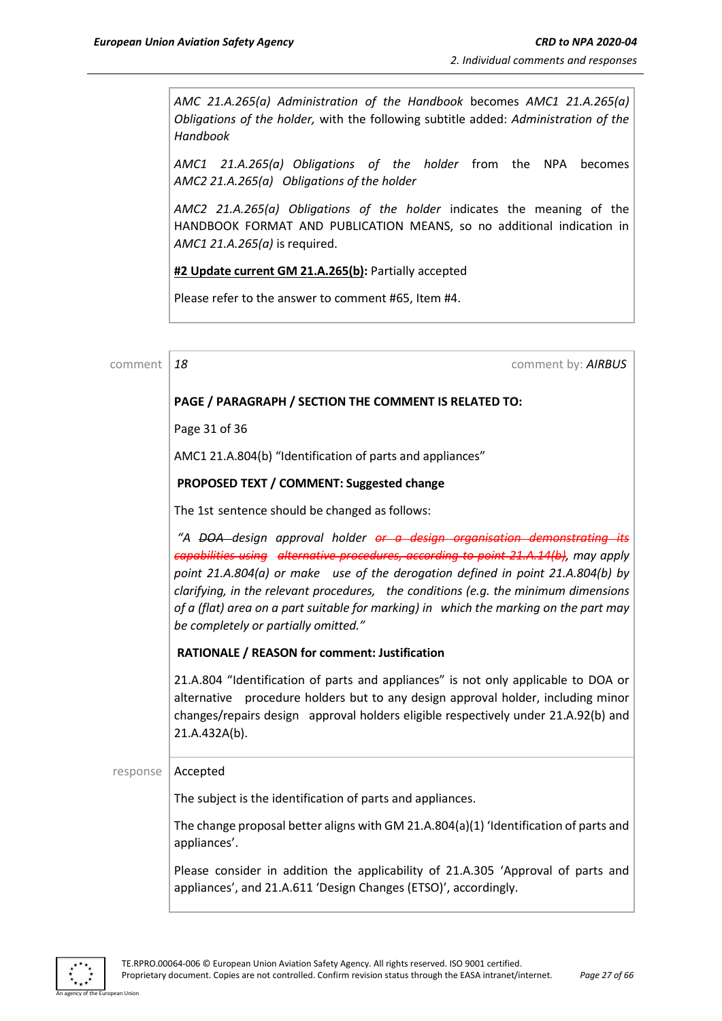*AMC 21.A.265(a) Administration of the Handbook* becomes *AMC1 21.A.265(a) Obligations of the holder,* with the following subtitle added: *Administration of the Handbook*

*AMC1 21.A.265(a) Obligations of the holder* from the NPA becomes *AMC2 21.A.265(a) Obligations of the holder*

*AMC2 21.A.265(a) Obligations of the holder* indicates the meaning of the HANDBOOK FORMAT AND PUBLICATION MEANS, so no additional indication in *AMC1 21.A.265(a)* is required.

**#2 Update current GM 21.A.265(b):** Partially accepted

Please refer to the answer to comment #65, Item #4.

| comment  | 18<br>comment by: AIRBUS                                                                                                                                                                                                                                                                                                                                                                                                                                                                         |
|----------|--------------------------------------------------------------------------------------------------------------------------------------------------------------------------------------------------------------------------------------------------------------------------------------------------------------------------------------------------------------------------------------------------------------------------------------------------------------------------------------------------|
|          | PAGE / PARAGRAPH / SECTION THE COMMENT IS RELATED TO:                                                                                                                                                                                                                                                                                                                                                                                                                                            |
|          | Page 31 of 36                                                                                                                                                                                                                                                                                                                                                                                                                                                                                    |
|          | AMC1 21.A.804(b) "Identification of parts and appliances"                                                                                                                                                                                                                                                                                                                                                                                                                                        |
|          | PROPOSED TEXT / COMMENT: Suggested change                                                                                                                                                                                                                                                                                                                                                                                                                                                        |
|          | The 1st sentence should be changed as follows:                                                                                                                                                                                                                                                                                                                                                                                                                                                   |
|          | "A <del>DOA</del> design approval holder <del>or a design organisation demonstrating its</del><br>capabilities using alternative procedures, according to point 21.A.14(b), may apply<br>point 21.A.804(a) or make use of the derogation defined in point 21.A.804(b) by<br>clarifying, in the relevant procedures, the conditions (e.g. the minimum dimensions<br>of a (flat) area on a part suitable for marking) in which the marking on the part may<br>be completely or partially omitted." |
|          | RATIONALE / REASON for comment: Justification                                                                                                                                                                                                                                                                                                                                                                                                                                                    |
|          | 21.A.804 "Identification of parts and appliances" is not only applicable to DOA or<br>procedure holders but to any design approval holder, including minor<br>alternative<br>changes/repairs design approval holders eligible respectively under 21.A.92(b) and<br>21.A.432A(b).                                                                                                                                                                                                                 |
| response | Accepted                                                                                                                                                                                                                                                                                                                                                                                                                                                                                         |
|          | The subject is the identification of parts and appliances.                                                                                                                                                                                                                                                                                                                                                                                                                                       |
|          | The change proposal better aligns with GM 21.A.804(a)(1) 'Identification of parts and<br>appliances'.                                                                                                                                                                                                                                                                                                                                                                                            |
|          | Please consider in addition the applicability of 21.A.305 'Approval of parts and<br>appliances', and 21.A.611 'Design Changes (ETSO)', accordingly.                                                                                                                                                                                                                                                                                                                                              |



n I Ini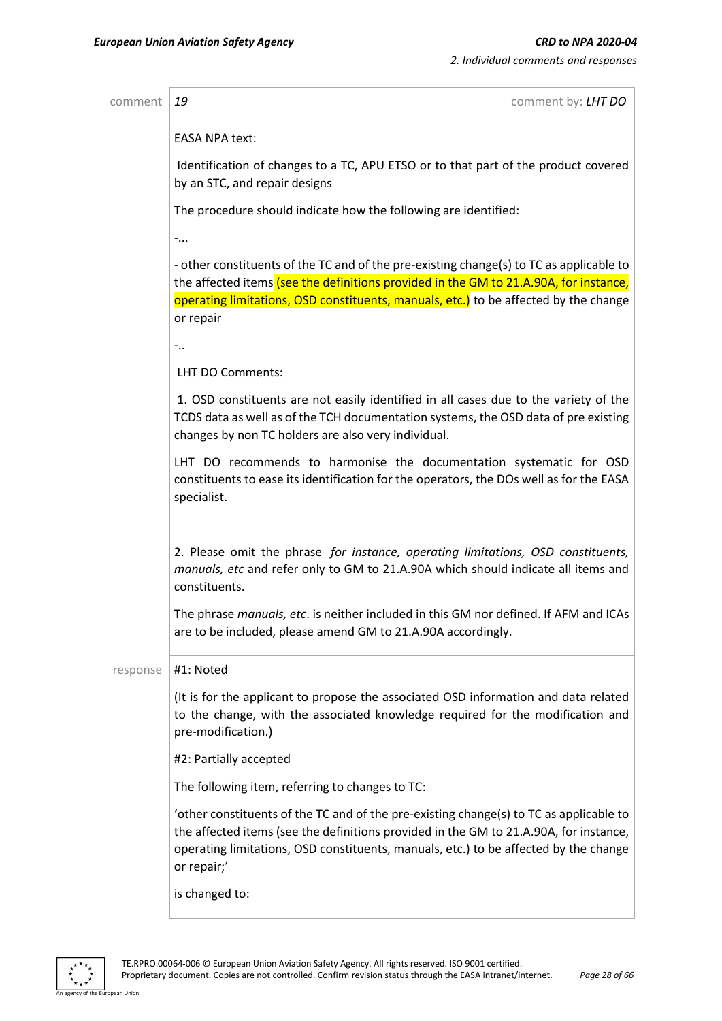| comment  | 19<br>comment by: <b>LHT DO</b>                                                                                                                                                                                                                                                        |
|----------|----------------------------------------------------------------------------------------------------------------------------------------------------------------------------------------------------------------------------------------------------------------------------------------|
|          | <b>EASA NPA text:</b>                                                                                                                                                                                                                                                                  |
|          |                                                                                                                                                                                                                                                                                        |
|          | Identification of changes to a TC, APU ETSO or to that part of the product covered<br>by an STC, and repair designs                                                                                                                                                                    |
|          | The procedure should indicate how the following are identified:                                                                                                                                                                                                                        |
|          | $-$                                                                                                                                                                                                                                                                                    |
|          | - other constituents of the TC and of the pre-existing change(s) to TC as applicable to<br>the affected items (see the definitions provided in the GM to 21.A.90A, for instance,                                                                                                       |
|          | operating limitations, OSD constituents, manuals, etc.) to be affected by the change<br>or repair                                                                                                                                                                                      |
|          | $-$                                                                                                                                                                                                                                                                                    |
|          | LHT DO Comments:                                                                                                                                                                                                                                                                       |
|          | 1. OSD constituents are not easily identified in all cases due to the variety of the<br>TCDS data as well as of the TCH documentation systems, the OSD data of pre existing<br>changes by non TC holders are also very individual.                                                     |
|          | LHT DO recommends to harmonise the documentation systematic for OSD<br>constituents to ease its identification for the operators, the DOs well as for the EASA<br>specialist.                                                                                                          |
|          | 2. Please omit the phrase for instance, operating limitations, OSD constituents,<br>manuals, etc and refer only to GM to 21.A.90A which should indicate all items and<br>constituents.                                                                                                 |
|          | The phrase manuals, etc. is neither included in this GM nor defined. If AFM and ICAs<br>are to be included, please amend GM to 21.A.90A accordingly.                                                                                                                                   |
| response | #1: Noted                                                                                                                                                                                                                                                                              |
|          | (It is for the applicant to propose the associated OSD information and data related<br>to the change, with the associated knowledge required for the modification and<br>pre-modification.)                                                                                            |
|          | #2: Partially accepted                                                                                                                                                                                                                                                                 |
|          | The following item, referring to changes to TC:                                                                                                                                                                                                                                        |
|          | 'other constituents of the TC and of the pre-existing change(s) to TC as applicable to<br>the affected items (see the definitions provided in the GM to 21.A.90A, for instance,<br>operating limitations, OSD constituents, manuals, etc.) to be affected by the change<br>or repair;' |
|          | is changed to:                                                                                                                                                                                                                                                                         |

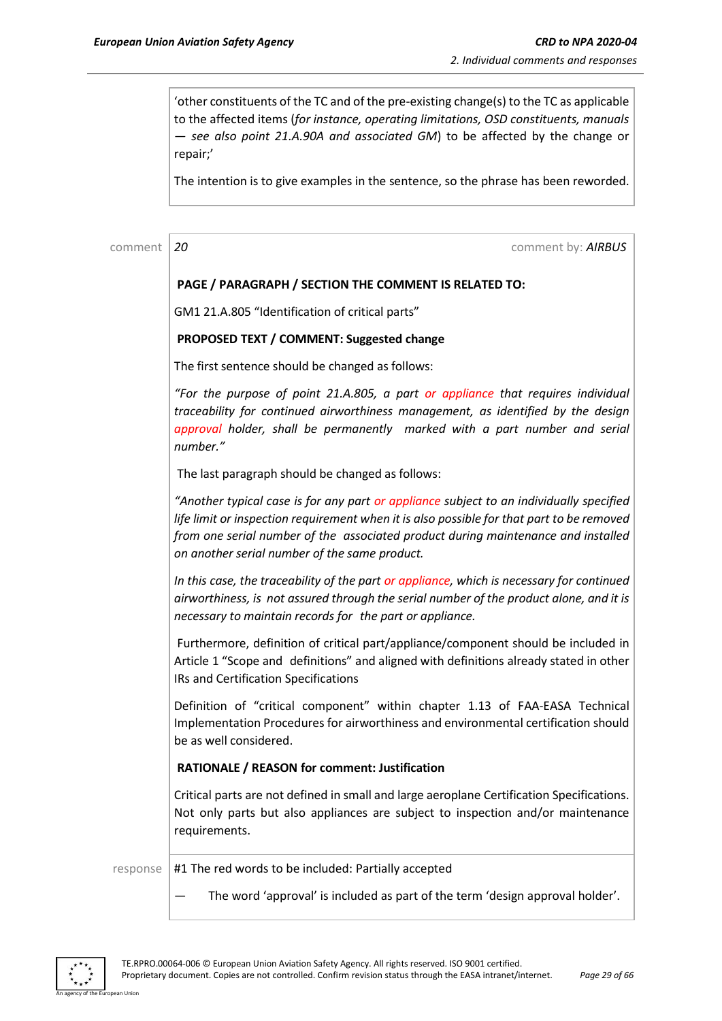'other constituents of the TC and of the pre-existing change(s) to the TC as applicable to the affected items (*for instance, operating limitations, OSD constituents, manuals — see also point 21.A.90A and associated GM*) to be affected by the change or repair;'

The intention is to give examples in the sentence, so the phrase has been reworded.

comment *20* comment by: *AIRBUS*

#### **PAGE / PARAGRAPH / SECTION THE COMMENT IS RELATED TO:**

GM1 21.A.805 "Identification of critical parts"

#### **PROPOSED TEXT / COMMENT: Suggested change**

The first sentence should be changed as follows:

*"For the purpose of point 21.A.805, a part or appliance that requires individual traceability for continued airworthiness management, as identified by the design approval holder, shall be permanently marked with a part number and serial number."*

The last paragraph should be changed as follows:

*"Another typical case is for any part or appliance subject to an individually specified life limit or inspection requirement when it is also possible for that part to be removed from one serial number of the associated product during maintenance and installed on another serial number of the same product.*

*In this case, the traceability of the part or appliance, which is necessary for continued airworthiness, is not assured through the serial number of the product alone, and it is necessary to maintain records for the part or appliance.*

Furthermore, definition of critical part/appliance/component should be included in Article 1 "Scope and definitions" and aligned with definitions already stated in other IRs and Certification Specifications

Definition of "critical component" within chapter 1.13 of FAA-EASA Technical Implementation Procedures for airworthiness and environmental certification should be as well considered.

#### **RATIONALE / REASON for comment: Justification**

Critical parts are not defined in small and large aeroplane Certification Specifications. Not only parts but also appliances are subject to inspection and/or maintenance requirements.

response  $|$  #1 The red words to be included: Partially accepted

The word 'approval' is included as part of the term 'design approval holder'.

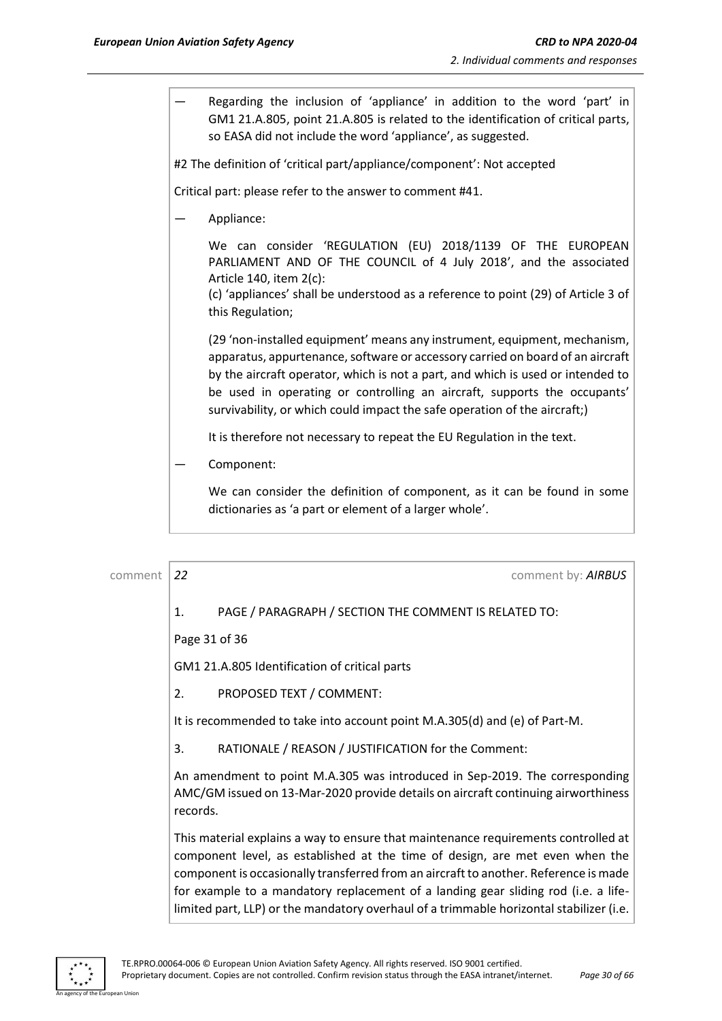— Regarding the inclusion of 'appliance' in addition to the word 'part' in GM1 21.A.805, point 21.A.805 is related to the identification of critical parts, so EASA did not include the word 'appliance', as suggested.

#2 The definition of 'critical part/appliance/component': Not accepted

Critical part: please refer to the answer to comment #41.

— Appliance:

We can consider 'REGULATION (EU) 2018/1139 OF THE EUROPEAN PARLIAMENT AND OF THE COUNCIL of 4 July 2018', and the associated Article 140, item 2(c):

(c) 'appliances' shall be understood as a reference to point (29) of Article 3 of this Regulation;

(29 'non-installed equipment' means any instrument, equipment, mechanism, apparatus, appurtenance, software or accessory carried on board of an aircraft by the aircraft operator, which is not a part, and which is used or intended to be used in operating or controlling an aircraft, supports the occupants' survivability, or which could impact the safe operation of the aircraft;)

It is therefore not necessary to repeat the EU Regulation in the text.

Component:

We can consider the definition of component, as it can be found in some dictionaries as 'a part or element of a larger whole'.

comment *22* comment by: *AIRBUS* 1. PAGE / PARAGRAPH / SECTION THE COMMENT IS RELATED TO: Page 31 of 36 GM1 21.A.805 Identification of critical parts 2. PROPOSED TEXT / COMMENT: It is recommended to take into account point M.A.305(d) and (e) of Part-M. 3. RATIONALE / REASON / JUSTIFICATION for the Comment: An amendment to point M.A.305 was introduced in Sep-2019. The corresponding AMC/GM issued on 13-Mar-2020 provide details on aircraft continuing airworthiness records. This material explains a way to ensure that maintenance requirements controlled at component level, as established at the time of design, are met even when the component is occasionally transferred from an aircraft to another. Reference is made



for example to a mandatory replacement of a landing gear sliding rod (i.e. a lifelimited part, LLP) or the mandatory overhaul of a trimmable horizontal stabilizer (i.e.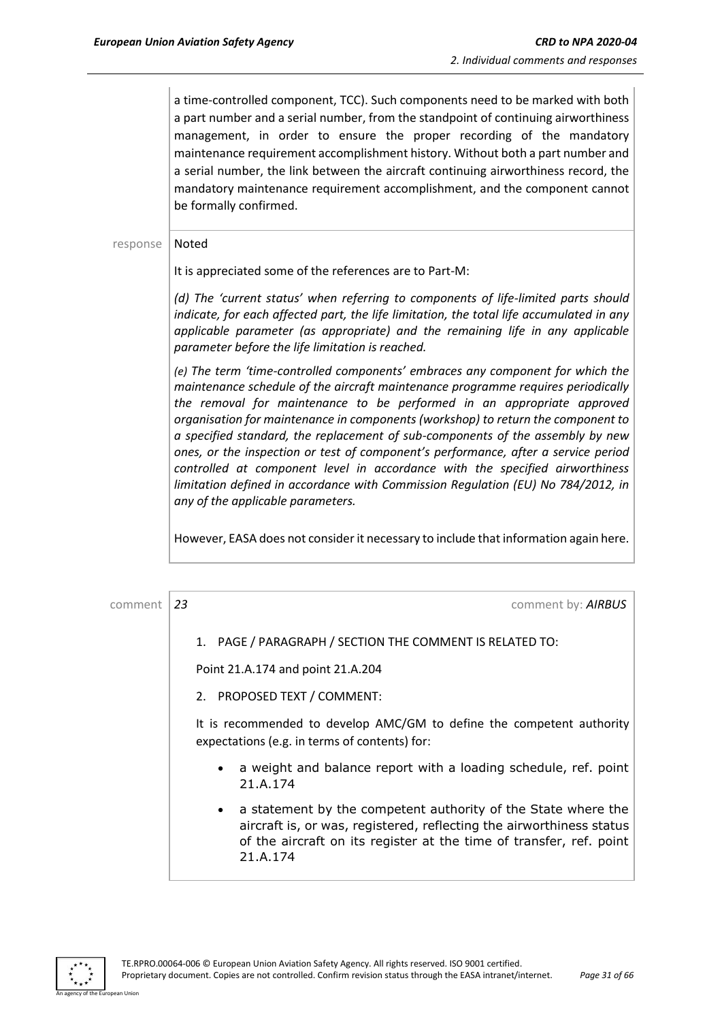a time-controlled component, TCC). Such components need to be marked with both a part number and a serial number, from the standpoint of continuing airworthiness management, in order to ensure the proper recording of the mandatory maintenance requirement accomplishment history. Without both a part number and a serial number, the link between the aircraft continuing airworthiness record, the mandatory maintenance requirement accomplishment, and the component cannot be formally confirmed.

#### response | Noted

It is appreciated some of the references are to Part-M:

*(d) The 'current status' when referring to components of life-limited parts should indicate, for each affected part, the life limitation, the total life accumulated in any applicable parameter (as appropriate) and the remaining life in any applicable parameter before the life limitation is reached.* 

*(e) The term 'time-controlled components' embraces any component for which the maintenance schedule of the aircraft maintenance programme requires periodically the removal for maintenance to be performed in an appropriate approved organisation for maintenance in components (workshop) to return the component to a specified standard, the replacement of sub-components of the assembly by new ones, or the inspection or test of component's performance, after a service period controlled at component level in accordance with the specified airworthiness limitation defined in accordance with Commission Regulation (EU) No 784/2012, in any of the applicable parameters.*

However, EASA does not consider it necessary to include that information again here.



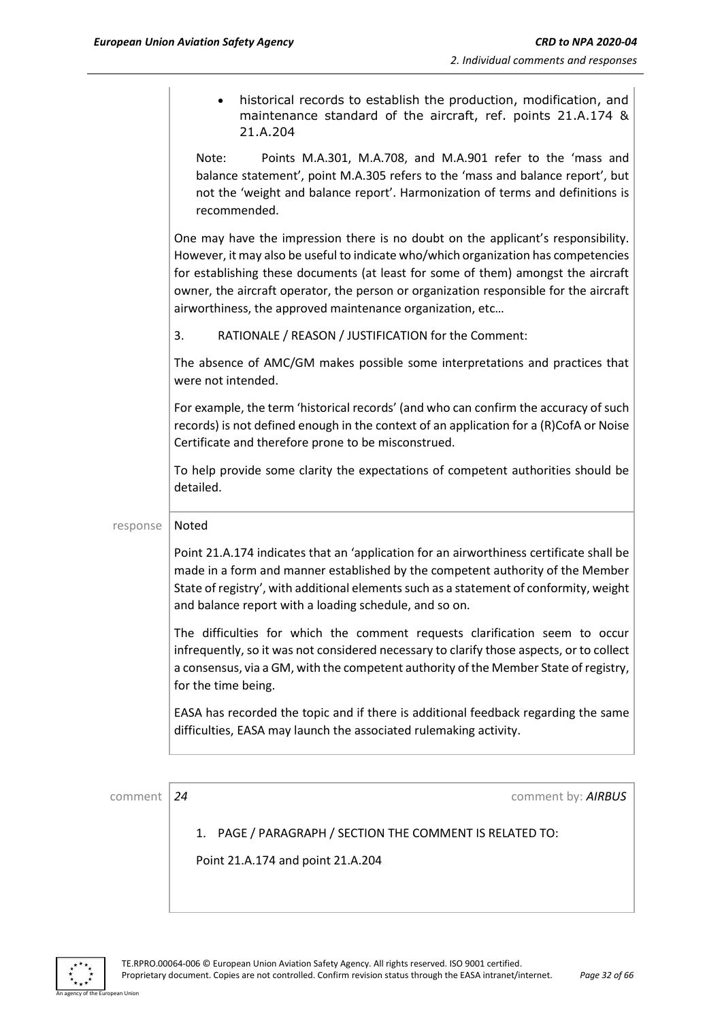|          | historical records to establish the production, modification, and<br>maintenance standard of the aircraft, ref. points 21.A.174 &<br>21.A.204                                                                                                                                                                                                                                                                     |
|----------|-------------------------------------------------------------------------------------------------------------------------------------------------------------------------------------------------------------------------------------------------------------------------------------------------------------------------------------------------------------------------------------------------------------------|
|          | Points M.A.301, M.A.708, and M.A.901 refer to the 'mass and<br>Note:<br>balance statement', point M.A.305 refers to the 'mass and balance report', but<br>not the 'weight and balance report'. Harmonization of terms and definitions is<br>recommended.                                                                                                                                                          |
|          | One may have the impression there is no doubt on the applicant's responsibility.<br>However, it may also be useful to indicate who/which organization has competencies<br>for establishing these documents (at least for some of them) amongst the aircraft<br>owner, the aircraft operator, the person or organization responsible for the aircraft<br>airworthiness, the approved maintenance organization, etc |
|          | RATIONALE / REASON / JUSTIFICATION for the Comment:<br>3.                                                                                                                                                                                                                                                                                                                                                         |
|          | The absence of AMC/GM makes possible some interpretations and practices that<br>were not intended.                                                                                                                                                                                                                                                                                                                |
|          | For example, the term 'historical records' (and who can confirm the accuracy of such<br>records) is not defined enough in the context of an application for a (R)CofA or Noise<br>Certificate and therefore prone to be misconstrued.                                                                                                                                                                             |
|          | To help provide some clarity the expectations of competent authorities should be<br>detailed.                                                                                                                                                                                                                                                                                                                     |
| response | Noted                                                                                                                                                                                                                                                                                                                                                                                                             |
|          | Point 21.A.174 indicates that an 'application for an airworthiness certificate shall be<br>made in a form and manner established by the competent authority of the Member<br>State of registry', with additional elements such as a statement of conformity, weight<br>and balance report with a loading schedule, and so on.                                                                                     |
|          | The difficulties for which the comment requests clarification seem to occur<br>infrequently, so it was not considered necessary to clarify those aspects, or to collect<br>a consensus, via a GM, with the competent authority of the Member State of registry,<br>for the time being.                                                                                                                            |
|          | EASA has recorded the topic and if there is additional feedback regarding the same<br>difficulties, EASA may launch the associated rulemaking activity.                                                                                                                                                                                                                                                           |
|          |                                                                                                                                                                                                                                                                                                                                                                                                                   |

comment **24** comment **24** comment **by: AIRBUS** 

1. PAGE / PARAGRAPH / SECTION THE COMMENT IS RELATED TO:

Point 21.A.174 and point 21.A.204



an Union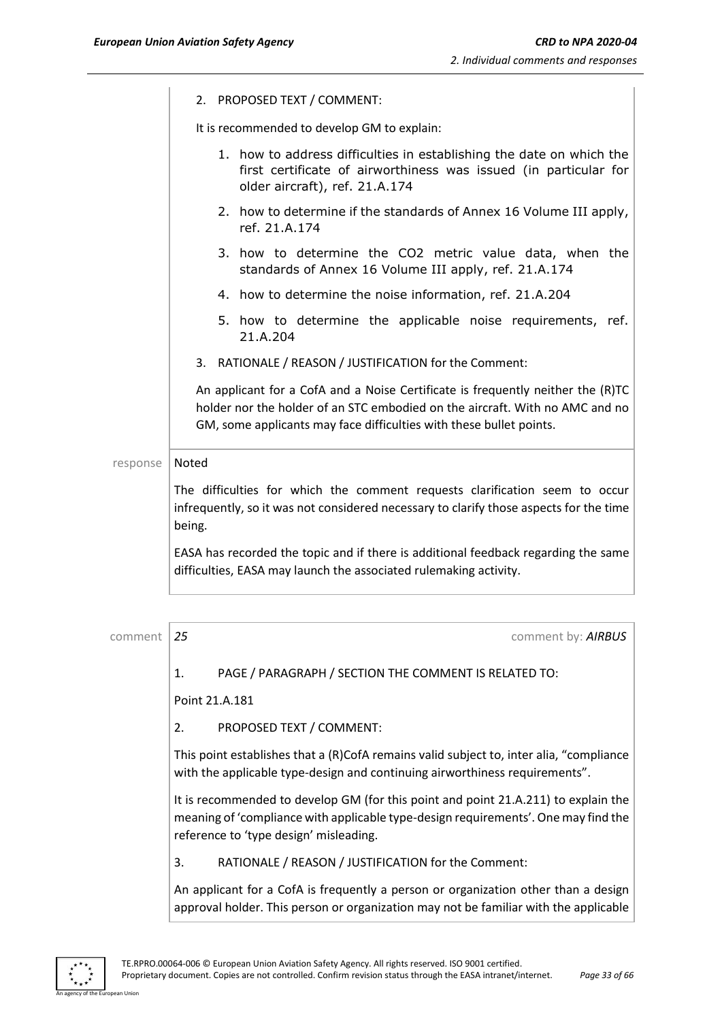| 2. PROPOSED TEXT / COMMENT: |
|-----------------------------|
|                             |

It is recommended to develop GM to explain:

|          | 1. how to address difficulties in establishing the date on which the<br>first certificate of airworthiness was issued (in particular for<br>older aircraft), ref. 21.A.174                                                             |
|----------|----------------------------------------------------------------------------------------------------------------------------------------------------------------------------------------------------------------------------------------|
|          | 2. how to determine if the standards of Annex 16 Volume III apply,<br>ref. 21.A.174                                                                                                                                                    |
|          | 3. how to determine the CO2 metric value data, when the<br>standards of Annex 16 Volume III apply, ref. 21.A.174                                                                                                                       |
|          | 4. how to determine the noise information, ref. 21.A.204                                                                                                                                                                               |
|          | 5. how to determine the applicable noise requirements, ref.<br>21.A.204                                                                                                                                                                |
|          | 3. RATIONALE / REASON / JUSTIFICATION for the Comment:                                                                                                                                                                                 |
|          | An applicant for a CofA and a Noise Certificate is frequently neither the (R)TC<br>holder nor the holder of an STC embodied on the aircraft. With no AMC and no<br>GM, some applicants may face difficulties with these bullet points. |
| response | Noted                                                                                                                                                                                                                                  |
|          | The difficulties for which the comment requests clarification seem to occur<br>infrequently, so it was not considered necessary to clarify those aspects for the time<br>being.                                                        |
|          | EASA has recorded the topic and if there is additional feedback regarding the same<br>difficulties, EASA may launch the associated rulemaking activity.                                                                                |

| comment | 25 |                                                                                                                                                                                                                    | comment by: AIRBUS |
|---------|----|--------------------------------------------------------------------------------------------------------------------------------------------------------------------------------------------------------------------|--------------------|
|         | 1. | PAGE / PARAGRAPH / SECTION THE COMMENT IS RELATED TO:                                                                                                                                                              |                    |
|         |    | Point 21.A.181                                                                                                                                                                                                     |                    |
|         | 2. | PROPOSED TEXT / COMMENT:                                                                                                                                                                                           |                    |
|         |    | This point establishes that a (R)CofA remains valid subject to, inter alia, "compliance<br>with the applicable type-design and continuing airworthiness requirements".                                             |                    |
|         |    | It is recommended to develop GM (for this point and point 21.A.211) to explain the<br>meaning of 'compliance with applicable type-design requirements'. One may find the<br>reference to 'type design' misleading. |                    |
|         | 3. | RATIONALE / REASON / JUSTIFICATION for the Comment:                                                                                                                                                                |                    |
|         |    | An applicant for a CofA is frequently a person or organization other than a design<br>approval holder. This person or organization may not be familiar with the applicable                                         |                    |



ean Union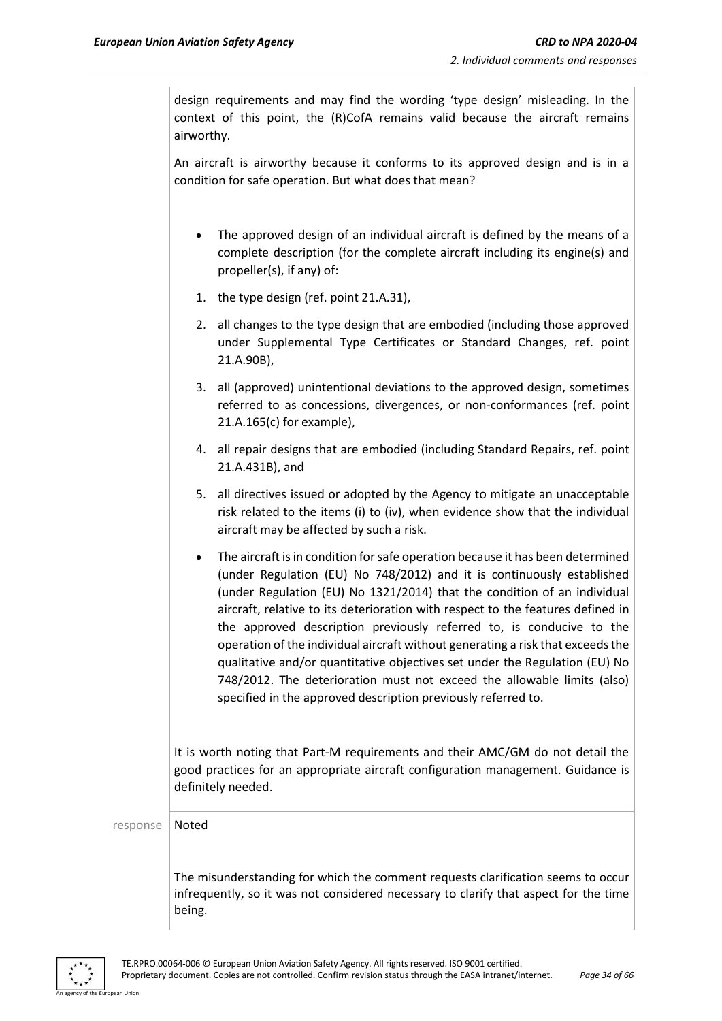design requirements and may find the wording 'type design' misleading. In the context of this point, the (R)CofA remains valid because the aircraft remains airworthy.

An aircraft is airworthy because it conforms to its approved design and is in a condition for safe operation. But what does that mean?

- The approved design of an individual aircraft is defined by the means of a complete description (for the complete aircraft including its engine(s) and propeller(s), if any) of:
- 1. the type design (ref. point 21.A.31),
- 2. all changes to the type design that are embodied (including those approved under Supplemental Type Certificates or Standard Changes, ref. point 21.A.90B),
- 3. all (approved) unintentional deviations to the approved design, sometimes referred to as concessions, divergences, or non-conformances (ref. point 21.A.165(c) for example),
- 4. all repair designs that are embodied (including Standard Repairs, ref. point 21.A.431B), and
- 5. all directives issued or adopted by the Agency to mitigate an unacceptable risk related to the items (i) to (iv), when evidence show that the individual aircraft may be affected by such a risk.
- The aircraft is in condition for safe operation because it has been determined (under Regulation (EU) No 748/2012) and it is continuously established (under Regulation (EU) No 1321/2014) that the condition of an individual aircraft, relative to its deterioration with respect to the features defined in the approved description previously referred to, is conducive to the operation of the individual aircraft without generating a risk that exceeds the qualitative and/or quantitative objectives set under the Regulation (EU) No 748/2012. The deterioration must not exceed the allowable limits (also) specified in the approved description previously referred to.

It is worth noting that Part-M requirements and their AMC/GM do not detail the good practices for an appropriate aircraft configuration management. Guidance is definitely needed.

response | Noted

The misunderstanding for which the comment requests clarification seems to occur infrequently, so it was not considered necessary to clarify that aspect for the time being.

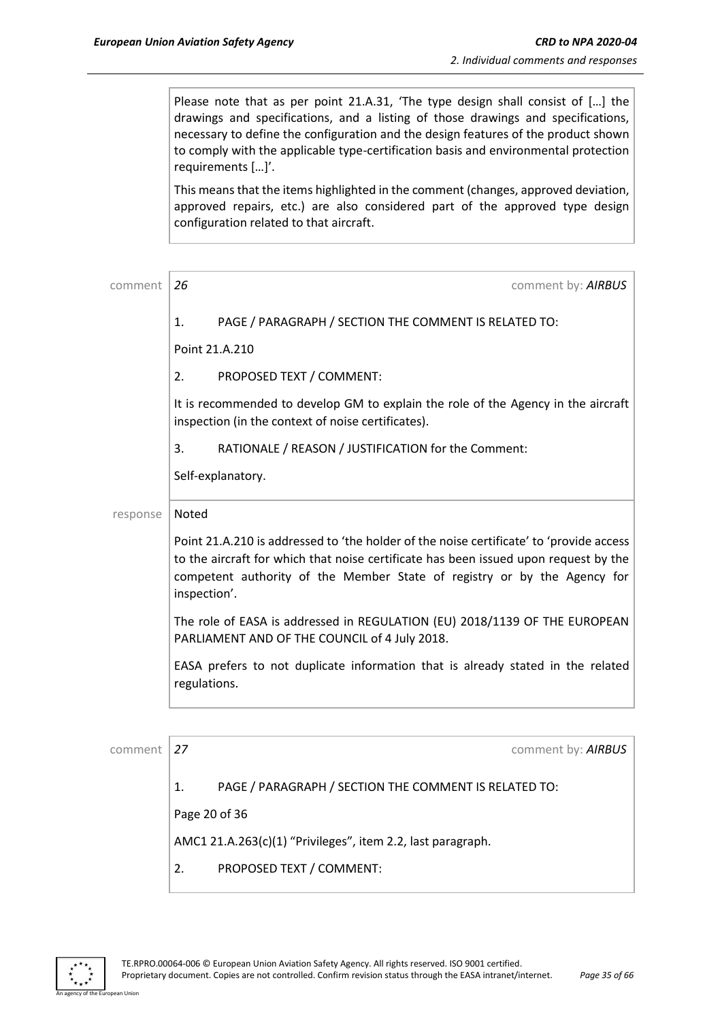Please note that as per point 21.A.31, 'The type design shall consist of […] the drawings and specifications, and a listing of those drawings and specifications, necessary to define the configuration and the design features of the product shown to comply with the applicable type-certification basis and environmental protection requirements […]'.

This means that the items highlighted in the comment (changes, approved deviation, approved repairs, etc.) are also considered part of the approved type design configuration related to that aircraft.

| comment  | 26<br>comment by: AIRBUS                                                                                                                                                                                                                                                    |
|----------|-----------------------------------------------------------------------------------------------------------------------------------------------------------------------------------------------------------------------------------------------------------------------------|
|          | PAGE / PARAGRAPH / SECTION THE COMMENT IS RELATED TO:<br>1.                                                                                                                                                                                                                 |
|          | Point 21.A.210                                                                                                                                                                                                                                                              |
|          | 2.<br>PROPOSED TEXT / COMMENT:                                                                                                                                                                                                                                              |
|          | It is recommended to develop GM to explain the role of the Agency in the aircraft<br>inspection (in the context of noise certificates).                                                                                                                                     |
|          | RATIONALE / REASON / JUSTIFICATION for the Comment:<br>3.                                                                                                                                                                                                                   |
|          | Self-explanatory.                                                                                                                                                                                                                                                           |
| response | Noted                                                                                                                                                                                                                                                                       |
|          | Point 21.A.210 is addressed to 'the holder of the noise certificate' to 'provide access<br>to the aircraft for which that noise certificate has been issued upon request by the<br>competent authority of the Member State of registry or by the Agency for<br>inspection'. |
|          | The role of EASA is addressed in REGULATION (EU) 2018/1139 OF THE EUROPEAN<br>PARLIAMENT AND OF THE COUNCIL of 4 July 2018.                                                                                                                                                 |
|          | EASA prefers to not duplicate information that is already stated in the related<br>regulations.                                                                                                                                                                             |
|          |                                                                                                                                                                                                                                                                             |
| comment  | 27<br>comment by: AIRBUS                                                                                                                                                                                                                                                    |

1. PAGE / PARAGRAPH / SECTION THE COMMENT IS RELATED TO:

Page 20 of 36

AMC1 21.A.263(c)(1) "Privileges", item 2.2, last paragraph.

2. PROPOSED TEXT / COMMENT:

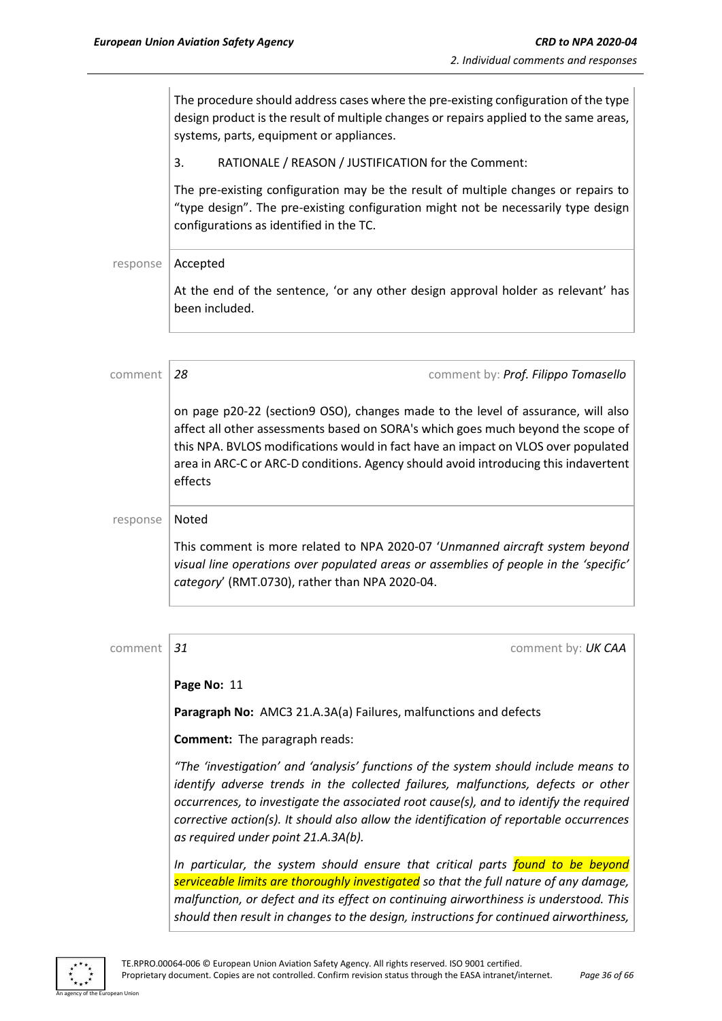effects

The procedure should address cases where the pre-existing configuration of the type design product is the result of multiple changes or repairs applied to the same areas, systems, parts, equipment or appliances. 3. RATIONALE / REASON / JUSTIFICATION for the Comment: The pre-existing configuration may be the result of multiple changes or repairs to "type design". The pre-existing configuration might not be necessarily type design configurations as identified in the TC. response | Accepted At the end of the sentence, 'or any other design approval holder as relevant' has been included. comment *28* comment by: *Prof. Filippo Tomasello* on page p20-22 (section9 OSO), changes made to the level of assurance, will also affect all other assessments based on SORA's which goes much beyond the scope of this NPA. BVLOS modifications would in fact have an impact on VLOS over populated area in ARC-C or ARC-D conditions. Agency should avoid introducing this indavertent

# response | Noted This comment is more related to NPA 2020-07 '*Unmanned aircraft system beyond visual line operations over populated areas or assemblies of people in the 'specific' category*' (RMT.0730), rather than NPA 2020-04.

| comment | 31<br>comment by: UK CAA                                                                                                                                                                                                                                                                                                                                                                             |
|---------|------------------------------------------------------------------------------------------------------------------------------------------------------------------------------------------------------------------------------------------------------------------------------------------------------------------------------------------------------------------------------------------------------|
|         | Page No: 11                                                                                                                                                                                                                                                                                                                                                                                          |
|         | Paragraph No: AMC3 21.A.3A(a) Failures, malfunctions and defects                                                                                                                                                                                                                                                                                                                                     |
|         | <b>Comment:</b> The paragraph reads:                                                                                                                                                                                                                                                                                                                                                                 |
|         | "The 'investigation' and 'analysis' functions of the system should include means to<br>identify adverse trends in the collected failures, malfunctions, defects or other<br>occurrences, to investigate the associated root cause(s), and to identify the required<br>corrective action(s). It should also allow the identification of reportable occurrences<br>as required under point 21.A.3A(b). |
|         | In particular, the system should ensure that critical parts found to be beyond<br>serviceable limits are thoroughly investigated so that the full nature of any damage,<br>malfunction, or defect and its effect on continuing airworthiness is understood. This                                                                                                                                     |
|         | should then result in changes to the design, instructions for continued airworthiness,                                                                                                                                                                                                                                                                                                               |

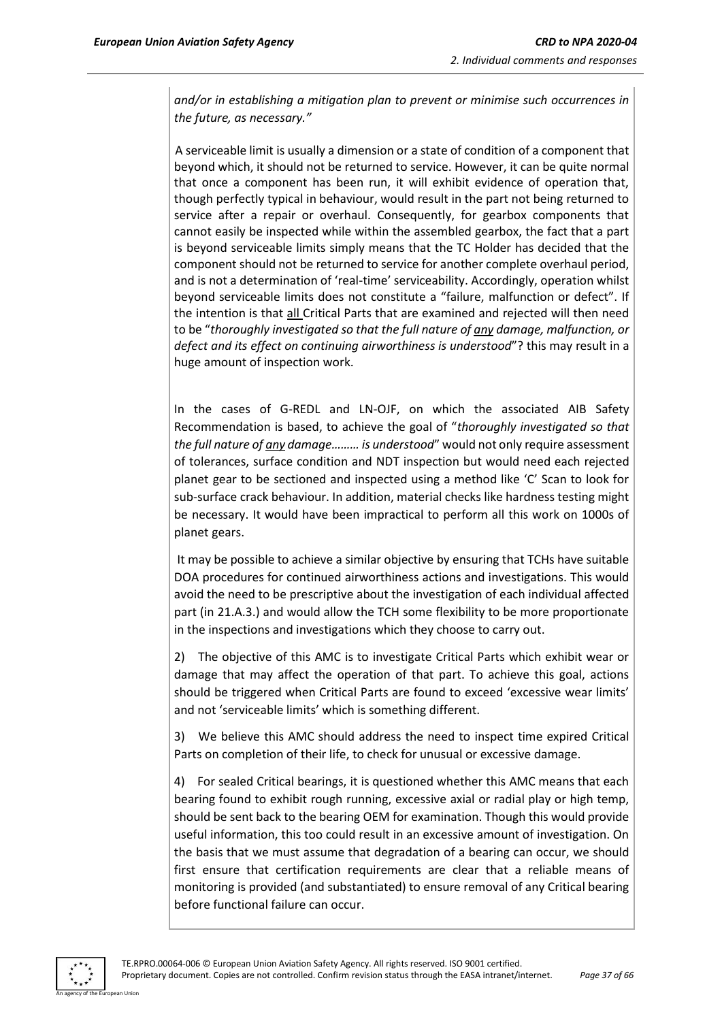*and/or in establishing a mitigation plan to prevent or minimise such occurrences in the future, as necessary."*

1) A serviceable limit is usually a dimension or a state of condition of a component that beyond which, it should not be returned to service. However, it can be quite normal that once a component has been run, it will exhibit evidence of operation that, though perfectly typical in behaviour, would result in the part not being returned to service after a repair or overhaul. Consequently, for gearbox components that cannot easily be inspected while within the assembled gearbox, the fact that a part is beyond serviceable limits simply means that the TC Holder has decided that the component should not be returned to service for another complete overhaul period, and is not a determination of 'real-time' serviceability. Accordingly, operation whilst beyond serviceable limits does not constitute a "failure, malfunction or defect". If the intention is that all Critical Parts that are examined and rejected will then need to be "*thoroughly investigated so that the full nature of any damage, malfunction, or defect and its effect on continuing airworthiness is understood*"? this may result in a huge amount of inspection work.

In the cases of G-REDL and LN-OJF, on which the associated AIB Safety Recommendation is based, to achieve the goal of "*thoroughly investigated so that the full nature of any damage……… is understood*" would not only require assessment of tolerances, surface condition and NDT inspection but would need each rejected planet gear to be sectioned and inspected using a method like 'C' Scan to look for sub-surface crack behaviour. In addition, material checks like hardness testing might be necessary. It would have been impractical to perform all this work on 1000s of planet gears.

It may be possible to achieve a similar objective by ensuring that TCHs have suitable DOA procedures for continued airworthiness actions and investigations. This would avoid the need to be prescriptive about the investigation of each individual affected part (in 21.A.3.) and would allow the TCH some flexibility to be more proportionate in the inspections and investigations which they choose to carry out.

2) The objective of this AMC is to investigate Critical Parts which exhibit wear or damage that may affect the operation of that part. To achieve this goal, actions should be triggered when Critical Parts are found to exceed 'excessive wear limits' and not 'serviceable limits' which is something different.

3) We believe this AMC should address the need to inspect time expired Critical Parts on completion of their life, to check for unusual or excessive damage.

4) For sealed Critical bearings, it is questioned whether this AMC means that each bearing found to exhibit rough running, excessive axial or radial play or high temp, should be sent back to the bearing OEM for examination. Though this would provide useful information, this too could result in an excessive amount of investigation. On the basis that we must assume that degradation of a bearing can occur, we should first ensure that certification requirements are clear that a reliable means of monitoring is provided (and substantiated) to ensure removal of any Critical bearing before functional failure can occur.

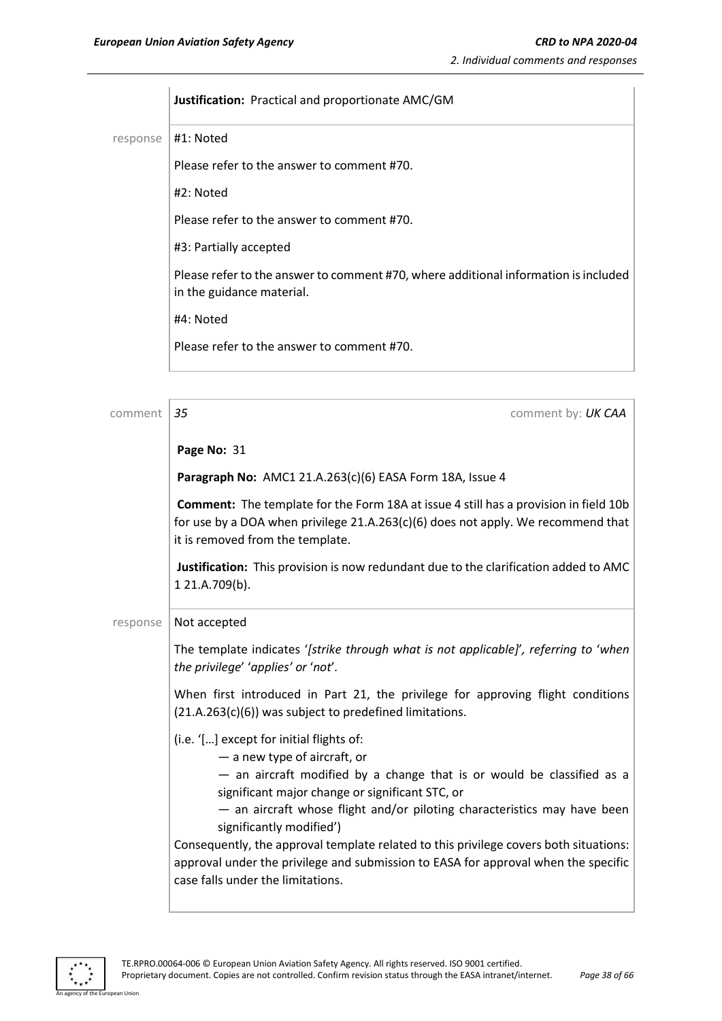**Justification:** Practical and proportionate AMC/GM response | #1: Noted Please refer to the answer to comment #70. #2: Noted Please refer to the answer to comment #70. #3: Partially accepted Please refer to the answer to comment #70, where additional information is included in the guidance material. #4: Noted Please refer to the answer to comment #70.

| comment  | 35<br>comment by: UK CAA                                                                                                                                                                                                                                                                                                                                                                                                                                                                                                          |
|----------|-----------------------------------------------------------------------------------------------------------------------------------------------------------------------------------------------------------------------------------------------------------------------------------------------------------------------------------------------------------------------------------------------------------------------------------------------------------------------------------------------------------------------------------|
|          | Page No: 31                                                                                                                                                                                                                                                                                                                                                                                                                                                                                                                       |
|          | Paragraph No: AMC1 21.A.263(c)(6) EASA Form 18A, Issue 4                                                                                                                                                                                                                                                                                                                                                                                                                                                                          |
|          | <b>Comment:</b> The template for the Form 18A at issue 4 still has a provision in field 10b<br>for use by a DOA when privilege $21.A.263(c)(6)$ does not apply. We recommend that<br>it is removed from the template.                                                                                                                                                                                                                                                                                                             |
|          | Justification: This provision is now redundant due to the clarification added to AMC<br>1 21.A.709(b).                                                                                                                                                                                                                                                                                                                                                                                                                            |
| response | Not accepted                                                                                                                                                                                                                                                                                                                                                                                                                                                                                                                      |
|          | The template indicates '[strike through what is not applicable]', referring to 'when<br>the privilege' 'applies' or 'not'.                                                                                                                                                                                                                                                                                                                                                                                                        |
|          | When first introduced in Part 21, the privilege for approving flight conditions<br>$(21.A.263(c)(6))$ was subject to predefined limitations.                                                                                                                                                                                                                                                                                                                                                                                      |
|          | (i.e. '[] except for initial flights of:<br>- a new type of aircraft, or<br>- an aircraft modified by a change that is or would be classified as a<br>significant major change or significant STC, or<br>- an aircraft whose flight and/or piloting characteristics may have been<br>significantly modified')<br>Consequently, the approval template related to this privilege covers both situations:<br>approval under the privilege and submission to EASA for approval when the specific<br>case falls under the limitations. |



an Hinio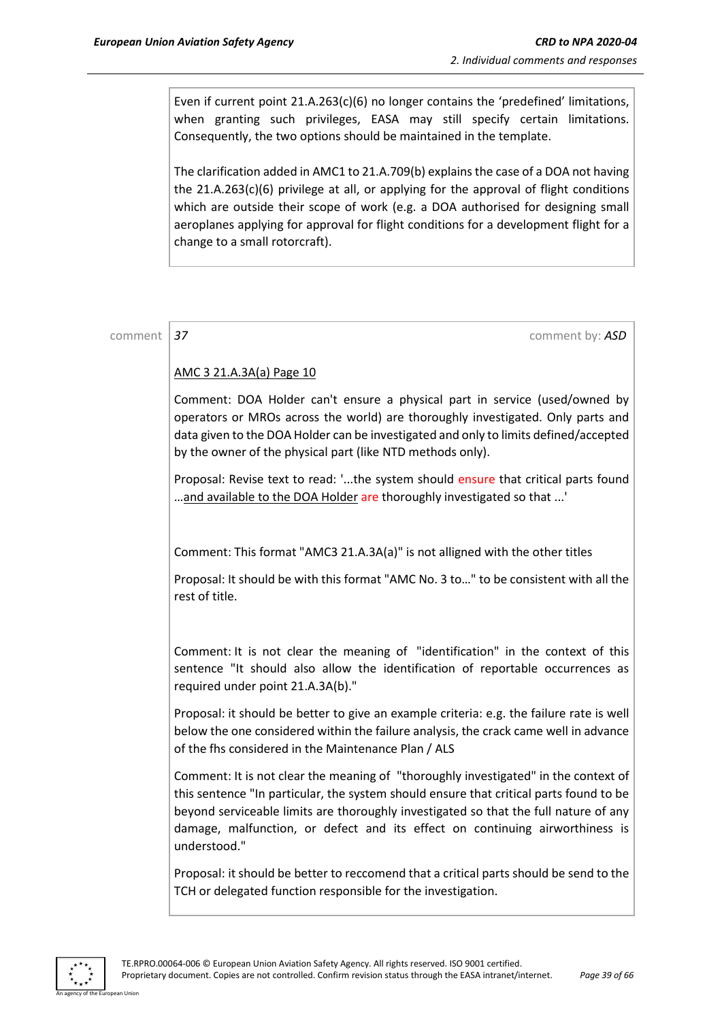Even if current point 21.A.263(c)(6) no longer contains the 'predefined' limitations, when granting such privileges, EASA may still specify certain limitations. Consequently, the two options should be maintained in the template.

The clarification added in AMC1 to 21.A.709(b) explains the case of a DOA not having the  $21.A.263(c)(6)$  privilege at all, or applying for the approval of flight conditions which are outside their scope of work (e.g. a DOA authorised for designing small aeroplanes applying for approval for flight conditions for a development flight for a change to a small rotorcraft).

comment **37** comment **37** comment **37** 

#### AMC 3 21.A.3A(a) Page 10

Comment: DOA Holder can't ensure a physical part in service (used/owned by operators or MROs across the world) are thoroughly investigated. Only parts and data given to the DOA Holder can be investigated and only to limits defined/accepted by the owner of the physical part (like NTD methods only).

Proposal: Revise text to read: '...the system should ensure that critical parts found ...and available to the DOA Holder are thoroughly investigated so that ...'

Comment: This format "AMC3 21.A.3A(a)" is not alligned with the other titles

Proposal: It should be with this format "AMC No. 3 to…" to be consistent with all the rest of title.

Comment: It is not clear the meaning of "identification" in the context of this sentence "It should also allow the identification of reportable occurrences as required under point 21.A.3A(b)."

Proposal: it should be better to give an example criteria: e.g. the failure rate is well below the one considered within the failure analysis, the crack came well in advance of the fhs considered in the Maintenance Plan / ALS

Comment: It is not clear the meaning of "thoroughly investigated" in the context of this sentence "In particular, the system should ensure that critical parts found to be beyond serviceable limits are thoroughly investigated so that the full nature of any damage, malfunction, or defect and its effect on continuing airworthiness is understood."

Proposal: it should be better to reccomend that a critical parts should be send to the TCH or delegated function responsible for the investigation.

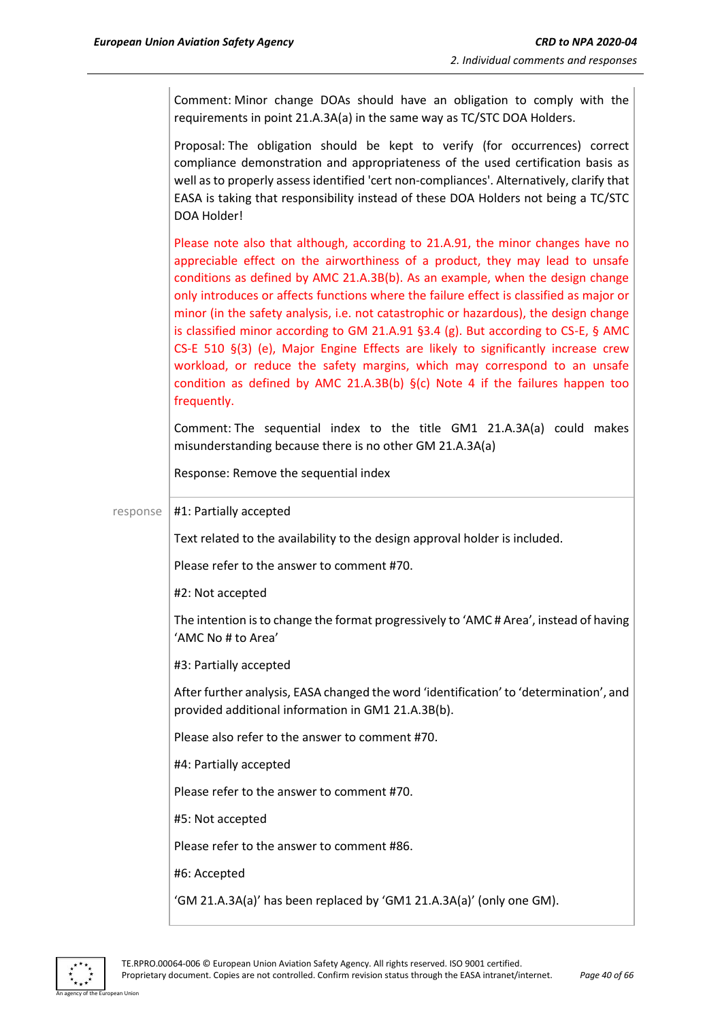|          | Comment: Minor change DOAs should have an obligation to comply with the<br>requirements in point 21.A.3A(a) in the same way as TC/STC DOA Holders.                                                                                                                                                                                                                                                                                                                                                                                                                                                                                                                                                                                                                                                |
|----------|---------------------------------------------------------------------------------------------------------------------------------------------------------------------------------------------------------------------------------------------------------------------------------------------------------------------------------------------------------------------------------------------------------------------------------------------------------------------------------------------------------------------------------------------------------------------------------------------------------------------------------------------------------------------------------------------------------------------------------------------------------------------------------------------------|
|          | Proposal: The obligation should be kept to verify (for occurrences) correct<br>compliance demonstration and appropriateness of the used certification basis as<br>well as to properly assess identified 'cert non-compliances'. Alternatively, clarify that<br>EASA is taking that responsibility instead of these DOA Holders not being a TC/STC<br>DOA Holder!                                                                                                                                                                                                                                                                                                                                                                                                                                  |
|          | Please note also that although, according to 21.A.91, the minor changes have no<br>appreciable effect on the airworthiness of a product, they may lead to unsafe<br>conditions as defined by AMC 21.A.3B(b). As an example, when the design change<br>only introduces or affects functions where the failure effect is classified as major or<br>minor (in the safety analysis, i.e. not catastrophic or hazardous), the design change<br>is classified minor according to GM 21.A.91 §3.4 (g). But according to CS-E, § AMC<br>CS-E 510 §(3) (e), Major Engine Effects are likely to significantly increase crew<br>workload, or reduce the safety margins, which may correspond to an unsafe<br>condition as defined by AMC 21.A.3B(b) $\S(c)$ Note 4 if the failures happen too<br>frequently. |
|          | Comment: The sequential index to the title GM1 21.A.3A(a) could makes<br>misunderstanding because there is no other GM 21.A.3A(a)                                                                                                                                                                                                                                                                                                                                                                                                                                                                                                                                                                                                                                                                 |
|          | Response: Remove the sequential index                                                                                                                                                                                                                                                                                                                                                                                                                                                                                                                                                                                                                                                                                                                                                             |
|          |                                                                                                                                                                                                                                                                                                                                                                                                                                                                                                                                                                                                                                                                                                                                                                                                   |
| response | #1: Partially accepted                                                                                                                                                                                                                                                                                                                                                                                                                                                                                                                                                                                                                                                                                                                                                                            |
|          | Text related to the availability to the design approval holder is included.                                                                                                                                                                                                                                                                                                                                                                                                                                                                                                                                                                                                                                                                                                                       |
|          | Please refer to the answer to comment #70.                                                                                                                                                                                                                                                                                                                                                                                                                                                                                                                                                                                                                                                                                                                                                        |
|          | #2: Not accepted                                                                                                                                                                                                                                                                                                                                                                                                                                                                                                                                                                                                                                                                                                                                                                                  |
|          | The intention is to change the format progressively to 'AMC# Area', instead of having<br>'AMC No # to Area'                                                                                                                                                                                                                                                                                                                                                                                                                                                                                                                                                                                                                                                                                       |
|          | #3: Partially accepted                                                                                                                                                                                                                                                                                                                                                                                                                                                                                                                                                                                                                                                                                                                                                                            |
|          | After further analysis, EASA changed the word 'identification' to 'determination', and<br>provided additional information in GM1 21.A.3B(b).                                                                                                                                                                                                                                                                                                                                                                                                                                                                                                                                                                                                                                                      |
|          | Please also refer to the answer to comment #70.                                                                                                                                                                                                                                                                                                                                                                                                                                                                                                                                                                                                                                                                                                                                                   |
|          | #4: Partially accepted                                                                                                                                                                                                                                                                                                                                                                                                                                                                                                                                                                                                                                                                                                                                                                            |
|          | Please refer to the answer to comment #70.                                                                                                                                                                                                                                                                                                                                                                                                                                                                                                                                                                                                                                                                                                                                                        |
|          | #5: Not accepted                                                                                                                                                                                                                                                                                                                                                                                                                                                                                                                                                                                                                                                                                                                                                                                  |
|          | Please refer to the answer to comment #86.                                                                                                                                                                                                                                                                                                                                                                                                                                                                                                                                                                                                                                                                                                                                                        |
|          | #6: Accepted                                                                                                                                                                                                                                                                                                                                                                                                                                                                                                                                                                                                                                                                                                                                                                                      |

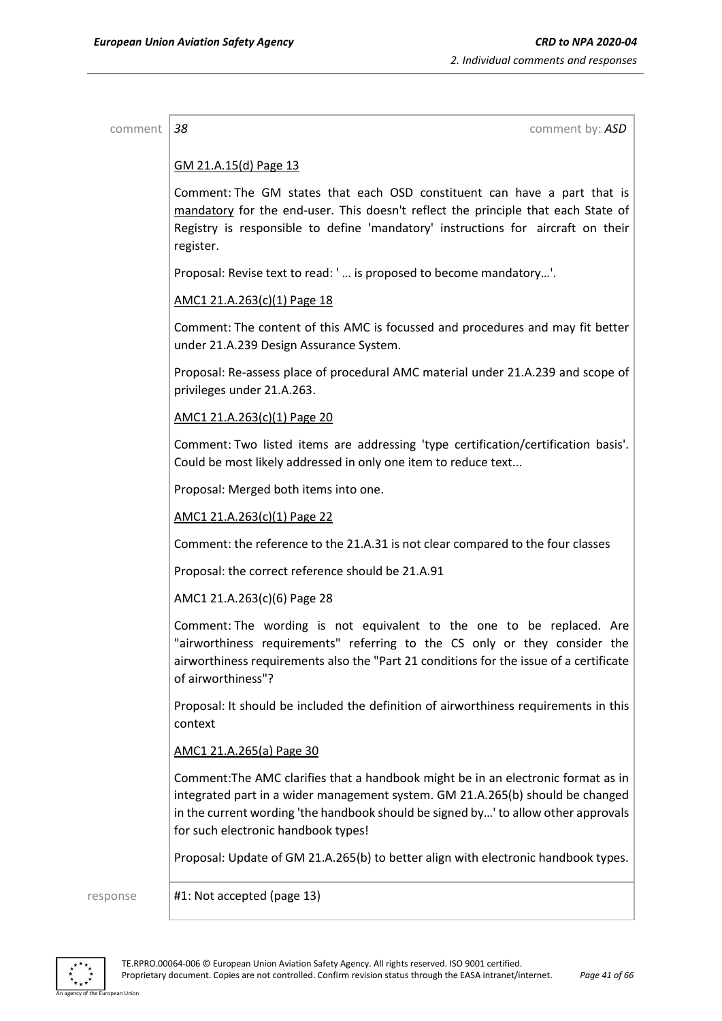| comment  | 38<br>comment by: ASD                                                                                                                                                                                                                                                                            |
|----------|--------------------------------------------------------------------------------------------------------------------------------------------------------------------------------------------------------------------------------------------------------------------------------------------------|
|          | GM 21.A.15(d) Page 13                                                                                                                                                                                                                                                                            |
|          | Comment: The GM states that each OSD constituent can have a part that is<br>mandatory for the end-user. This doesn't reflect the principle that each State of<br>Registry is responsible to define 'mandatory' instructions for aircraft on their<br>register.                                   |
|          | Proposal: Revise text to read: '  is proposed to become mandatory'.                                                                                                                                                                                                                              |
|          | AMC1 21.A.263(c)(1) Page 18                                                                                                                                                                                                                                                                      |
|          | Comment: The content of this AMC is focussed and procedures and may fit better<br>under 21.A.239 Design Assurance System.                                                                                                                                                                        |
|          | Proposal: Re-assess place of procedural AMC material under 21.A.239 and scope of<br>privileges under 21.A.263.                                                                                                                                                                                   |
|          | AMC1 21.A.263(c)(1) Page 20                                                                                                                                                                                                                                                                      |
|          | Comment: Two listed items are addressing 'type certification/certification basis'.<br>Could be most likely addressed in only one item to reduce text                                                                                                                                             |
|          | Proposal: Merged both items into one.                                                                                                                                                                                                                                                            |
|          | AMC1 21.A.263(c)(1) Page 22                                                                                                                                                                                                                                                                      |
|          | Comment: the reference to the 21.A.31 is not clear compared to the four classes                                                                                                                                                                                                                  |
|          | Proposal: the correct reference should be 21.A.91                                                                                                                                                                                                                                                |
|          | AMC1 21.A.263(c)(6) Page 28                                                                                                                                                                                                                                                                      |
|          | Comment: The wording is not equivalent to the one to be replaced. Are<br>"airworthiness requirements" referring to the CS only or they consider the<br>airworthiness requirements also the "Part 21 conditions for the issue of a certificate<br>of airworthiness"?                              |
|          | Proposal: It should be included the definition of airworthiness requirements in this<br>context                                                                                                                                                                                                  |
|          | AMC1 21.A.265(a) Page 30                                                                                                                                                                                                                                                                         |
|          | Comment: The AMC clarifies that a handbook might be in an electronic format as in<br>integrated part in a wider management system. GM 21.A.265(b) should be changed<br>in the current wording 'the handbook should be signed by' to allow other approvals<br>for such electronic handbook types! |
|          | Proposal: Update of GM 21.A.265(b) to better align with electronic handbook types.                                                                                                                                                                                                               |
| response | #1: Not accepted (page 13)                                                                                                                                                                                                                                                                       |

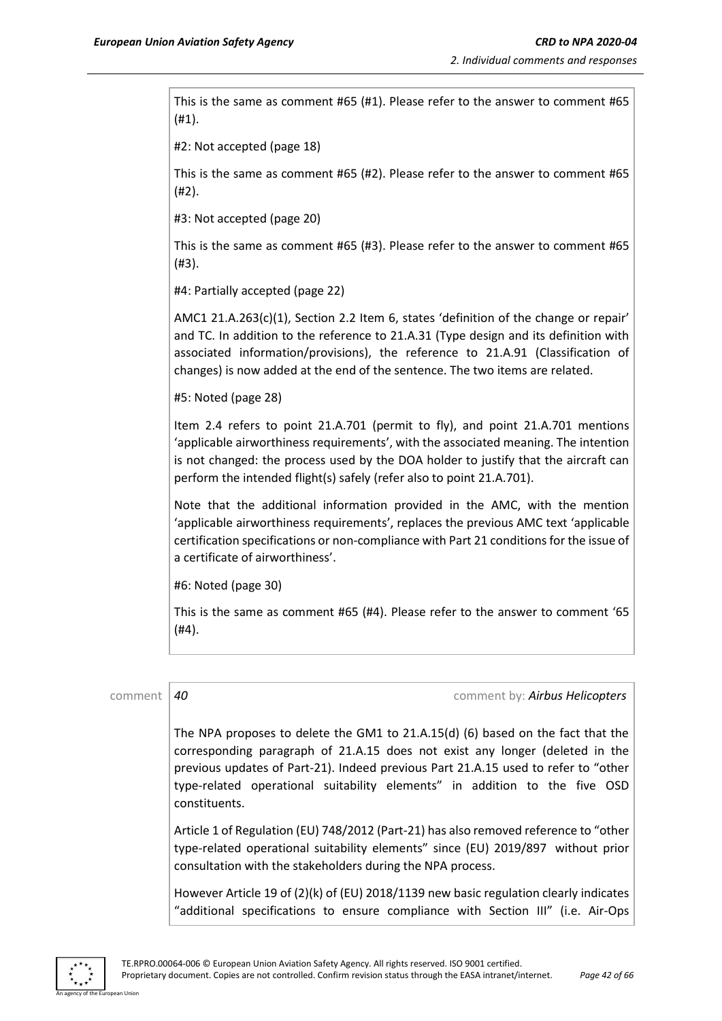This is the same as comment #65 (#1). Please refer to the answer to comment #65 (#1).

#2: Not accepted (page 18)

This is the same as comment #65 (#2). Please refer to the answer to comment #65 (#2).

#3: Not accepted (page 20)

This is the same as comment #65 (#3). Please refer to the answer to comment #65 (#3).

#4: Partially accepted (page 22)

AMC1 21.A.263(c)(1), Section 2.2 Item 6, states 'definition of the change or repair' and TC. In addition to the reference to 21.A.31 (Type design and its definition with associated information/provisions), the reference to 21.A.91 (Classification of changes) is now added at the end of the sentence. The two items are related.

#5: Noted (page 28)

Item 2.4 refers to point 21.A.701 (permit to fly), and point 21.A.701 mentions 'applicable airworthiness requirements', with the associated meaning. The intention is not changed: the process used by the DOA holder to justify that the aircraft can perform the intended flight(s) safely (refer also to point 21.A.701).

Note that the additional information provided in the AMC, with the mention 'applicable airworthiness requirements', replaces the previous AMC text 'applicable certification specifications or non-compliance with Part 21 conditions for the issue of a certificate of airworthiness'.

#6: Noted (page 30)

This is the same as comment #65 (#4). Please refer to the answer to comment '65 (#4).

| comment | comment by: Airbus Helicopters<br>40                                                                                                                                                                                                                                                                                                                 |
|---------|------------------------------------------------------------------------------------------------------------------------------------------------------------------------------------------------------------------------------------------------------------------------------------------------------------------------------------------------------|
|         | The NPA proposes to delete the GM1 to 21.A.15(d) (6) based on the fact that the<br>corresponding paragraph of 21.A.15 does not exist any longer (deleted in the<br>previous updates of Part-21). Indeed previous Part 21.A.15 used to refer to "other<br>type-related operational suitability elements" in addition to the five OSD<br>constituents. |
|         | Article 1 of Regulation (EU) 748/2012 (Part-21) has also removed reference to "other<br>type-related operational suitability elements" since (EU) 2019/897 without prior<br>consultation with the stakeholders during the NPA process.                                                                                                               |
|         | However Article 19 of (2)(k) of (EU) 2018/1139 new basic regulation clearly indicates<br>"additional specifications to ensure compliance with Section III" (i.e. Air-Ops                                                                                                                                                                             |
|         |                                                                                                                                                                                                                                                                                                                                                      |

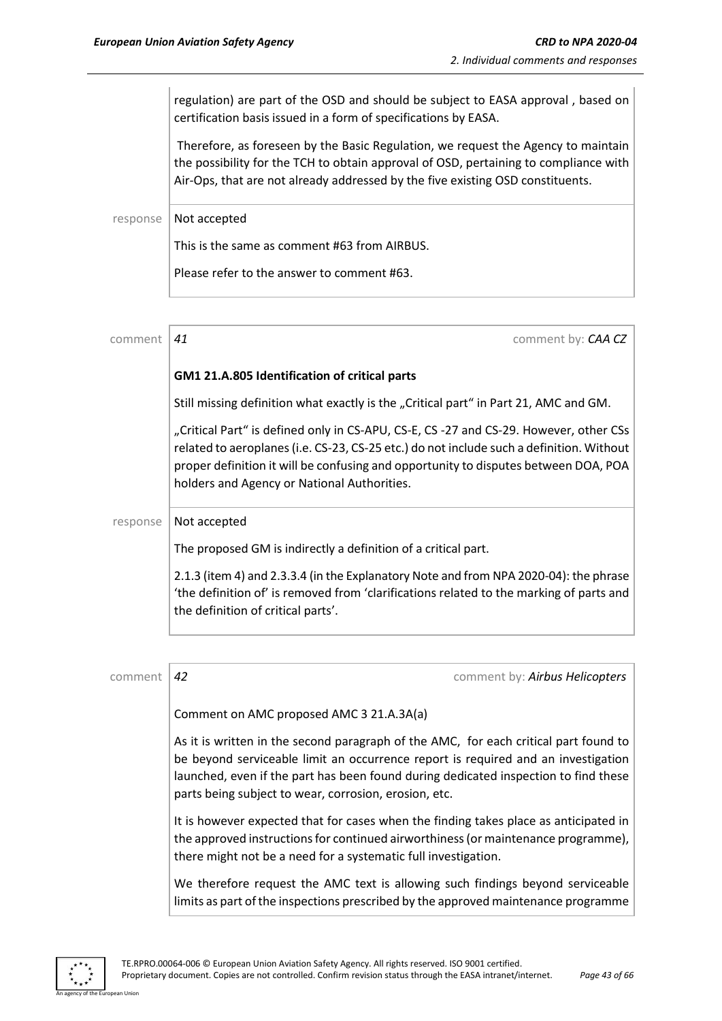regulation) are part of the OSD and should be subject to EASA approval , based on certification basis issued in a form of specifications by EASA.

Therefore, as foreseen by the Basic Regulation, we request the Agency to maintain the possibility for the TCH to obtain approval of OSD, pertaining to compliance with Air-Ops, that are not already addressed by the five existing OSD constituents.

response | Not accepted

This is the same as comment #63 from AIRBUS.

Please refer to the answer to comment #63.

| comment  | comment by: CAA CZ<br>41                                                                                                                                                                                                                                                                                                |
|----------|-------------------------------------------------------------------------------------------------------------------------------------------------------------------------------------------------------------------------------------------------------------------------------------------------------------------------|
|          | GM1 21.A.805 Identification of critical parts                                                                                                                                                                                                                                                                           |
|          | Still missing definition what exactly is the "Critical part" in Part 21, AMC and GM.                                                                                                                                                                                                                                    |
|          | "Critical Part" is defined only in CS-APU, CS-E, CS -27 and CS-29. However, other CSs<br>related to aeroplanes (i.e. CS-23, CS-25 etc.) do not include such a definition. Without<br>proper definition it will be confusing and opportunity to disputes between DOA, POA<br>holders and Agency or National Authorities. |
| response | Not accepted                                                                                                                                                                                                                                                                                                            |
|          | The proposed GM is indirectly a definition of a critical part.                                                                                                                                                                                                                                                          |
|          | 2.1.3 (item 4) and 2.3.3.4 (in the Explanatory Note and from NPA 2020-04): the phrase<br>'the definition of' is removed from 'clarifications related to the marking of parts and<br>the definition of critical parts'.                                                                                                  |

| comment | 42                                                                                                                                                                                                                                                                                                                        | comment by: Airbus Helicopters |
|---------|---------------------------------------------------------------------------------------------------------------------------------------------------------------------------------------------------------------------------------------------------------------------------------------------------------------------------|--------------------------------|
|         | Comment on AMC proposed AMC 3 21.A.3A(a)                                                                                                                                                                                                                                                                                  |                                |
|         | As it is written in the second paragraph of the AMC, for each critical part found to<br>be beyond serviceable limit an occurrence report is required and an investigation<br>launched, even if the part has been found during dedicated inspection to find these<br>parts being subject to wear, corrosion, erosion, etc. |                                |
|         | It is however expected that for cases when the finding takes place as anticipated in<br>the approved instructions for continued airworthiness (or maintenance programme),<br>there might not be a need for a systematic full investigation.                                                                               |                                |
|         | We therefore request the AMC text is allowing such findings beyond serviceable<br>limits as part of the inspections prescribed by the approved maintenance programme                                                                                                                                                      |                                |



An agency of the European Union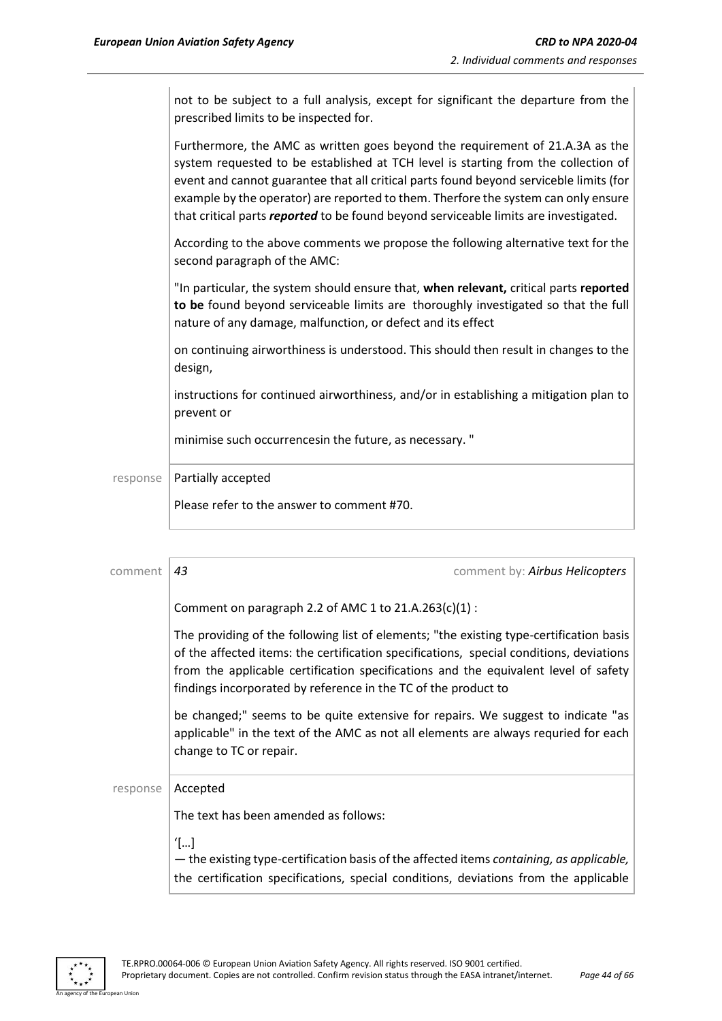not to be subject to a full analysis, except for significant the departure from the prescribed limits to be inspected for.

Furthermore, the AMC as written goes beyond the requirement of 21.A.3A as the system requested to be established at TCH level is starting from the collection of event and cannot guarantee that all critical parts found beyond serviceble limits (for example by the operator) are reported to them. Therfore the system can only ensure that critical parts *reported* to be found beyond serviceable limits are investigated.

According to the above comments we propose the following alternative text for the second paragraph of the AMC:

"In particular, the system should ensure that, **when relevant,** critical parts **reported to be** found beyond serviceable limits are thoroughly investigated so that the full nature of any damage, malfunction, or defect and its effect

on continuing airworthiness is understood. This should then result in changes to the design,

instructions for continued airworthiness, and/or in establishing a mitigation plan to prevent or

minimise such occurrencesin the future, as necessary. "

response | Partially accepted

Please refer to the answer to comment #70.

| comment  | 43<br>comment by: Airbus Helicopters                                                                                                                                                                                                                                                                                                        |  |  |  |
|----------|---------------------------------------------------------------------------------------------------------------------------------------------------------------------------------------------------------------------------------------------------------------------------------------------------------------------------------------------|--|--|--|
|          | Comment on paragraph 2.2 of AMC 1 to 21.A.263(c)(1) :                                                                                                                                                                                                                                                                                       |  |  |  |
|          | The providing of the following list of elements; "the existing type-certification basis<br>of the affected items: the certification specifications, special conditions, deviations<br>from the applicable certification specifications and the equivalent level of safety<br>findings incorporated by reference in the TC of the product to |  |  |  |
|          | be changed;" seems to be quite extensive for repairs. We suggest to indicate "as<br>applicable" in the text of the AMC as not all elements are always requried for each<br>change to TC or repair.                                                                                                                                          |  |  |  |
| response | Accepted                                                                                                                                                                                                                                                                                                                                    |  |  |  |
|          | The text has been amended as follows:                                                                                                                                                                                                                                                                                                       |  |  |  |
|          | $T_{\ldots}$<br>- the existing type-certification basis of the affected items containing, as applicable,<br>the certification specifications, special conditions, deviations from the applicable                                                                                                                                            |  |  |  |

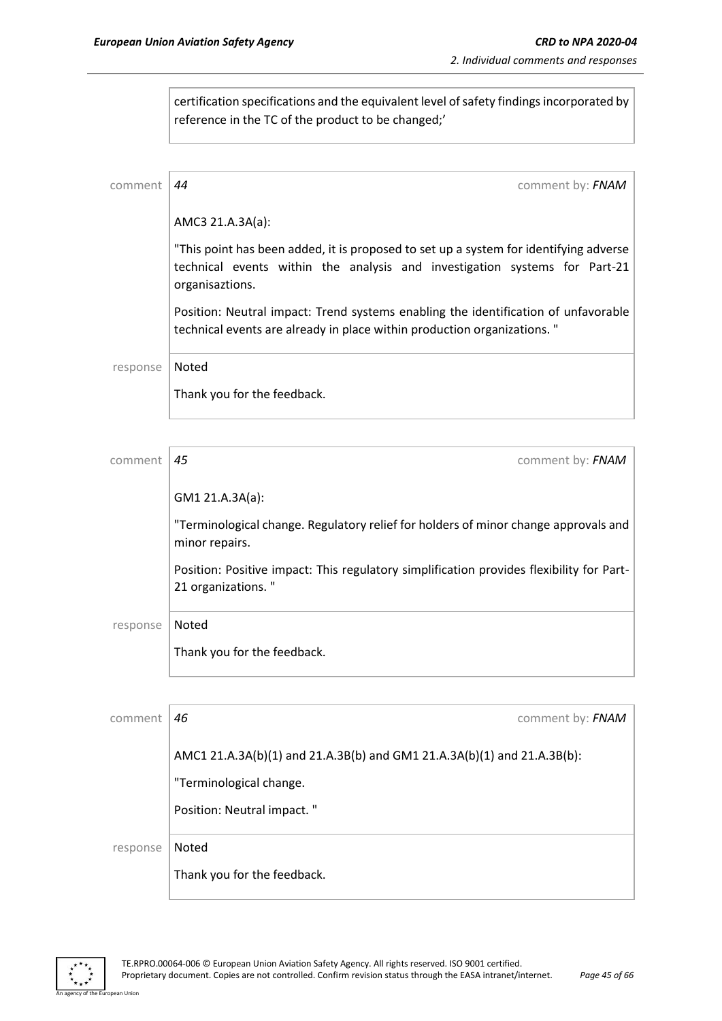certification specifications and the equivalent level of safety findings incorporated by reference in the TC of the product to be changed;'

| comment  | comment by: FNAM<br>44                                                                                                                                                                 |
|----------|----------------------------------------------------------------------------------------------------------------------------------------------------------------------------------------|
|          | AMC3 21.A.3A(a):                                                                                                                                                                       |
|          | "This point has been added, it is proposed to set up a system for identifying adverse<br>technical events within the analysis and investigation systems for Part-21<br>organisaztions. |
|          | Position: Neutral impact: Trend systems enabling the identification of unfavorable<br>technical events are already in place within production organizations."                          |
| response | Noted                                                                                                                                                                                  |
|          | Thank you for the feedback.                                                                                                                                                            |

| comment  | 45<br>comment by: FNAM                                                                                         |
|----------|----------------------------------------------------------------------------------------------------------------|
|          | GM1 21.A.3A(a):                                                                                                |
|          | "Terminological change. Regulatory relief for holders of minor change approvals and<br>minor repairs.          |
|          | Position: Positive impact: This regulatory simplification provides flexibility for Part-<br>21 organizations." |
| response | Noted                                                                                                          |
|          | Thank you for the feedback.                                                                                    |
|          |                                                                                                                |

| comment  | 46                                                                      | comment by: FNAM |
|----------|-------------------------------------------------------------------------|------------------|
|          | AMC1 21.A.3A(b)(1) and 21.A.3B(b) and GM1 21.A.3A(b)(1) and 21.A.3B(b): |                  |
|          | "Terminological change.                                                 |                  |
|          | Position: Neutral impact."                                              |                  |
| response | Noted                                                                   |                  |
|          | Thank you for the feedback.                                             |                  |



an Union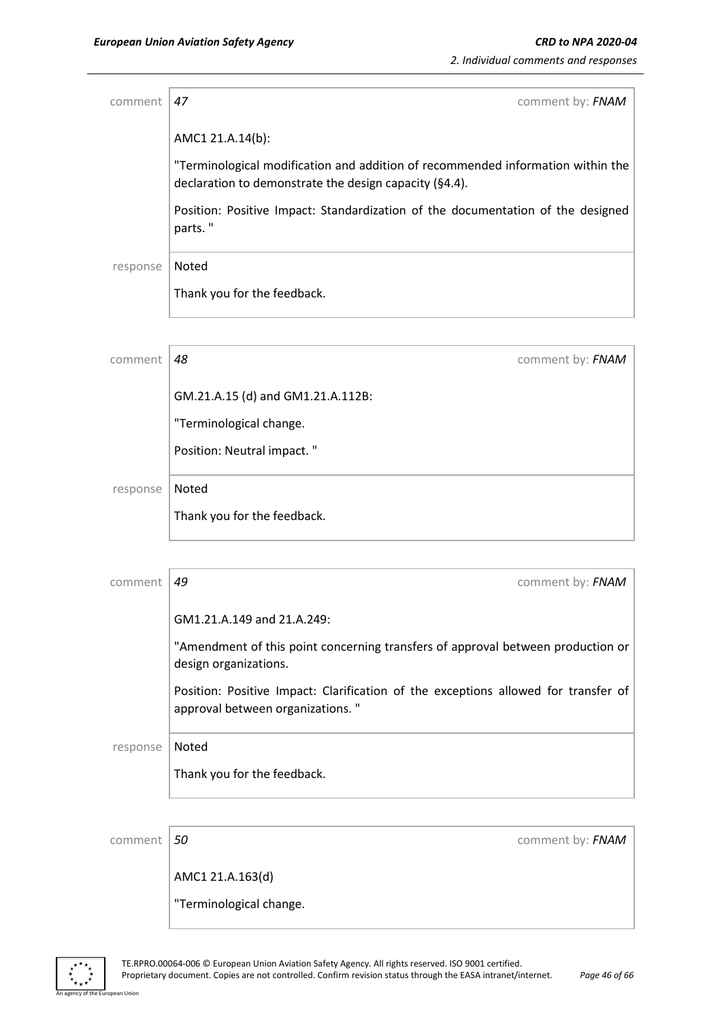| comment  | 47<br>comment by: FNAM                                                                                                                    |
|----------|-------------------------------------------------------------------------------------------------------------------------------------------|
|          | AMC1 21.A.14(b):                                                                                                                          |
|          | "Terminological modification and addition of recommended information within the<br>declaration to demonstrate the design capacity (§4.4). |
|          | Position: Positive Impact: Standardization of the documentation of the designed<br>parts."                                                |
| response | Noted                                                                                                                                     |
|          | Thank you for the feedback.                                                                                                               |
|          |                                                                                                                                           |

| comment  | 48                                | comment by: FNAM |
|----------|-----------------------------------|------------------|
|          | GM.21.A.15 (d) and GM1.21.A.112B: |                  |
|          | "Terminological change.           |                  |
|          | Position: Neutral impact."        |                  |
| response | Noted                             |                  |
|          | Thank you for the feedback.       |                  |
|          |                                   |                  |

| comment  | 49<br>comment by: FNAM                                                                                                 |
|----------|------------------------------------------------------------------------------------------------------------------------|
|          | GM1.21.A.149 and 21.A.249:                                                                                             |
|          | "Amendment of this point concerning transfers of approval between production or<br>design organizations.               |
|          | Position: Positive Impact: Clarification of the exceptions allowed for transfer of<br>approval between organizations." |
| response | Noted                                                                                                                  |
|          | Thank you for the feedback.                                                                                            |
|          |                                                                                                                        |

| comment $ 50 $ |                         | comment by: FNAM |
|----------------|-------------------------|------------------|
|                | AMC1 21.A.163(d)        |                  |
|                | "Terminological change. |                  |
|                |                         |                  |

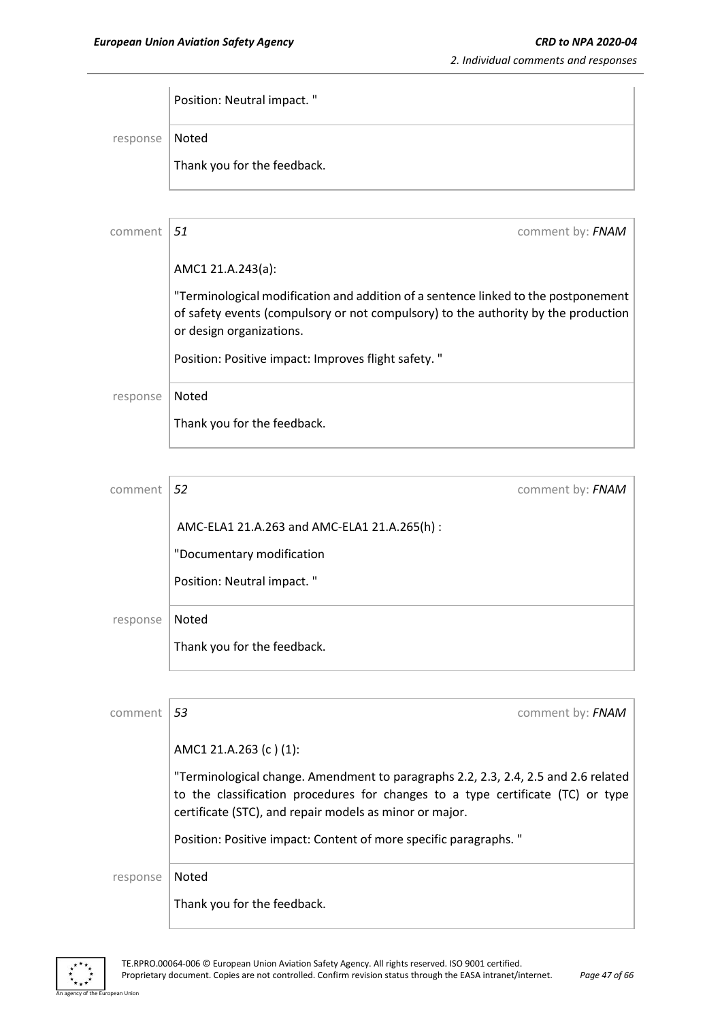|                  | Position: Neutral impact. " |
|------------------|-----------------------------|
| response   Noted |                             |
|                  | Thank you for the feedback. |

| comment  | .51<br>comment by: FNAM                                                                                                                                                                              |
|----------|------------------------------------------------------------------------------------------------------------------------------------------------------------------------------------------------------|
|          | AMC1 21.A.243(a):                                                                                                                                                                                    |
|          | "Terminological modification and addition of a sentence linked to the postponement<br>of safety events (compulsory or not compulsory) to the authority by the production<br>or design organizations. |
|          | Position: Positive impact: Improves flight safety. "                                                                                                                                                 |
| response | Noted                                                                                                                                                                                                |
|          | Thank you for the feedback.                                                                                                                                                                          |

| comment  | 52                                           | comment by: FNAM |
|----------|----------------------------------------------|------------------|
|          | AMC-ELA1 21.A.263 and AMC-ELA1 21.A.265(h) : |                  |
|          | "Documentary modification                    |                  |
|          | Position: Neutral impact."                   |                  |
| response | Noted                                        |                  |
|          | Thank you for the feedback.                  |                  |
|          |                                              |                  |

| comment  | 53<br>comment by: FNAM                                                                                                                                                                                                           |
|----------|----------------------------------------------------------------------------------------------------------------------------------------------------------------------------------------------------------------------------------|
|          | AMC1 21.A.263 (c)(1):                                                                                                                                                                                                            |
|          | "Terminological change. Amendment to paragraphs 2.2, 2.3, 2.4, 2.5 and 2.6 related<br>to the classification procedures for changes to a type certificate (TC) or type<br>certificate (STC), and repair models as minor or major. |
|          | Position: Positive impact: Content of more specific paragraphs. "                                                                                                                                                                |
| response | Noted                                                                                                                                                                                                                            |
|          | Thank you for the feedback.                                                                                                                                                                                                      |



ean Union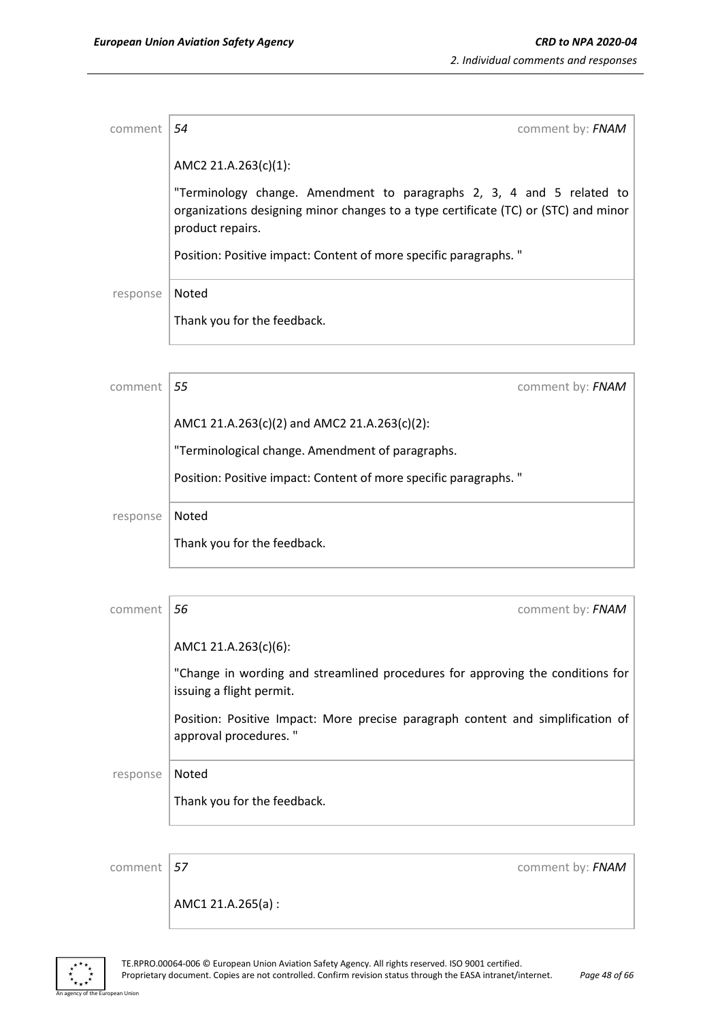| comment           | 54<br>comment by: FNAM                                                                                                                                                           |  |  |
|-------------------|----------------------------------------------------------------------------------------------------------------------------------------------------------------------------------|--|--|
|                   | AMC2 21.A.263(c)(1):                                                                                                                                                             |  |  |
|                   | "Terminology change. Amendment to paragraphs 2, 3, 4 and 5 related to<br>organizations designing minor changes to a type certificate (TC) or (STC) and minor<br>product repairs. |  |  |
|                   | Position: Positive impact: Content of more specific paragraphs. "                                                                                                                |  |  |
| Noted<br>response |                                                                                                                                                                                  |  |  |
|                   | Thank you for the feedback.                                                                                                                                                      |  |  |
|                   |                                                                                                                                                                                  |  |  |
| comment           | 55<br>comment by: FNAM                                                                                                                                                           |  |  |
|                   | AMC1 21.A.263(c)(2) and AMC2 21.A.263(c)(2):                                                                                                                                     |  |  |
|                   | "Terminological change. Amendment of paragraphs.                                                                                                                                 |  |  |
|                   | Position: Positive impact: Content of more specific paragraphs. "                                                                                                                |  |  |
| response          | Noted                                                                                                                                                                            |  |  |
|                   | Thank you for the feedback.                                                                                                                                                      |  |  |

| comment  | 56<br>comment by: FNAM                                                                                     |
|----------|------------------------------------------------------------------------------------------------------------|
|          | AMC1 21.A.263(c)(6):                                                                                       |
|          | "Change in wording and streamlined procedures for approving the conditions for<br>issuing a flight permit. |
|          | Position: Positive Impact: More precise paragraph content and simplification of<br>approval procedures."   |
| response | Noted                                                                                                      |
|          | Thank you for the feedback.                                                                                |
|          |                                                                                                            |

ean Union

comment **57** comment **57** comment **57** 

AMC1 21.A.265(a) :

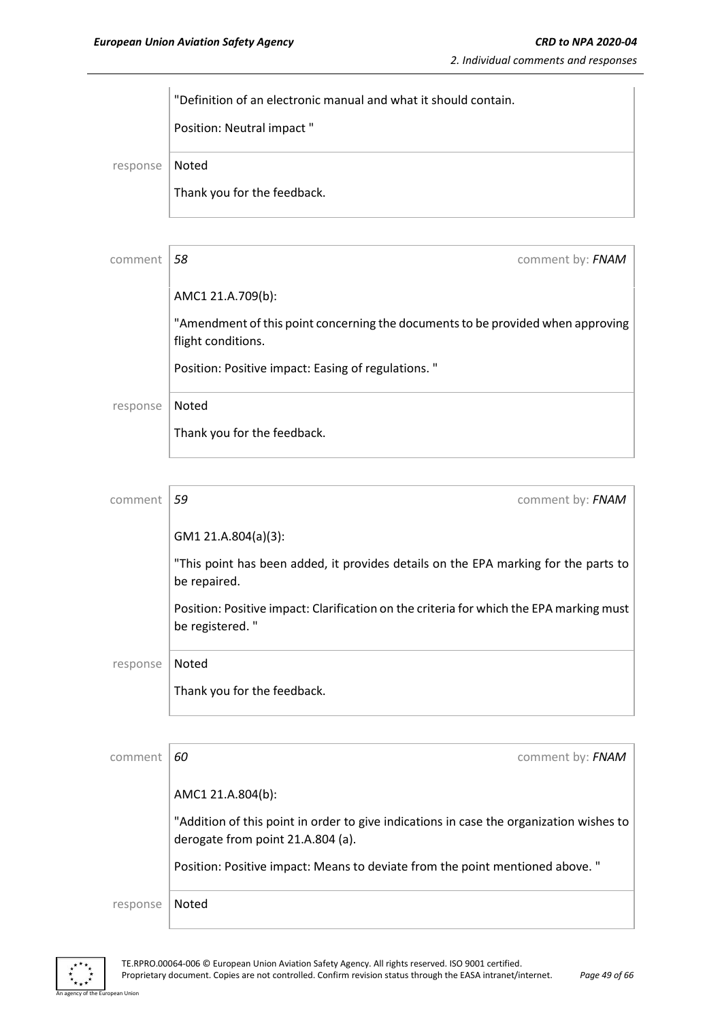"Definition of an electronic manual and what it should contain. Position: Neutral impact " response Noted Thank you for the feedback.

| comment  | 58<br>comment by: FNAM                                                                                |
|----------|-------------------------------------------------------------------------------------------------------|
|          | AMC1 21.A.709(b):                                                                                     |
|          | "Amendment of this point concerning the documents to be provided when approving<br>flight conditions. |
|          | Position: Positive impact: Easing of regulations."                                                    |
| response | Noted                                                                                                 |
|          | Thank you for the feedback.                                                                           |
|          |                                                                                                       |

| comment  | 59<br>comment by: FNAM                                                                                     |
|----------|------------------------------------------------------------------------------------------------------------|
|          | GM1 21.A.804(a)(3):                                                                                        |
|          | "This point has been added, it provides details on the EPA marking for the parts to<br>be repaired.        |
|          | Position: Positive impact: Clarification on the criteria for which the EPA marking must<br>be registered." |
| response | Noted                                                                                                      |
|          | Thank you for the feedback.                                                                                |

| comment  | comment by: FNAM<br>60                                                                                                       |
|----------|------------------------------------------------------------------------------------------------------------------------------|
|          | AMC1 21.A.804(b):                                                                                                            |
|          | "Addition of this point in order to give indications in case the organization wishes to<br>derogate from point 21.A.804 (a). |
|          | Position: Positive impact: Means to deviate from the point mentioned above. "                                                |
| response | Noted                                                                                                                        |



an Union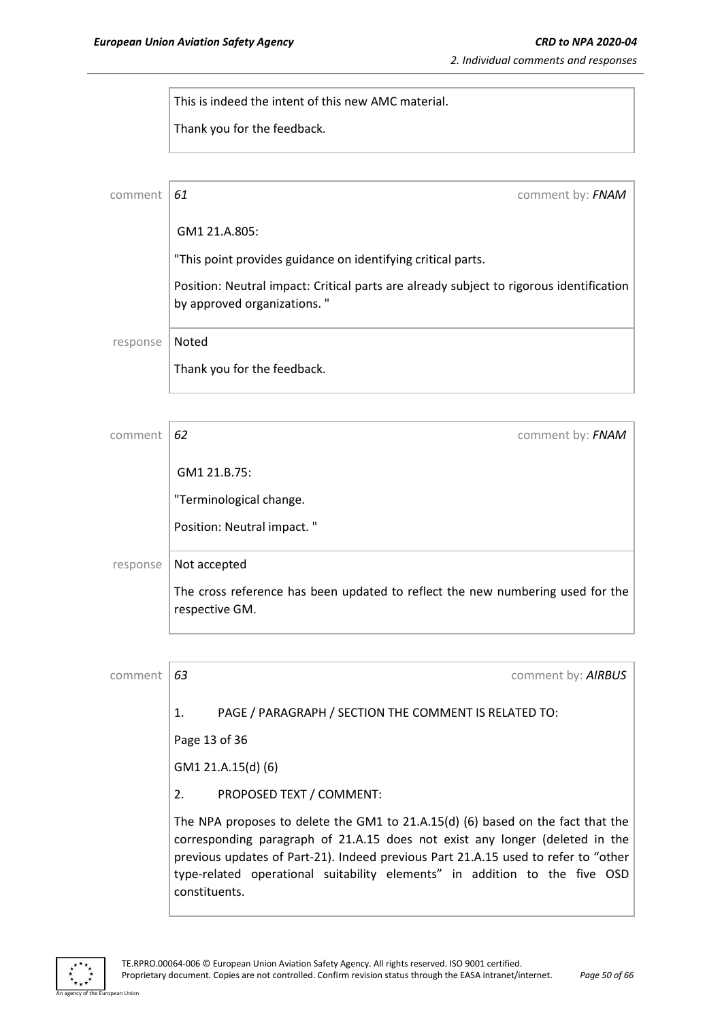This is indeed the intent of this new AMC material.

Thank you for the feedback.

| comment  | comment by: FNAM<br>61                                                                                                 |
|----------|------------------------------------------------------------------------------------------------------------------------|
|          | GM1 21.A.805:                                                                                                          |
|          | "This point provides guidance on identifying critical parts.                                                           |
|          | Position: Neutral impact: Critical parts are already subject to rigorous identification<br>by approved organizations." |
| response | Noted                                                                                                                  |
|          | Thank you for the feedback.                                                                                            |

| comment  | 62<br>comment by: FNAM                                                                           |
|----------|--------------------------------------------------------------------------------------------------|
|          | GM1 21.B.75:                                                                                     |
|          | "Terminological change.                                                                          |
|          | Position: Neutral impact."                                                                       |
| response | Not accepted                                                                                     |
|          | The cross reference has been updated to reflect the new numbering used for the<br>respective GM. |

| comment | 63 |                                                                                                                                                                                                                                                                                                                                                      | comment by: AIRBUS |
|---------|----|------------------------------------------------------------------------------------------------------------------------------------------------------------------------------------------------------------------------------------------------------------------------------------------------------------------------------------------------------|--------------------|
|         | 1. | PAGE / PARAGRAPH / SECTION THE COMMENT IS RELATED TO:                                                                                                                                                                                                                                                                                                |                    |
|         |    | Page 13 of 36                                                                                                                                                                                                                                                                                                                                        |                    |
|         |    | GM1 21.A.15(d) (6)                                                                                                                                                                                                                                                                                                                                   |                    |
|         | 2. | PROPOSED TEXT / COMMENT:                                                                                                                                                                                                                                                                                                                             |                    |
|         |    | The NPA proposes to delete the GM1 to 21.A.15(d) (6) based on the fact that the<br>corresponding paragraph of 21.A.15 does not exist any longer (deleted in the<br>previous updates of Part-21). Indeed previous Part 21.A.15 used to refer to "other<br>type-related operational suitability elements" in addition to the five OSD<br>constituents. |                    |



.<br>Pan Union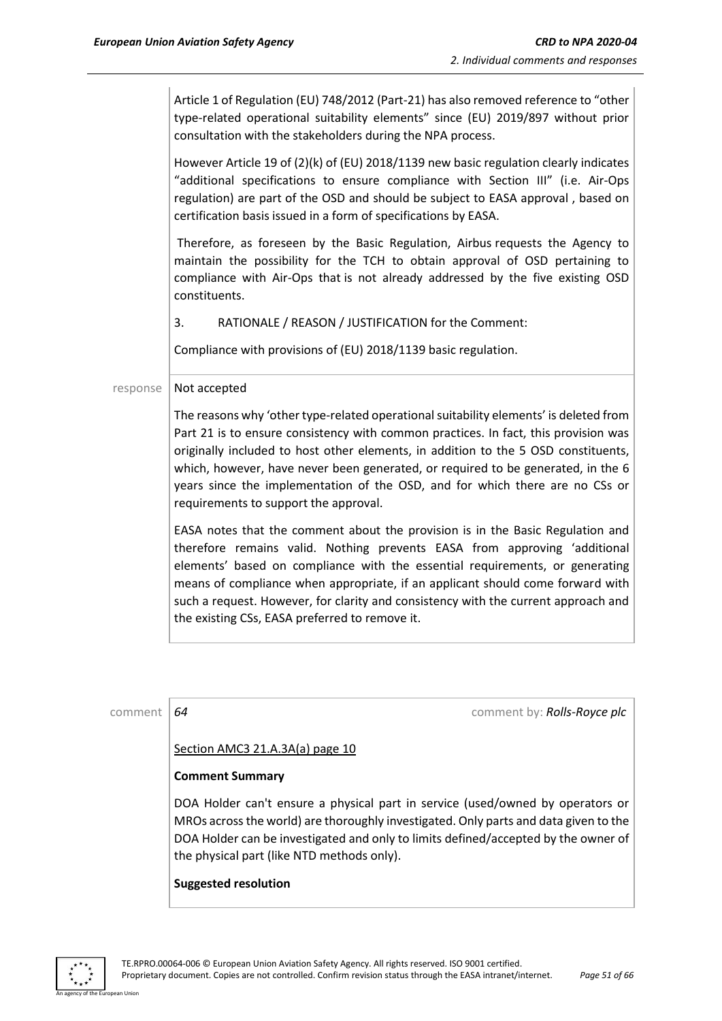Article 1 of Regulation (EU) 748/2012 (Part-21) has also removed reference to "other type-related operational suitability elements" since (EU) 2019/897 without prior consultation with the stakeholders during the NPA process.

However Article 19 of (2)(k) of (EU) 2018/1139 new basic regulation clearly indicates "additional specifications to ensure compliance with Section III" (i.e. Air-Ops regulation) are part of the OSD and should be subject to EASA approval , based on certification basis issued in a form of specifications by EASA.

Therefore, as foreseen by the Basic Regulation, Airbus requests the Agency to maintain the possibility for the TCH to obtain approval of OSD pertaining to compliance with Air-Ops that is not already addressed by the five existing OSD constituents.

3. RATIONALE / REASON / JUSTIFICATION for the Comment:

Compliance with provisions of (EU) 2018/1139 basic regulation.

#### $response$  | Not accepted

The reasons why 'other type-related operational suitability elements' is deleted from Part 21 is to ensure consistency with common practices. In fact, this provision was originally included to host other elements, in addition to the 5 OSD constituents, which, however, have never been generated, or required to be generated, in the 6 years since the implementation of the OSD, and for which there are no CSs or requirements to support the approval.

EASA notes that the comment about the provision is in the Basic Regulation and therefore remains valid. Nothing prevents EASA from approving 'additional elements' based on compliance with the essential requirements, or generating means of compliance when appropriate, if an applicant should come forward with such a request. However, for clarity and consistency with the current approach and the existing CSs, EASA preferred to remove it.

| comment | comment by: Rolls-Royce plc<br>64                                                                                                                                                                                                                                                                          |  |
|---------|------------------------------------------------------------------------------------------------------------------------------------------------------------------------------------------------------------------------------------------------------------------------------------------------------------|--|
|         | Section AMC3 21.A.3A(a) page 10                                                                                                                                                                                                                                                                            |  |
|         | <b>Comment Summary</b>                                                                                                                                                                                                                                                                                     |  |
|         | DOA Holder can't ensure a physical part in service (used/owned by operators or<br>MROs across the world) are thoroughly investigated. Only parts and data given to the<br>DOA Holder can be investigated and only to limits defined/accepted by the owner of<br>the physical part (like NTD methods only). |  |
|         | <b>Suggested resolution</b>                                                                                                                                                                                                                                                                                |  |

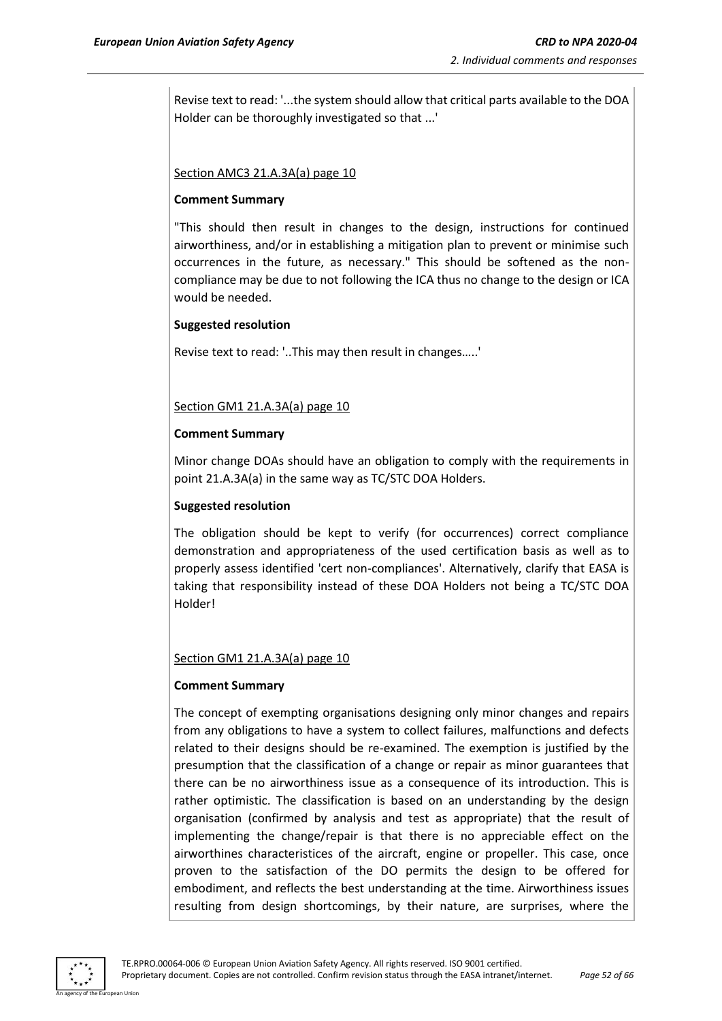Revise text to read: '...the system should allow that critical parts available to the DOA Holder can be thoroughly investigated so that ...'

#### Section AMC3 21.A.3A(a) page 10

#### **Comment Summary**

"This should then result in changes to the design, instructions for continued airworthiness, and/or in establishing a mitigation plan to prevent or minimise such occurrences in the future, as necessary." This should be softened as the noncompliance may be due to not following the ICA thus no change to the design or ICA would be needed.

#### **Suggested resolution**

Revise text to read: '..This may then result in changes…..'

#### Section GM1 21.A.3A(a) page 10

#### **Comment Summary**

Minor change DOAs should have an obligation to comply with the requirements in point 21.A.3A(a) in the same way as TC/STC DOA Holders.

#### **Suggested resolution**

The obligation should be kept to verify (for occurrences) correct compliance demonstration and appropriateness of the used certification basis as well as to properly assess identified 'cert non-compliances'. Alternatively, clarify that EASA is taking that responsibility instead of these DOA Holders not being a TC/STC DOA Holder!

#### Section GM1 21.A.3A(a) page 10

#### **Comment Summary**

The concept of exempting organisations designing only minor changes and repairs from any obligations to have a system to collect failures, malfunctions and defects related to their designs should be re-examined. The exemption is justified by the presumption that the classification of a change or repair as minor guarantees that there can be no airworthiness issue as a consequence of its introduction. This is rather optimistic. The classification is based on an understanding by the design organisation (confirmed by analysis and test as appropriate) that the result of implementing the change/repair is that there is no appreciable effect on the airworthines characteristices of the aircraft, engine or propeller. This case, once proven to the satisfaction of the DO permits the design to be offered for embodiment, and reflects the best understanding at the time. Airworthiness issues resulting from design shortcomings, by their nature, are surprises, where the

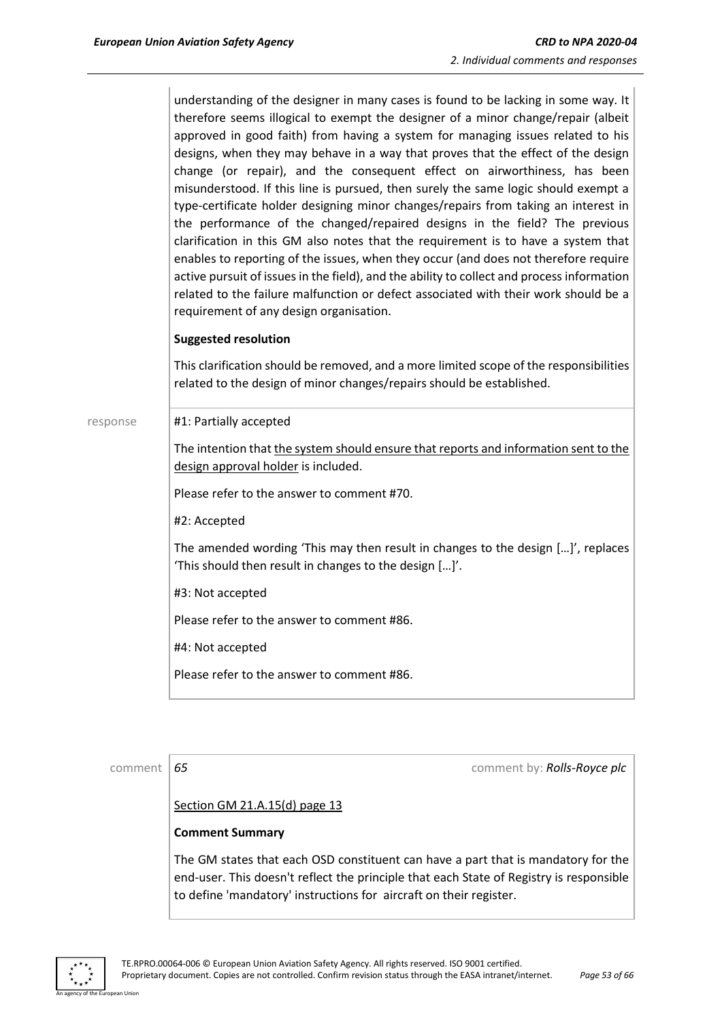understanding of the designer in many cases is found to be lacking in some way. It therefore seems illogical to exempt the designer of a minor change/repair (albeit approved in good faith) from having a system for managing issues related to his designs, when they may behave in a way that proves that the effect of the design change (or repair), and the consequent effect on airworthiness, has been misunderstood. If this line is pursued, then surely the same logic should exempt a type-certificate holder designing minor changes/repairs from taking an interest in the performance of the changed/repaired designs in the field? The previous clarification in this GM also notes that the requirement is to have a system that enables to reporting of the issues, when they occur (and does not therefore require active pursuit of issues in the field), and the ability to collect and process information related to the failure malfunction or defect associated with their work should be a requirement of any design organisation.

#### **Suggested resolution**

This clarification should be removed, and a more limited scope of the responsibilities related to the design of minor changes/repairs should be established.

response #1: Partially accepted

The intention that the system should ensure that reports and information sent to the design approval holder is included.

Please refer to the answer to comment #70.

#2: Accepted

The amended wording 'This may then result in changes to the design […]', replaces 'This should then result in changes to the design […]'.

#3: Not accepted

Please refer to the answer to comment #86.

#4: Not accepted

Please refer to the answer to comment #86.

comment *65* comment by: *Rolls-Royce plc*

#### Section GM 21.A.15(d) page 13

#### **Comment Summary**

The GM states that each OSD constituent can have a part that is mandatory for the end-user. This doesn't reflect the principle that each State of Registry is responsible to define 'mandatory' instructions for aircraft on their register.

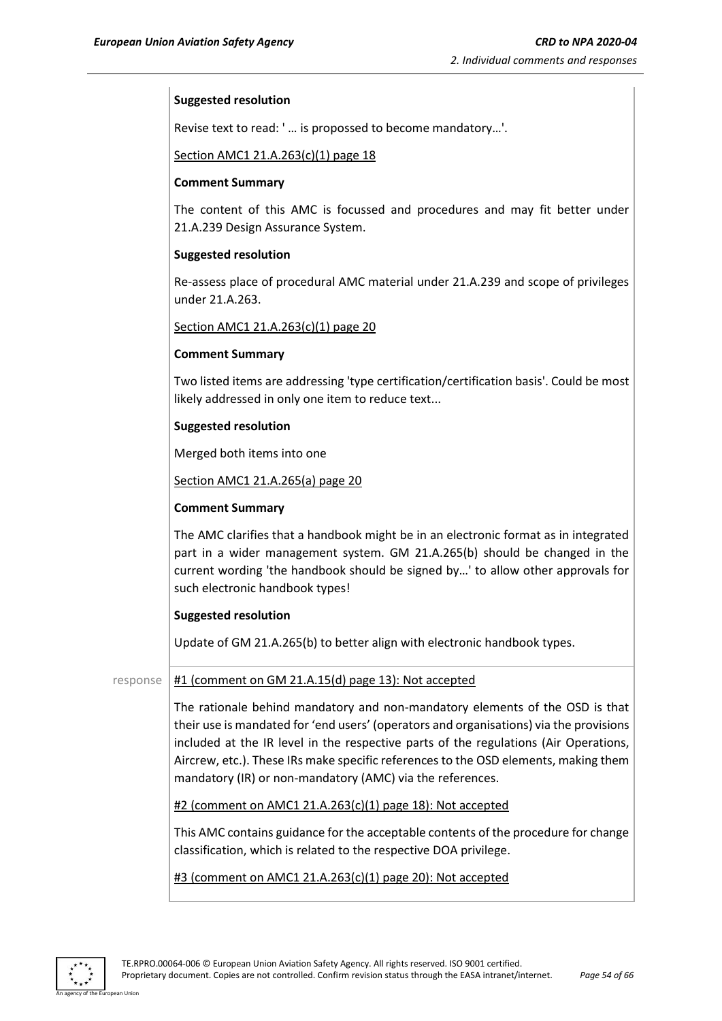#### **Suggested resolution**

Revise text to read: ' … is propossed to become mandatory…'.

Section AMC1 21.A.263(c)(1) page 18

#### **Comment Summary**

The content of this AMC is focussed and procedures and may fit better under 21.A.239 Design Assurance System.

#### **Suggested resolution**

Re-assess place of procedural AMC material under 21.A.239 and scope of privileges under 21.A.263.

Section AMC1 21.A.263(c)(1) page 20

#### **Comment Summary**

Two listed items are addressing 'type certification/certification basis'. Could be most likely addressed in only one item to reduce text...

#### **Suggested resolution**

Merged both items into one

Section AMC1 21.A.265(a) page 20

#### **Comment Summary**

The AMC clarifies that a handbook might be in an electronic format as in integrated part in a wider management system. GM 21.A.265(b) should be changed in the current wording 'the handbook should be signed by…' to allow other approvals for such electronic handbook types!

#### **Suggested resolution**

Update of GM 21.A.265(b) to better align with electronic handbook types.

#### response  $\frac{#1$  (comment on GM 21.A.15(d) page 13): Not accepted

The rationale behind mandatory and non-mandatory elements of the OSD is that their use is mandated for 'end users' (operators and organisations) via the provisions included at the IR level in the respective parts of the regulations (Air Operations, Aircrew, etc.). These IRs make specific references to the OSD elements, making them mandatory (IR) or non-mandatory (AMC) via the references.

#2 (comment on AMC1 21.A.263(c)(1) page 18): Not accepted

This AMC contains guidance for the acceptable contents of the procedure for change classification, which is related to the respective DOA privilege.

#3 (comment on AMC1 21.A.263(c)(1) page 20): Not accepted

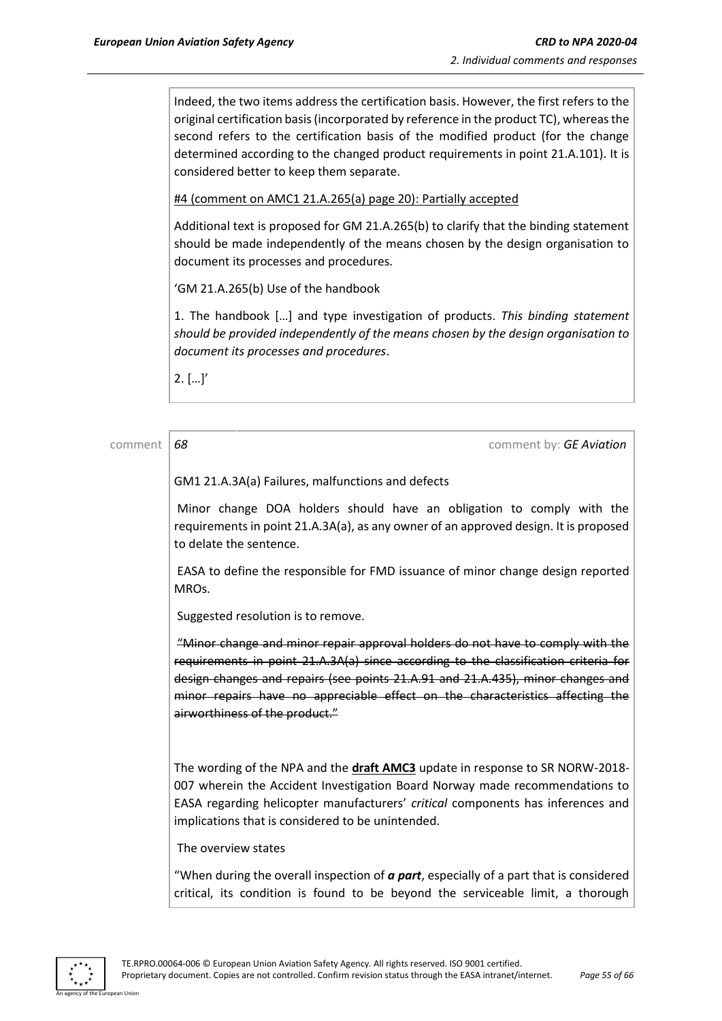Indeed, the two items address the certification basis. However, the first refers to the original certification basis (incorporated by reference in the product TC), whereasthe second refers to the certification basis of the modified product (for the change determined according to the changed product requirements in point 21.A.101). It is considered better to keep them separate.

#4 (comment on AMC1 21.A.265(a) page 20): Partially accepted

Additional text is proposed for GM 21.A.265(b) to clarify that the binding statement should be made independently of the means chosen by the design organisation to document its processes and procedures.

'GM 21.A.265(b) Use of the handbook

1. The handbook […] and type investigation of products. *This binding statement should be provided independently of the means chosen by the design organisation to document its processes and procedures*.

 $2.$   $[...]'$ 

| comment | 68<br>comment by: GE Aviation                                                                                                                                                                                                                                                                                                                                               |  |
|---------|-----------------------------------------------------------------------------------------------------------------------------------------------------------------------------------------------------------------------------------------------------------------------------------------------------------------------------------------------------------------------------|--|
|         | GM1 21.A.3A(a) Failures, malfunctions and defects                                                                                                                                                                                                                                                                                                                           |  |
|         | Minor change DOA holders should have an obligation to comply with the<br>requirements in point 21.A.3A(a), as any owner of an approved design. It is proposed<br>to delate the sentence.                                                                                                                                                                                    |  |
|         | EASA to define the responsible for FMD issuance of minor change design reported<br>MRO <sub>s</sub> .                                                                                                                                                                                                                                                                       |  |
|         | Suggested resolution is to remove.                                                                                                                                                                                                                                                                                                                                          |  |
|         | "Minor change and minor repair approval holders do not have to comply with the<br>requirements in point 21.A.3A(a) since according to the classification criteria for<br>design changes and repairs (see points 21.A.91 and 21.A.435), minor changes and<br>minor repairs have no appreciable effect on the characteristics affecting the<br>airworthiness of the product." |  |
|         | The wording of the NPA and the draft AMC3 update in response to SR NORW-2018-<br>007 wherein the Accident Investigation Board Norway made recommendations to<br>EASA regarding helicopter manufacturers' critical components has inferences and<br>implications that is considered to be unintended.                                                                        |  |
|         | The overview states                                                                                                                                                                                                                                                                                                                                                         |  |
|         | "When during the overall inspection of <b>a part</b> , especially of a part that is considered<br>critical, its condition is found to be beyond the serviceable limit, a thorough                                                                                                                                                                                           |  |

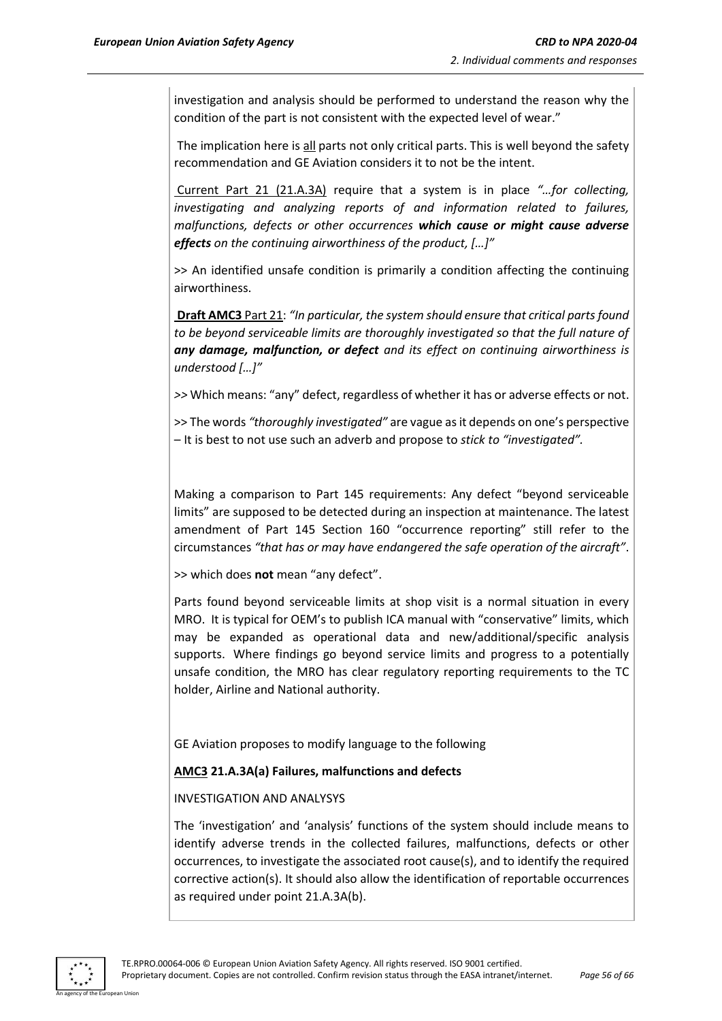investigation and analysis should be performed to understand the reason why the condition of the part is not consistent with the expected level of wear."

The implication here is all parts not only critical parts. This is well beyond the safety recommendation and GE Aviation considers it to not be the intent.

Current Part 21 (21.A.3A) require that a system is in place *"…for collecting, investigating and analyzing reports of and information related to failures, malfunctions, defects or other occurrences which cause or might cause adverse effects on the continuing airworthiness of the product, […]"*

>> An identified unsafe condition is primarily a condition affecting the continuing airworthiness.

**Draft AMC3** Part 21: *"In particular, the system should ensure that critical parts found to be beyond serviceable limits are thoroughly investigated so that the full nature of any damage, malfunction, or defect and its effect on continuing airworthiness is understood […]"* 

*>>* Which means: "any" defect, regardless of whether it has or adverse effects or not.

>> The words *"thoroughly investigated"* are vague as it depends on one's perspective – It is best to not use such an adverb and propose to *stick to "investigated".*

Making a comparison to Part 145 requirements: Any defect "beyond serviceable limits" are supposed to be detected during an inspection at maintenance. The latest amendment of Part 145 Section 160 "occurrence reporting" still refer to the circumstances *"that has or may have endangered the safe operation of the aircraft"*.

>> which does **not** mean "any defect".

Parts found beyond serviceable limits at shop visit is a normal situation in every MRO. It is typical for OEM's to publish ICA manual with "conservative" limits, which may be expanded as operational data and new/additional/specific analysis supports. Where findings go beyond service limits and progress to a potentially unsafe condition, the MRO has clear regulatory reporting requirements to the TC holder, Airline and National authority.

GE Aviation proposes to modify language to the following

#### **AMC3 21.A.3A(a) Failures, malfunctions and defects**

#### INVESTIGATION AND ANALYSYS

The 'investigation' and 'analysis' functions of the system should include means to identify adverse trends in the collected failures, malfunctions, defects or other occurrences, to investigate the associated root cause(s), and to identify the required corrective action(s). It should also allow the identification of reportable occurrences as required under point 21.A.3A(b).

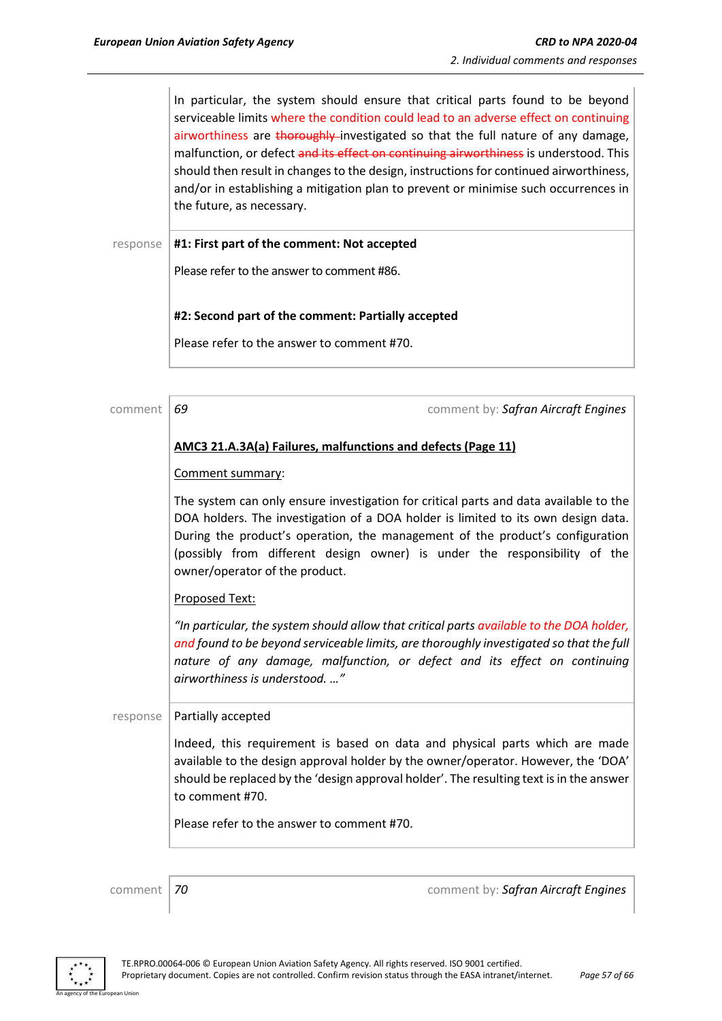In particular, the system should ensure that critical parts found to be beyond serviceable limits where the condition could lead to an adverse effect on continuing airworthiness are thoroughly investigated so that the full nature of any damage, malfunction, or defect and its effect on continuing airworthiness is understood. This should then result in changes to the design, instructions for continued airworthiness, and/or in establishing a mitigation plan to prevent or minimise such occurrences in the future, as necessary.

response **#1: First part of the comment: Not accepted**

Please refer to the answer to comment #86.

#### **#2: Second part of the comment: Partially accepted**

Please refer to the answer to comment #70.

| comment  | 69<br>comment by: Safran Aircraft Engines                                                                                                                                                                                                                                                                                                                                  |  |
|----------|----------------------------------------------------------------------------------------------------------------------------------------------------------------------------------------------------------------------------------------------------------------------------------------------------------------------------------------------------------------------------|--|
|          | AMC3 21.A.3A(a) Failures, malfunctions and defects (Page 11)                                                                                                                                                                                                                                                                                                               |  |
|          | Comment summary:                                                                                                                                                                                                                                                                                                                                                           |  |
|          | The system can only ensure investigation for critical parts and data available to the<br>DOA holders. The investigation of a DOA holder is limited to its own design data.<br>During the product's operation, the management of the product's configuration<br>(possibly from different design owner) is under the responsibility of the<br>owner/operator of the product. |  |
|          | Proposed Text:                                                                                                                                                                                                                                                                                                                                                             |  |
|          | "In particular, the system should allow that critical parts available to the DOA holder,<br>and found to be beyond serviceable limits, are thoroughly investigated so that the full<br>nature of any damage, malfunction, or defect and its effect on continuing<br>airworthiness is understood. "                                                                         |  |
| response | Partially accepted                                                                                                                                                                                                                                                                                                                                                         |  |
|          | Indeed, this requirement is based on data and physical parts which are made<br>available to the design approval holder by the owner/operator. However, the 'DOA'<br>should be replaced by the 'design approval holder'. The resulting text is in the answer<br>to comment #70.                                                                                             |  |
|          | Please refer to the answer to comment #70.                                                                                                                                                                                                                                                                                                                                 |  |
|          |                                                                                                                                                                                                                                                                                                                                                                            |  |
| comment  | comment by: Safran Aircraft Engines<br>70                                                                                                                                                                                                                                                                                                                                  |  |

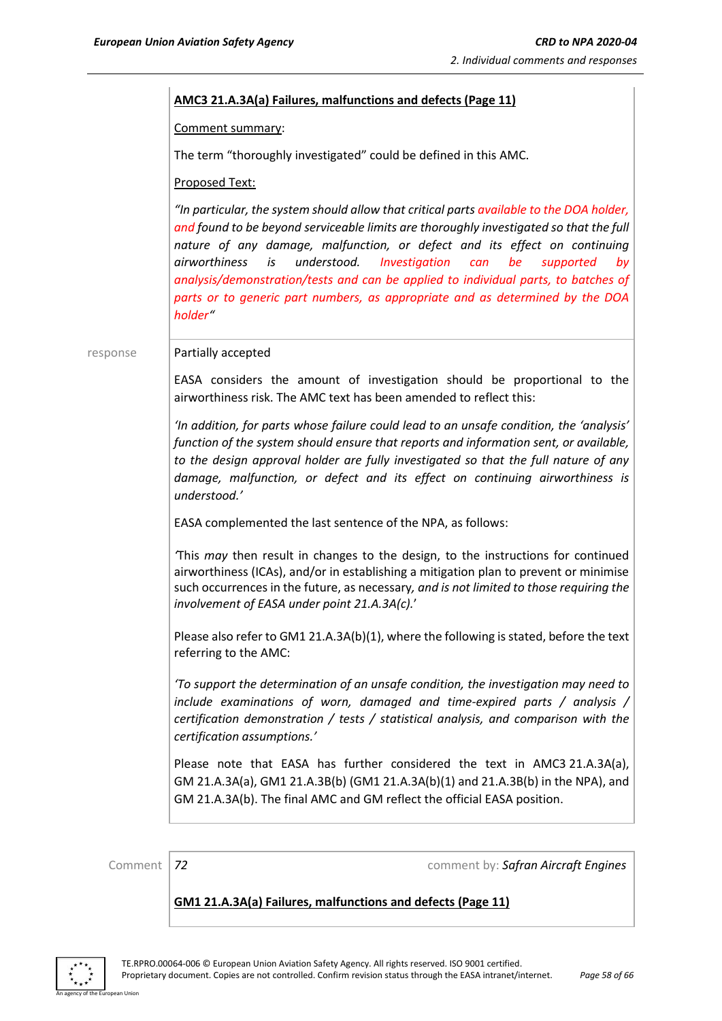#### **AMC3 21.A.3A(a) Failures, malfunctions and defects (Page 11)**

Comment summary:

The term "thoroughly investigated" could be defined in this AMC.

Proposed Text:

*"In particular, the system should allow that critical parts available to the DOA holder, and found to be beyond serviceable limits are thoroughly investigated so that the full nature of any damage, malfunction, or defect and its effect on continuing airworthiness is understood. Investigation can be supported by analysis/demonstration/tests and can be applied to individual parts, to batches of parts or to generic part numbers, as appropriate and as determined by the DOA holder"*

response | Partially accepted

EASA considers the amount of investigation should be proportional to the airworthiness risk. The AMC text has been amended to reflect this:

*'In addition, for parts whose failure could lead to an unsafe condition, the 'analysis' function of the system should ensure that reports and information sent, or available, to the design approval holder are fully investigated so that the full nature of any damage, malfunction, or defect and its effect on continuing airworthiness is understood.'*

EASA complemented the last sentence of the NPA, as follows:

*'*This *may* then result in changes to the design, to the instructions for continued airworthiness (ICAs), and/or in establishing a mitigation plan to prevent or minimise such occurrences in the future, as necessary*, and is not limited to those requiring the involvement of EASA under point 21.A.3A(c).*'

Please also refer to GM1 21.A.3A(b)(1), where the following is stated, before the text referring to the AMC:

*'To support the determination of an unsafe condition, the investigation may need to include examinations of worn, damaged and time-expired parts / analysis / certification demonstration / tests / statistical analysis, and comparison with the certification assumptions.'*

Please note that EASA has further considered the text in AMC3 21.A.3A(a), GM 21.A.3A(a), GM1 21.A.3B(b) (GM1 21.A.3A(b)(1) and 21.A.3B(b) in the NPA), and GM 21.A.3A(b). The final AMC and GM reflect the official EASA position.

Comment *72* comment by: *Safran Aircraft Engines*

**GM1 21.A.3A(a) Failures, malfunctions and defects (Page 11)**

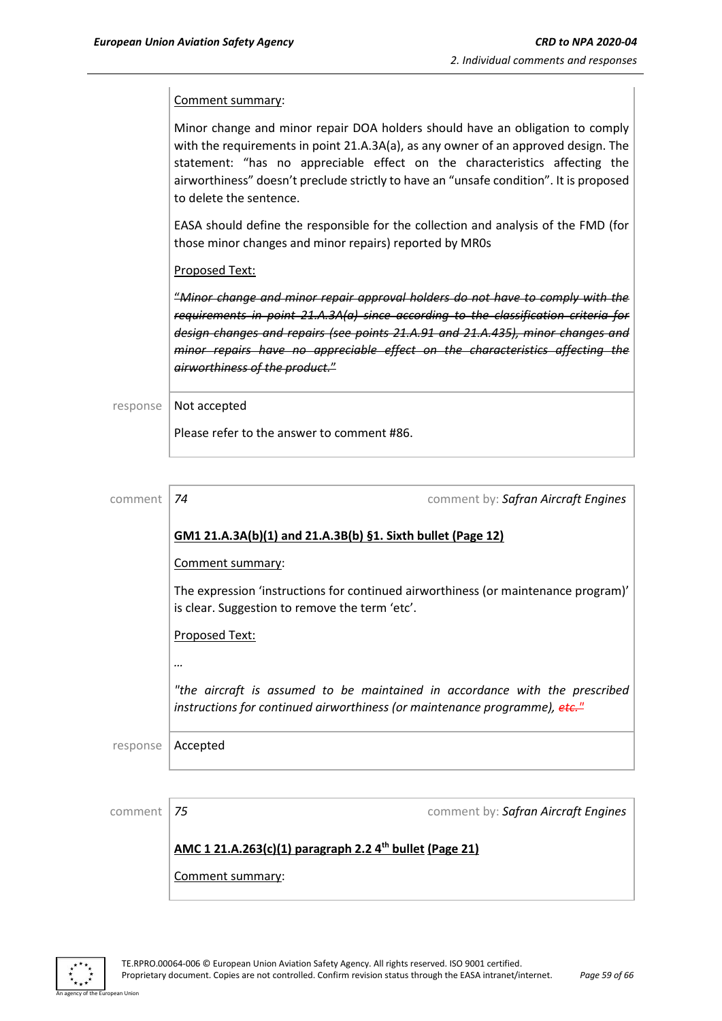Comment summary:

Minor change and minor repair DOA holders should have an obligation to comply with the requirements in point 21.A.3A(a), as any owner of an approved design. The statement: "has no appreciable effect on the characteristics affecting the airworthiness" doesn't preclude strictly to have an "unsafe condition". It is proposed to delete the sentence.

EASA should define the responsible for the collection and analysis of the FMD (for those minor changes and minor repairs) reported by MR0s

Proposed Text:

"*Minor change and minor repair approval holders do not have to comply with the requirements in point 21.A.3A(a) since according to the classification criteria for design changes and repairs (see points 21.A.91 and 21.A.435), minor changes and minor repairs have no appreciable effect on the characteristics affecting the airworthiness of the product.*"

response | Not accepted

Please refer to the answer to comment #86.

| comment  | 74                                                                                                                                                        | comment by: Safran Aircraft Engines |  |
|----------|-----------------------------------------------------------------------------------------------------------------------------------------------------------|-------------------------------------|--|
|          | <u>GM1 21.A.3A(b)(1) and 21.A.3B(b) §1. Sixth bullet (Page 12)</u><br>Comment summary:                                                                    |                                     |  |
|          |                                                                                                                                                           |                                     |  |
|          | The expression 'instructions for continued airworthiness (or maintenance program)'<br>is clear. Suggestion to remove the term 'etc'.                      |                                     |  |
|          | <b>Proposed Text:</b>                                                                                                                                     |                                     |  |
|          |                                                                                                                                                           |                                     |  |
|          | "the aircraft is assumed to be maintained in accordance with the prescribed<br>instructions for continued airworthiness (or maintenance programme), etc." |                                     |  |
| response | Accepted                                                                                                                                                  |                                     |  |
|          |                                                                                                                                                           |                                     |  |
| comment  | 75                                                                                                                                                        | comment by: Safran Aircraft Engines |  |

### **AMC 1 21.A.263(c)(1) paragraph 2.2 4th bullet (Page 21)**

Comment summary:

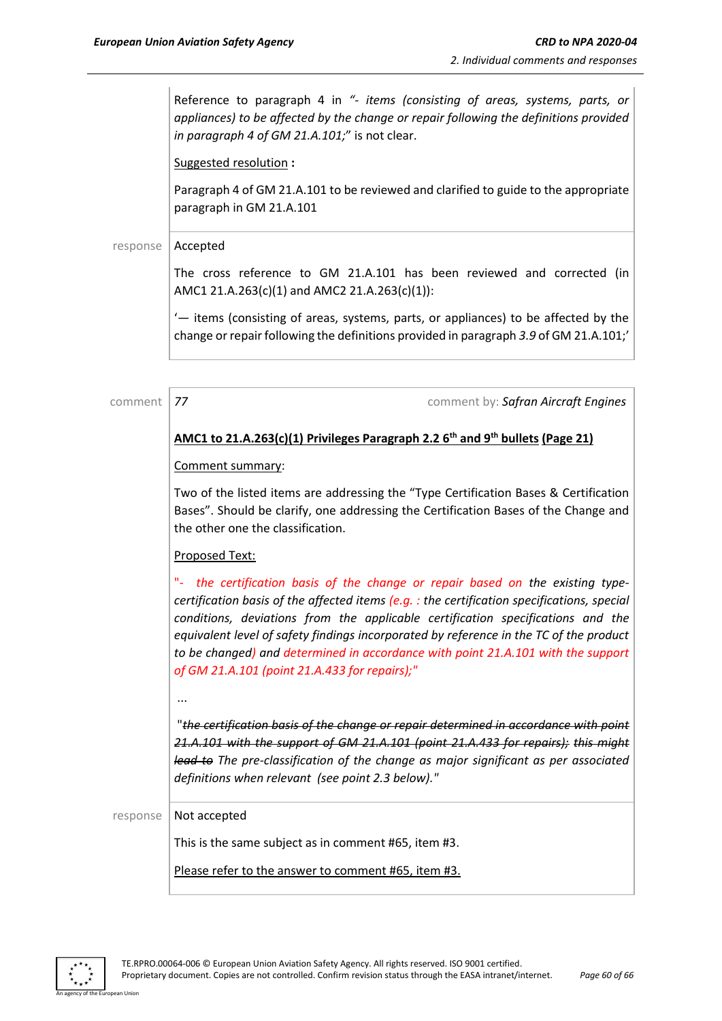Reference to paragraph 4 in *"- items (consisting of areas, systems, parts, or appliances) to be affected by the change or repair following the definitions provided in paragraph 4 of GM 21.A.101;*" is not clear.

Suggested resolution **:**

Paragraph 4 of GM 21.A.101 to be reviewed and clarified to guide to the appropriate paragraph in GM 21.A.101

#### response | Accepted

The cross reference to GM 21.A.101 has been reviewed and corrected (in AMC1 21.A.263(c)(1) and AMC2 21.A.263(c)(1)):

'— items (consisting of areas, systems, parts, or appliances) to be affected by the change or repair following the definitions provided in paragraph *3.9* of GM 21.A.101;'

| comment  | 77<br>comment by: Safran Aircraft Engines                                                                                                                                                                                                                                                                                                                                                                                                                                                            |
|----------|------------------------------------------------------------------------------------------------------------------------------------------------------------------------------------------------------------------------------------------------------------------------------------------------------------------------------------------------------------------------------------------------------------------------------------------------------------------------------------------------------|
|          | AMC1 to 21.A.263(c)(1) Privileges Paragraph 2.2 $6th$ and 9 <sup>th</sup> bullets (Page 21)                                                                                                                                                                                                                                                                                                                                                                                                          |
|          | Comment summary:                                                                                                                                                                                                                                                                                                                                                                                                                                                                                     |
|          | Two of the listed items are addressing the "Type Certification Bases & Certification<br>Bases". Should be clarify, one addressing the Certification Bases of the Change and<br>the other one the classification.                                                                                                                                                                                                                                                                                     |
|          | Proposed Text:                                                                                                                                                                                                                                                                                                                                                                                                                                                                                       |
|          | Ч.<br>the certification basis of the change or repair based on the existing type-<br>certification basis of the affected items $(e.g. : the$ certification specifications, special<br>conditions, deviations from the applicable certification specifications and the<br>equivalent level of safety findings incorporated by reference in the TC of the product<br>to be changed) and determined in accordance with point 21.A.101 with the support<br>of GM 21.A.101 (point 21.A.433 for repairs);" |
|          | <br>"the certification basis of the change or repair determined in accordance with point<br>21.A.101 with the support of GM 21.A.101 (point 21.A.433 for repairs); this might<br>lead to The pre-classification of the change as major significant as per associated<br>definitions when relevant (see point 2.3 below)."                                                                                                                                                                            |
| response | Not accepted                                                                                                                                                                                                                                                                                                                                                                                                                                                                                         |
|          | This is the same subject as in comment #65, item #3.                                                                                                                                                                                                                                                                                                                                                                                                                                                 |
|          | Please refer to the answer to comment #65, item #3.                                                                                                                                                                                                                                                                                                                                                                                                                                                  |

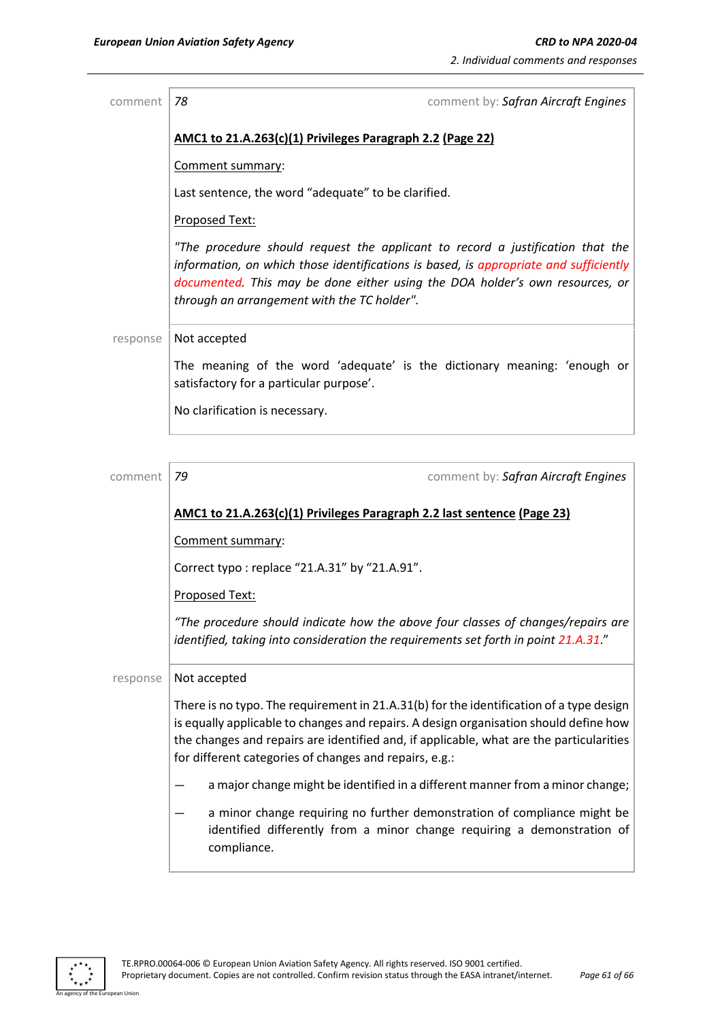| comment  | 78<br>comment by: Safran Aircraft Engines                                                                                                                                                                                                                                                              |
|----------|--------------------------------------------------------------------------------------------------------------------------------------------------------------------------------------------------------------------------------------------------------------------------------------------------------|
|          | AMC1 to 21.A.263(c)(1) Privileges Paragraph 2.2 (Page 22)                                                                                                                                                                                                                                              |
|          | Comment summary:                                                                                                                                                                                                                                                                                       |
|          | Last sentence, the word "adequate" to be clarified.                                                                                                                                                                                                                                                    |
|          | Proposed Text:                                                                                                                                                                                                                                                                                         |
|          | "The procedure should request the applicant to record a justification that the<br>information, on which those identifications is based, is appropriate and sufficiently<br>documented. This may be done either using the DOA holder's own resources, or<br>through an arrangement with the TC holder". |
| response | Not accepted                                                                                                                                                                                                                                                                                           |
|          | The meaning of the word 'adequate' is the dictionary meaning: 'enough or<br>satisfactory for a particular purpose'.                                                                                                                                                                                    |
|          | No clarification is necessary.                                                                                                                                                                                                                                                                         |
|          |                                                                                                                                                                                                                                                                                                        |
| comment  | 79<br>comment by: Safran Aircraft Engines                                                                                                                                                                                                                                                              |
|          | AMC1 to 21.A.263(c)(1) Privileges Paragraph 2.2 last sentence (Page 23)                                                                                                                                                                                                                                |
|          | Comment summary:                                                                                                                                                                                                                                                                                       |

Correct typo : replace "21.A.31" by "21.A.91".

Proposed Text:

*"The procedure should indicate how the above four classes of changes/repairs are identified, taking into consideration the requirements set forth in point 21.A.31*."

 $response$  Not accepted

There is no typo. The requirement in 21.A.31(b) for the identification of a type design is equally applicable to changes and repairs. A design organisation should define how the changes and repairs are identified and, if applicable, what are the particularities for different categories of changes and repairs, e.g.:

- a major change might be identified in a different manner from a minor change;
- a minor change requiring no further demonstration of compliance might be identified differently from a minor change requiring a demonstration of compliance.

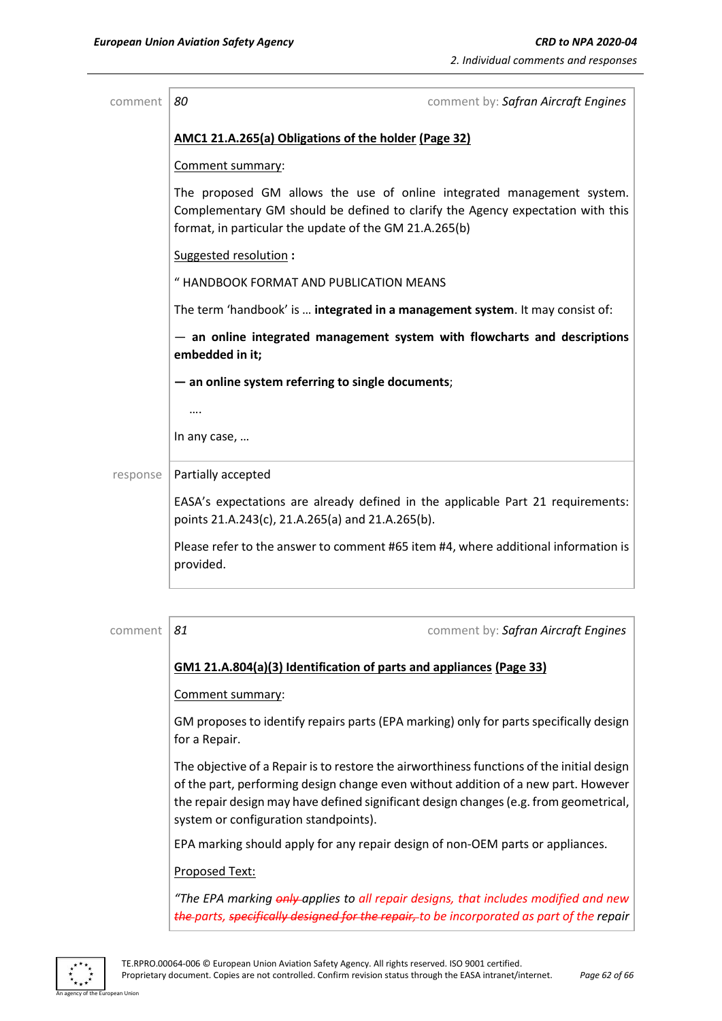| comment  | comment by: Safran Aircraft Engines<br>80                                                                                                                                                                          |  |
|----------|--------------------------------------------------------------------------------------------------------------------------------------------------------------------------------------------------------------------|--|
|          | AMC1 21.A.265(a) Obligations of the holder (Page 32)                                                                                                                                                               |  |
|          | Comment summary:                                                                                                                                                                                                   |  |
|          | The proposed GM allows the use of online integrated management system.<br>Complementary GM should be defined to clarify the Agency expectation with this<br>format, in particular the update of the GM 21.A.265(b) |  |
|          | Suggested resolution:                                                                                                                                                                                              |  |
|          | " HANDBOOK FORMAT AND PUBLICATION MEANS                                                                                                                                                                            |  |
|          | The term 'handbook' is  integrated in a management system. It may consist of:                                                                                                                                      |  |
|          | - an online integrated management system with flowcharts and descriptions<br>embedded in it;                                                                                                                       |  |
|          | - an online system referring to single documents;                                                                                                                                                                  |  |
|          |                                                                                                                                                                                                                    |  |
|          | In any case,                                                                                                                                                                                                       |  |
| response | Partially accepted                                                                                                                                                                                                 |  |
|          | EASA's expectations are already defined in the applicable Part 21 requirements:<br>points 21.A.243(c), 21.A.265(a) and 21.A.265(b).                                                                                |  |
|          | Please refer to the answer to comment #65 item #4, where additional information is<br>provided.                                                                                                                    |  |
|          |                                                                                                                                                                                                                    |  |

# comment *81* comment by: *Safran Aircraft Engines* **GM1 21.A.804(a)(3) Identification of parts and appliances (Page 33)** Comment summary: GM proposes to identify repairs parts (EPA marking) only for parts specifically design for a Repair. The objective of a Repair is to restore the airworthiness functions of the initial design of the part, performing design change even without addition of a new part. However the repair design may have defined significant design changes (e.g. from geometrical, system or configuration standpoints). EPA marking should apply for any repair design of non-OEM parts or appliances. Proposed Text: *"The EPA marking only applies to all repair designs, that includes modified and new the parts, specifically designed for the repair, to be incorporated as part of the repair*

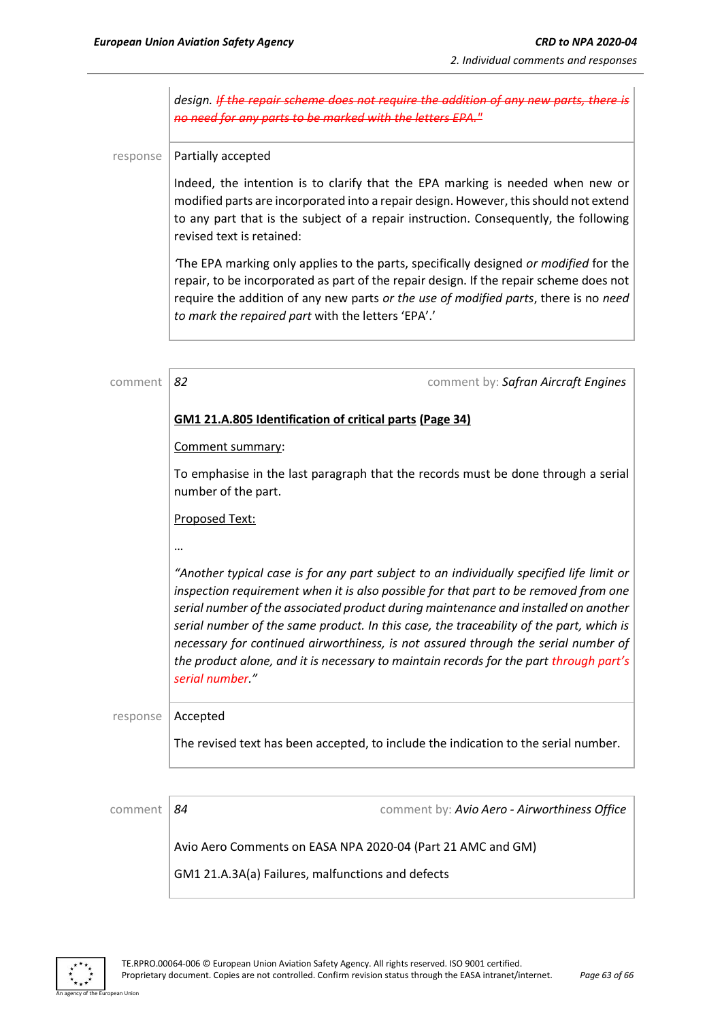*design.* If the repair scheme does not require the addition of any new parts, there is *no need for any parts to be marked with the letters EPA."*

response | Partially accepted

Indeed, the intention is to clarify that the EPA marking is needed when new or modified parts are incorporated into a repair design. However, this should not extend to any part that is the subject of a repair instruction. Consequently, the following revised text is retained:

*'*The EPA marking only applies to the parts, specifically designed *or modified* for the repair, to be incorporated as part of the repair design. If the repair scheme does not require the addition of any new parts *or the use of modified parts*, there is no *need to mark the repaired part* with the letters 'EPA'.'

| comment  | 82                                                      | comment by: Safran Aircraft Engines                                                                                                                                                                                                                                                                                                                                                                                                                                                                                                                |
|----------|---------------------------------------------------------|----------------------------------------------------------------------------------------------------------------------------------------------------------------------------------------------------------------------------------------------------------------------------------------------------------------------------------------------------------------------------------------------------------------------------------------------------------------------------------------------------------------------------------------------------|
|          | GM1 21.A.805 Identification of critical parts (Page 34) |                                                                                                                                                                                                                                                                                                                                                                                                                                                                                                                                                    |
|          | Comment summary:                                        |                                                                                                                                                                                                                                                                                                                                                                                                                                                                                                                                                    |
|          | number of the part.                                     | To emphasise in the last paragraph that the records must be done through a serial                                                                                                                                                                                                                                                                                                                                                                                                                                                                  |
|          | Proposed Text:                                          |                                                                                                                                                                                                                                                                                                                                                                                                                                                                                                                                                    |
|          | $\ddotsc$                                               |                                                                                                                                                                                                                                                                                                                                                                                                                                                                                                                                                    |
|          | serial number."                                         | "Another typical case is for any part subject to an individually specified life limit or<br>inspection requirement when it is also possible for that part to be removed from one<br>serial number of the associated product during maintenance and installed on another<br>serial number of the same product. In this case, the traceability of the part, which is<br>necessary for continued airworthiness, is not assured through the serial number of<br>the product alone, and it is necessary to maintain records for the part through part's |
| response | Accepted                                                |                                                                                                                                                                                                                                                                                                                                                                                                                                                                                                                                                    |
|          |                                                         | The revised text has been accepted, to include the indication to the serial number.                                                                                                                                                                                                                                                                                                                                                                                                                                                                |
|          |                                                         |                                                                                                                                                                                                                                                                                                                                                                                                                                                                                                                                                    |

comment *84* comment by: *Avio Aero - Airworthiness Office* Avio Aero Comments on EASA NPA 2020-04 (Part 21 AMC and GM) GM1 21.A.3A(a) Failures, malfunctions and defects

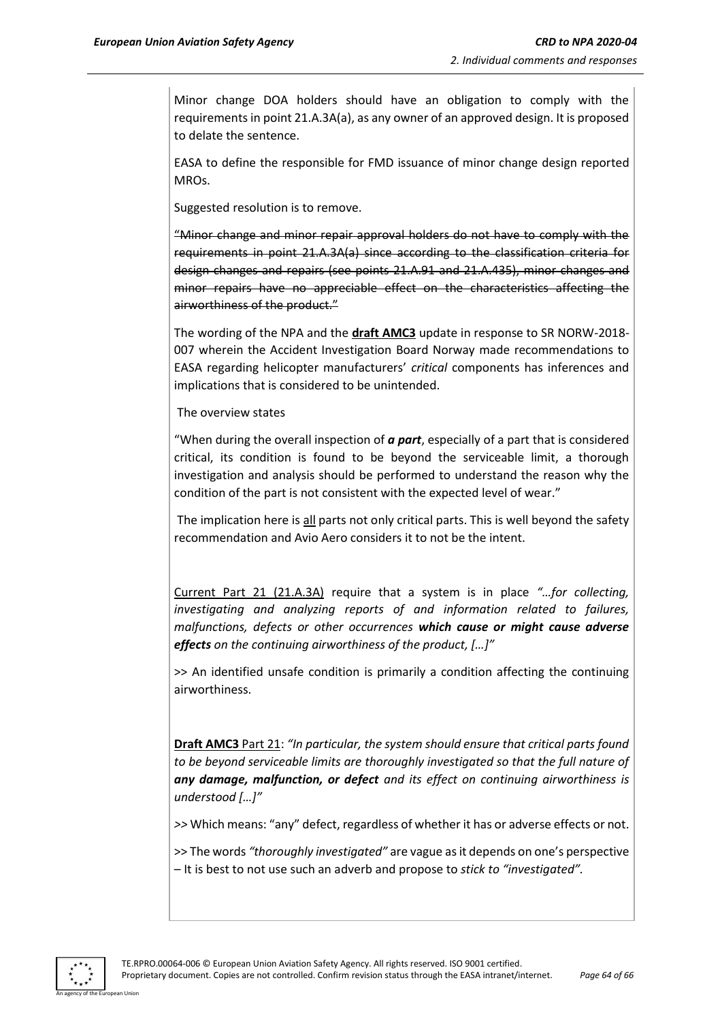Minor change DOA holders should have an obligation to comply with the requirements in point 21.A.3A(a), as any owner of an approved design. It is proposed to delate the sentence.

EASA to define the responsible for FMD issuance of minor change design reported MROs.

Suggested resolution is to remove.

"Minor change and minor repair approval holders do not have to comply with the requirements in point 21.A.3A(a) since according to the classification criteria for design changes and repairs (see points 21.A.91 and 21.A.435), minor changes and minor repairs have no appreciable effect on the characteristics affecting the airworthiness of the product."

The wording of the NPA and the **draft AMC3** update in response to SR NORW-2018- 007 wherein the Accident Investigation Board Norway made recommendations to EASA regarding helicopter manufacturers' *critical* components has inferences and implications that is considered to be unintended.

#### The overview states

"When during the overall inspection of *a part*, especially of a part that is considered critical, its condition is found to be beyond the serviceable limit, a thorough investigation and analysis should be performed to understand the reason why the condition of the part is not consistent with the expected level of wear."

The implication here is all parts not only critical parts. This is well beyond the safety recommendation and Avio Aero considers it to not be the intent.

Current Part 21 (21.A.3A) require that a system is in place *"…for collecting, investigating and analyzing reports of and information related to failures, malfunctions, defects or other occurrences which cause or might cause adverse effects on the continuing airworthiness of the product, […]"*

>> An identified unsafe condition is primarily a condition affecting the continuing airworthiness.

**Draft AMC3** Part 21: *"In particular, the system should ensure that critical parts found to be beyond serviceable limits are thoroughly investigated so that the full nature of any damage, malfunction, or defect and its effect on continuing airworthiness is understood […]"* 

*>>* Which means: "any" defect, regardless of whether it has or adverse effects or not.

>> The words *"thoroughly investigated"* are vague as it depends on one's perspective – It is best to not use such an adverb and propose to *stick to "investigated".*

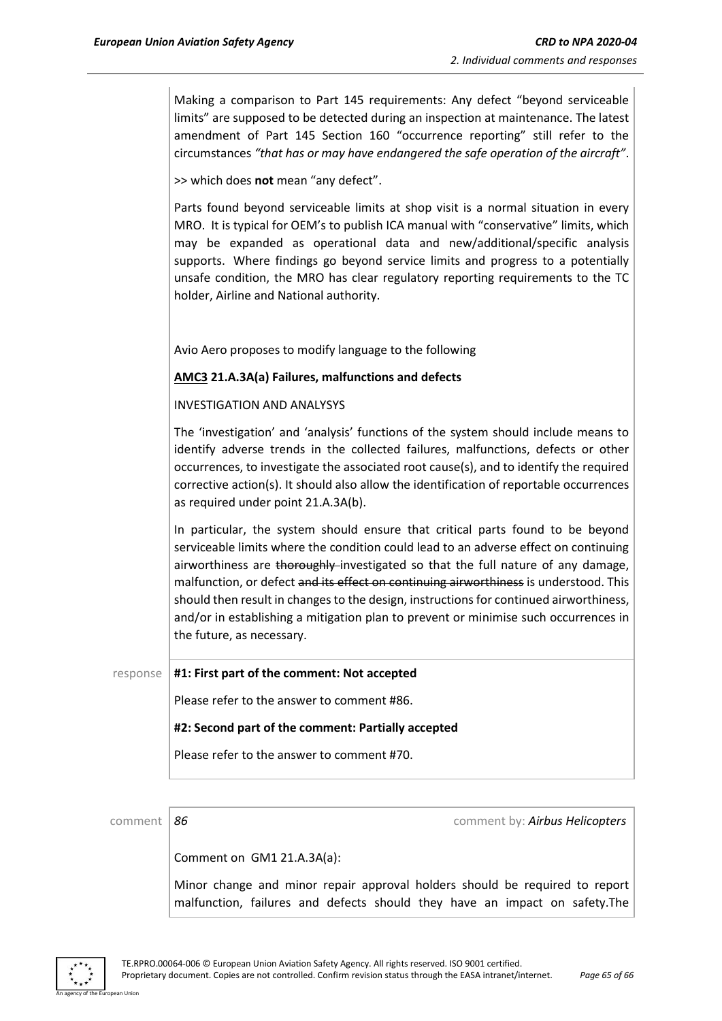Making a comparison to Part 145 requirements: Any defect "beyond serviceable limits" are supposed to be detected during an inspection at maintenance. The latest amendment of Part 145 Section 160 "occurrence reporting" still refer to the circumstances *"that has or may have endangered the safe operation of the aircraft"*.

>> which does **not** mean "any defect".

Parts found beyond serviceable limits at shop visit is a normal situation in every MRO. It is typical for OEM's to publish ICA manual with "conservative" limits, which may be expanded as operational data and new/additional/specific analysis supports. Where findings go beyond service limits and progress to a potentially unsafe condition, the MRO has clear regulatory reporting requirements to the TC holder, Airline and National authority.

Avio Aero proposes to modify language to the following

#### **AMC3 21.A.3A(a) Failures, malfunctions and defects**

#### INVESTIGATION AND ANALYSYS

The 'investigation' and 'analysis' functions of the system should include means to identify adverse trends in the collected failures, malfunctions, defects or other occurrences, to investigate the associated root cause(s), and to identify the required corrective action(s). It should also allow the identification of reportable occurrences as required under point 21.A.3A(b).

In particular, the system should ensure that critical parts found to be beyond serviceable limits where the condition could lead to an adverse effect on continuing airworthiness are thoroughly investigated so that the full nature of any damage, malfunction, or defect and its effect on continuing airworthiness is understood. This should then result in changes to the design, instructions for continued airworthiness, and/or in establishing a mitigation plan to prevent or minimise such occurrences in the future, as necessary.

#### response **#1: First part of the comment: Not accepted**

Please refer to the answer to comment #86.

#### **#2: Second part of the comment: Partially accepted**

Please refer to the answer to comment #70.

comment *86* comment by: *Airbus Helicopters*

Comment on GM1 21.A.3A(a):

Minor change and minor repair approval holders should be required to report malfunction, failures and defects should they have an impact on safety.The